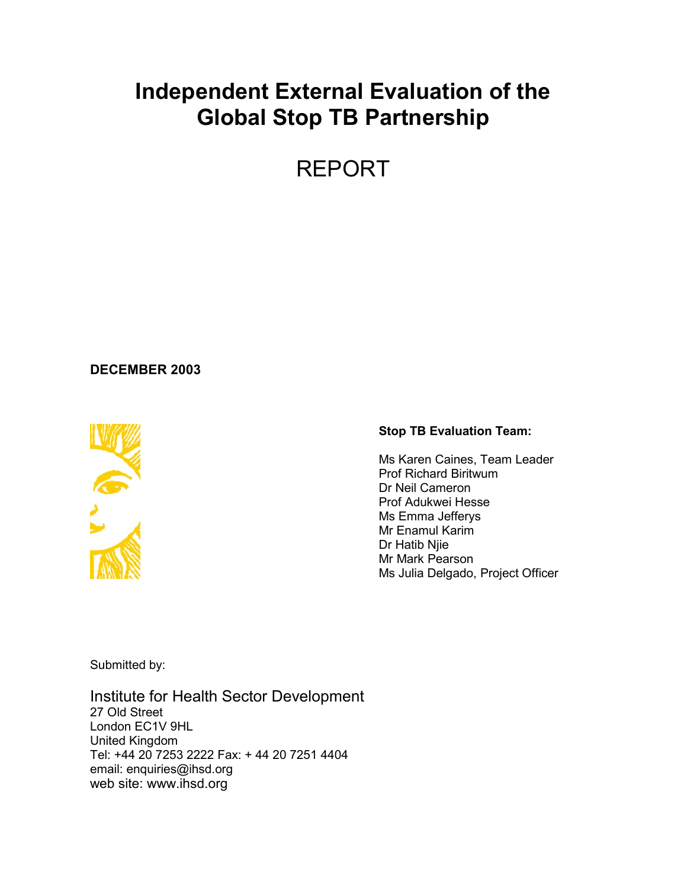# **Independent External Evaluation of the Global Stop TB Partnership**

REPORT

## **DECEMBER 2003**



#### **Stop TB Evaluation Team:**

Ms Karen Caines, Team Leader Prof Richard Biritwum Dr Neil Cameron Prof Adukwei Hesse Ms Emma Jefferys Mr Enamul Karim Dr Hatib Njie Mr Mark Pearson Ms Julia Delgado, Project Officer

Submitted by:

Institute for Health Sector Development 27 Old Street London EC1V 9HL United Kingdom Tel: +44 20 7253 2222 Fax: + 44 20 7251 4404 email: enquiries@ihsd.org web site: www.ihsd.org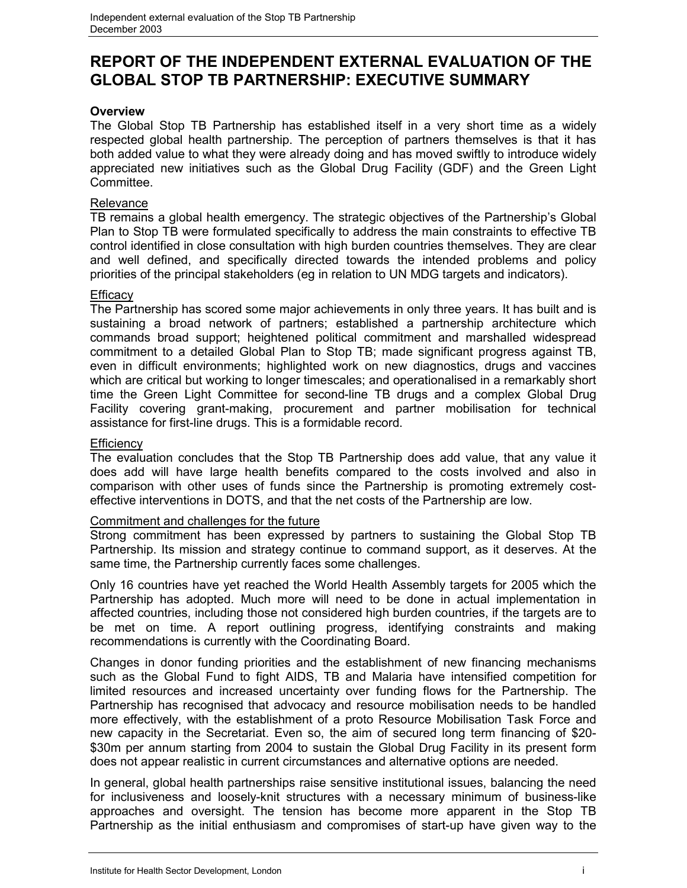## **REPORT OF THE INDEPENDENT EXTERNAL EVALUATION OF THE GLOBAL STOP TB PARTNERSHIP: EXECUTIVE SUMMARY**

## **Overview**

The Global Stop TB Partnership has established itself in a very short time as a widely respected global health partnership. The perception of partners themselves is that it has both added value to what they were already doing and has moved swiftly to introduce widely appreciated new initiatives such as the Global Drug Facility (GDF) and the Green Light Committee.

## **Relevance**

TB remains a global health emergency. The strategic objectives of the Partnership's Global Plan to Stop TB were formulated specifically to address the main constraints to effective TB control identified in close consultation with high burden countries themselves. They are clear and well defined, and specifically directed towards the intended problems and policy priorities of the principal stakeholders (eg in relation to UN MDG targets and indicators).

## **Efficacy**

The Partnership has scored some major achievements in only three years. It has built and is sustaining a broad network of partners; established a partnership architecture which commands broad support; heightened political commitment and marshalled widespread commitment to a detailed Global Plan to Stop TB; made significant progress against TB, even in difficult environments; highlighted work on new diagnostics, drugs and vaccines which are critical but working to longer timescales; and operationalised in a remarkably short time the Green Light Committee for second-line TB drugs and a complex Global Drug Facility covering grant-making, procurement and partner mobilisation for technical assistance for first-line drugs. This is a formidable record.

## **Efficiency**

The evaluation concludes that the Stop TB Partnership does add value, that any value it does add will have large health benefits compared to the costs involved and also in comparison with other uses of funds since the Partnership is promoting extremely costeffective interventions in DOTS, and that the net costs of the Partnership are low.

### Commitment and challenges for the future

Strong commitment has been expressed by partners to sustaining the Global Stop TB Partnership. Its mission and strategy continue to command support, as it deserves. At the same time, the Partnership currently faces some challenges.

Only 16 countries have yet reached the World Health Assembly targets for 2005 which the Partnership has adopted. Much more will need to be done in actual implementation in affected countries, including those not considered high burden countries, if the targets are to be met on time. A report outlining progress, identifying constraints and making recommendations is currently with the Coordinating Board.

Changes in donor funding priorities and the establishment of new financing mechanisms such as the Global Fund to fight AIDS, TB and Malaria have intensified competition for limited resources and increased uncertainty over funding flows for the Partnership. The Partnership has recognised that advocacy and resource mobilisation needs to be handled more effectively, with the establishment of a proto Resource Mobilisation Task Force and new capacity in the Secretariat. Even so, the aim of secured long term financing of \$20- \$30m per annum starting from 2004 to sustain the Global Drug Facility in its present form does not appear realistic in current circumstances and alternative options are needed.

In general, global health partnerships raise sensitive institutional issues, balancing the need for inclusiveness and loosely-knit structures with a necessary minimum of business-like approaches and oversight. The tension has become more apparent in the Stop TB Partnership as the initial enthusiasm and compromises of start-up have given way to the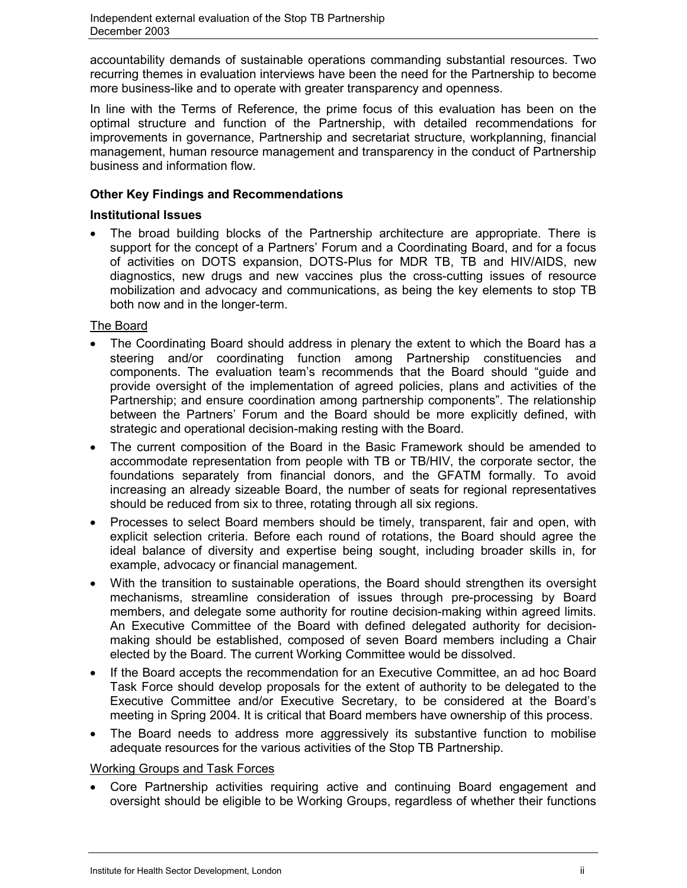accountability demands of sustainable operations commanding substantial resources. Two recurring themes in evaluation interviews have been the need for the Partnership to become more business-like and to operate with greater transparency and openness.

In line with the Terms of Reference, the prime focus of this evaluation has been on the optimal structure and function of the Partnership, with detailed recommendations for improvements in governance, Partnership and secretariat structure, workplanning, financial management, human resource management and transparency in the conduct of Partnership business and information flow.

## **Other Key Findings and Recommendations**

## **Institutional Issues**

 The broad building blocks of the Partnership architecture are appropriate. There is support for the concept of a Partners' Forum and a Coordinating Board, and for a focus of activities on DOTS expansion, DOTS-Plus for MDR TB, TB and HIV/AIDS, new diagnostics, new drugs and new vaccines plus the cross-cutting issues of resource mobilization and advocacy and communications, as being the key elements to stop TB both now and in the longer-term.

## The Board

- The Coordinating Board should address in plenary the extent to which the Board has a steering and/or coordinating function among Partnership constituencies and components. The evaluation team's recommends that the Board should "guide and provide oversight of the implementation of agreed policies, plans and activities of the Partnership; and ensure coordination among partnership components". The relationship between the Partners' Forum and the Board should be more explicitly defined, with strategic and operational decision-making resting with the Board.
- The current composition of the Board in the Basic Framework should be amended to accommodate representation from people with TB or TB/HIV, the corporate sector, the foundations separately from financial donors, and the GFATM formally. To avoid increasing an already sizeable Board, the number of seats for regional representatives should be reduced from six to three, rotating through all six regions.
- Processes to select Board members should be timely, transparent, fair and open, with explicit selection criteria. Before each round of rotations, the Board should agree the ideal balance of diversity and expertise being sought, including broader skills in, for example, advocacy or financial management.
- With the transition to sustainable operations, the Board should strengthen its oversight mechanisms, streamline consideration of issues through pre-processing by Board members, and delegate some authority for routine decision-making within agreed limits. An Executive Committee of the Board with defined delegated authority for decisionmaking should be established, composed of seven Board members including a Chair elected by the Board. The current Working Committee would be dissolved.
- If the Board accepts the recommendation for an Executive Committee, an ad hoc Board Task Force should develop proposals for the extent of authority to be delegated to the Executive Committee and/or Executive Secretary, to be considered at the Board's meeting in Spring 2004. It is critical that Board members have ownership of this process.
- The Board needs to address more aggressively its substantive function to mobilise adequate resources for the various activities of the Stop TB Partnership.

## Working Groups and Task Forces

 Core Partnership activities requiring active and continuing Board engagement and oversight should be eligible to be Working Groups, regardless of whether their functions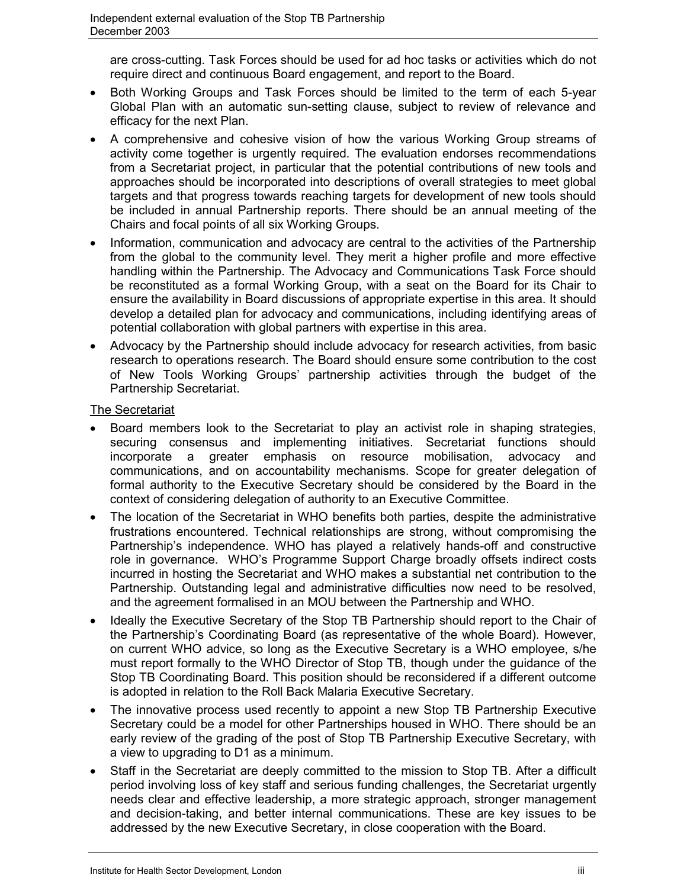are cross-cutting. Task Forces should be used for ad hoc tasks or activities which do not require direct and continuous Board engagement, and report to the Board.

- Both Working Groups and Task Forces should be limited to the term of each 5-year Global Plan with an automatic sun-setting clause, subject to review of relevance and efficacy for the next Plan.
- A comprehensive and cohesive vision of how the various Working Group streams of activity come together is urgently required. The evaluation endorses recommendations from a Secretariat project, in particular that the potential contributions of new tools and approaches should be incorporated into descriptions of overall strategies to meet global targets and that progress towards reaching targets for development of new tools should be included in annual Partnership reports. There should be an annual meeting of the Chairs and focal points of all six Working Groups.
- Information, communication and advocacy are central to the activities of the Partnership from the global to the community level. They merit a higher profile and more effective handling within the Partnership. The Advocacy and Communications Task Force should be reconstituted as a formal Working Group, with a seat on the Board for its Chair to ensure the availability in Board discussions of appropriate expertise in this area. It should develop a detailed plan for advocacy and communications, including identifying areas of potential collaboration with global partners with expertise in this area.
- Advocacy by the Partnership should include advocacy for research activities, from basic research to operations research. The Board should ensure some contribution to the cost of New Tools Working Groups' partnership activities through the budget of the Partnership Secretariat.

## The Secretariat

- Board members look to the Secretariat to play an activist role in shaping strategies, securing consensus and implementing initiatives. Secretariat functions should incorporate a greater emphasis on resource mobilisation, advocacy and communications, and on accountability mechanisms. Scope for greater delegation of formal authority to the Executive Secretary should be considered by the Board in the context of considering delegation of authority to an Executive Committee.
- The location of the Secretariat in WHO benefits both parties, despite the administrative frustrations encountered. Technical relationships are strong, without compromising the Partnership's independence. WHO has played a relatively hands-off and constructive role in governance. WHO's Programme Support Charge broadly offsets indirect costs incurred in hosting the Secretariat and WHO makes a substantial net contribution to the Partnership. Outstanding legal and administrative difficulties now need to be resolved, and the agreement formalised in an MOU between the Partnership and WHO.
- Ideally the Executive Secretary of the Stop TB Partnership should report to the Chair of the Partnership's Coordinating Board (as representative of the whole Board). However, on current WHO advice, so long as the Executive Secretary is a WHO employee, s/he must report formally to the WHO Director of Stop TB, though under the guidance of the Stop TB Coordinating Board. This position should be reconsidered if a different outcome is adopted in relation to the Roll Back Malaria Executive Secretary.
- The innovative process used recently to appoint a new Stop TB Partnership Executive Secretary could be a model for other Partnerships housed in WHO. There should be an early review of the grading of the post of Stop TB Partnership Executive Secretary, with a view to upgrading to D1 as a minimum.
- Staff in the Secretariat are deeply committed to the mission to Stop TB. After a difficult period involving loss of key staff and serious funding challenges, the Secretariat urgently needs clear and effective leadership, a more strategic approach, stronger management and decision-taking, and better internal communications. These are key issues to be addressed by the new Executive Secretary, in close cooperation with the Board.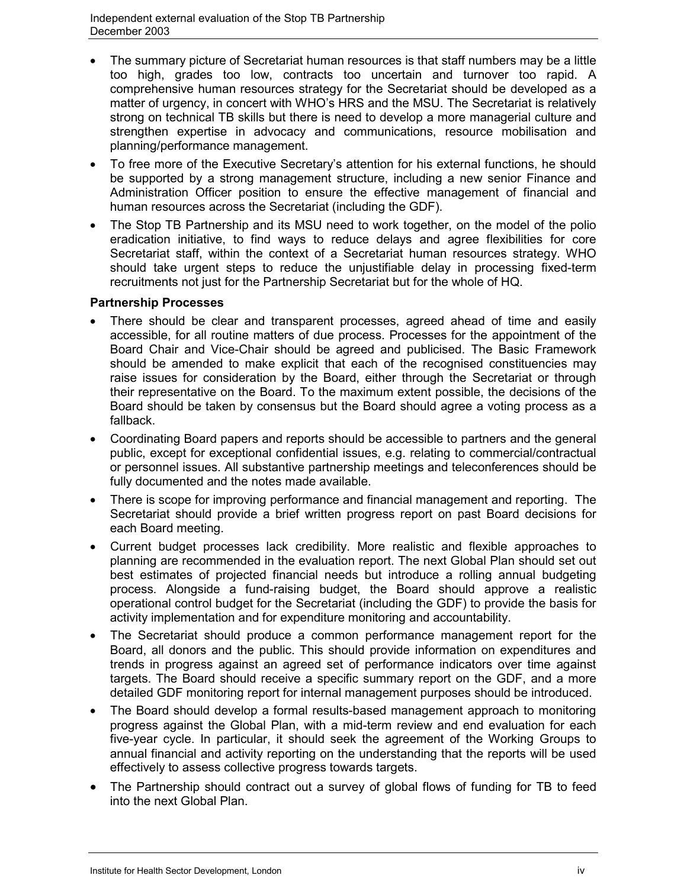- The summary picture of Secretariat human resources is that staff numbers may be a little too high, grades too low, contracts too uncertain and turnover too rapid. A comprehensive human resources strategy for the Secretariat should be developed as a matter of urgency, in concert with WHO's HRS and the MSU. The Secretariat is relatively strong on technical TB skills but there is need to develop a more managerial culture and strengthen expertise in advocacy and communications, resource mobilisation and planning/performance management.
- To free more of the Executive Secretary's attention for his external functions, he should be supported by a strong management structure, including a new senior Finance and Administration Officer position to ensure the effective management of financial and human resources across the Secretariat (including the GDF).
- The Stop TB Partnership and its MSU need to work together, on the model of the polio eradication initiative, to find ways to reduce delays and agree flexibilities for core Secretariat staff, within the context of a Secretariat human resources strategy. WHO should take urgent steps to reduce the unjustifiable delay in processing fixed-term recruitments not just for the Partnership Secretariat but for the whole of HQ.

## **Partnership Processes**

- There should be clear and transparent processes, agreed ahead of time and easily accessible, for all routine matters of due process. Processes for the appointment of the Board Chair and Vice-Chair should be agreed and publicised. The Basic Framework should be amended to make explicit that each of the recognised constituencies may raise issues for consideration by the Board, either through the Secretariat or through their representative on the Board. To the maximum extent possible, the decisions of the Board should be taken by consensus but the Board should agree a voting process as a fallback.
- Coordinating Board papers and reports should be accessible to partners and the general public, except for exceptional confidential issues, e.g. relating to commercial/contractual or personnel issues. All substantive partnership meetings and teleconferences should be fully documented and the notes made available.
- There is scope for improving performance and financial management and reporting. The Secretariat should provide a brief written progress report on past Board decisions for each Board meeting.
- Current budget processes lack credibility. More realistic and flexible approaches to planning are recommended in the evaluation report. The next Global Plan should set out best estimates of projected financial needs but introduce a rolling annual budgeting process. Alongside a fund-raising budget, the Board should approve a realistic operational control budget for the Secretariat (including the GDF) to provide the basis for activity implementation and for expenditure monitoring and accountability.
- The Secretariat should produce a common performance management report for the Board, all donors and the public. This should provide information on expenditures and trends in progress against an agreed set of performance indicators over time against targets. The Board should receive a specific summary report on the GDF, and a more detailed GDF monitoring report for internal management purposes should be introduced.
- The Board should develop a formal results-based management approach to monitoring progress against the Global Plan, with a mid-term review and end evaluation for each five-year cycle. In particular, it should seek the agreement of the Working Groups to annual financial and activity reporting on the understanding that the reports will be used effectively to assess collective progress towards targets.
- The Partnership should contract out a survey of global flows of funding for TB to feed into the next Global Plan.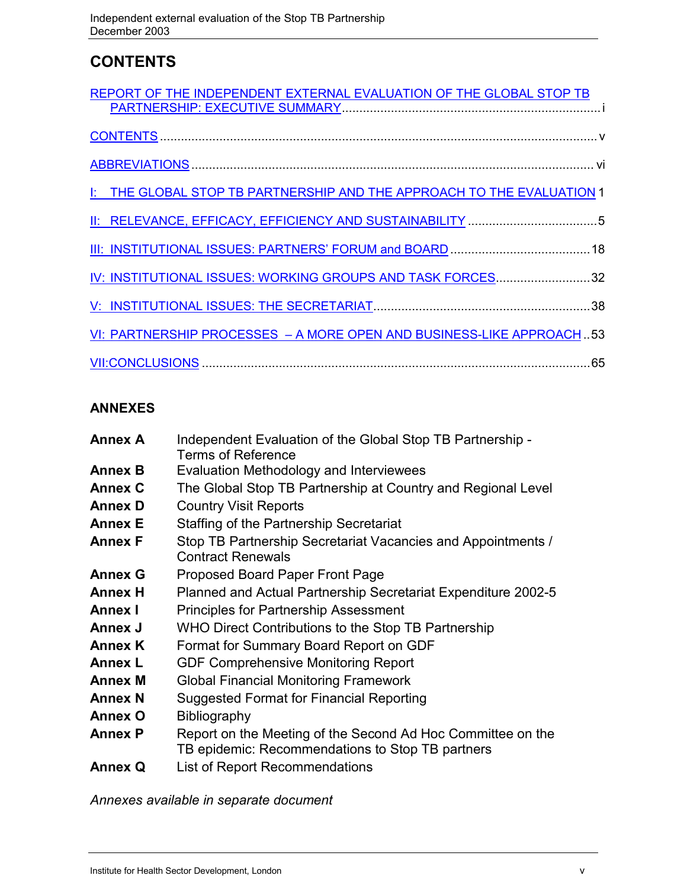## **CONTENTS**

| REPORT OF THE INDEPENDENT EXTERNAL EVALUATION OF THE GLOBAL STOP TB    |
|------------------------------------------------------------------------|
|                                                                        |
|                                                                        |
| I: THE GLOBAL STOP TB PARTNERSHIP AND THE APPROACH TO THE EVALUATION 1 |
|                                                                        |
|                                                                        |
| IV: INSTITUTIONAL ISSUES: WORKING GROUPS AND TASK FORCES32             |
|                                                                        |
| VI: PARTNERSHIP PROCESSES - A MORE OPEN AND BUSINESS-LIKE APPROACH53   |
|                                                                        |

## **ANNEXES**

| <b>Annex A</b> | Independent Evaluation of the Global Stop TB Partnership -<br>Terms of Reference                                |
|----------------|-----------------------------------------------------------------------------------------------------------------|
| <b>Annex B</b> | Evaluation Methodology and Interviewees                                                                         |
| <b>Annex C</b> | The Global Stop TB Partnership at Country and Regional Level                                                    |
| <b>Annex D</b> | <b>Country Visit Reports</b>                                                                                    |
| <b>Annex E</b> | Staffing of the Partnership Secretariat                                                                         |
| <b>Annex F</b> | Stop TB Partnership Secretariat Vacancies and Appointments /<br><b>Contract Renewals</b>                        |
| <b>Annex G</b> | Proposed Board Paper Front Page                                                                                 |
| <b>Annex H</b> | Planned and Actual Partnership Secretariat Expenditure 2002-5                                                   |
| <b>Annex I</b> | <b>Principles for Partnership Assessment</b>                                                                    |
| Annex J        | WHO Direct Contributions to the Stop TB Partnership                                                             |
| <b>Annex K</b> | Format for Summary Board Report on GDF                                                                          |
| <b>Annex L</b> | <b>GDF Comprehensive Monitoring Report</b>                                                                      |
| <b>Annex M</b> | <b>Global Financial Monitoring Framework</b>                                                                    |
| <b>Annex N</b> | Suggested Format for Financial Reporting                                                                        |
| <b>Annex O</b> | <b>Bibliography</b>                                                                                             |
| <b>Annex P</b> | Report on the Meeting of the Second Ad Hoc Committee on the<br>TB epidemic: Recommendations to Stop TB partners |
| <b>Annex Q</b> | <b>List of Report Recommendations</b>                                                                           |

*Annexes available in separate document*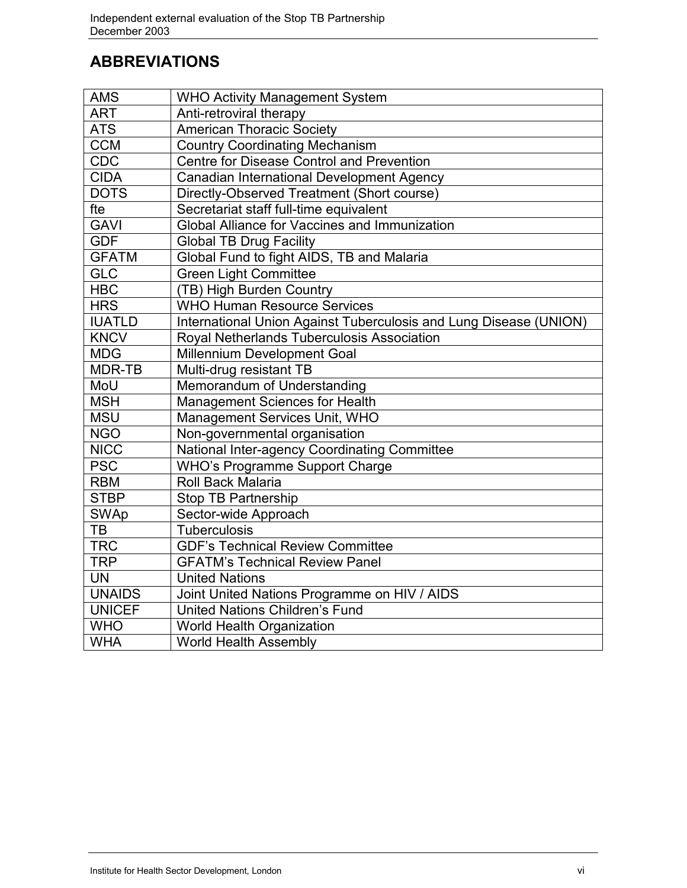## **ABBREVIATIONS**

| <b>AMS</b>    | <b>WHO Activity Management System</b>                             |  |  |
|---------------|-------------------------------------------------------------------|--|--|
| <b>ART</b>    | Anti-retroviral therapy                                           |  |  |
| <b>ATS</b>    | <b>American Thoracic Society</b>                                  |  |  |
| <b>CCM</b>    | <b>Country Coordinating Mechanism</b>                             |  |  |
| CDC           | Centre for Disease Control and Prevention                         |  |  |
| <b>CIDA</b>   | Canadian International Development Agency                         |  |  |
| <b>DOTS</b>   | Directly-Observed Treatment (Short course)                        |  |  |
| fte           | Secretariat staff full-time equivalent                            |  |  |
| <b>GAVI</b>   | <b>Global Alliance for Vaccines and Immunization</b>              |  |  |
| <b>GDF</b>    | <b>Global TB Drug Facility</b>                                    |  |  |
| <b>GFATM</b>  | Global Fund to fight AIDS, TB and Malaria                         |  |  |
| <b>GLC</b>    | <b>Green Light Committee</b>                                      |  |  |
| <b>HBC</b>    | (TB) High Burden Country                                          |  |  |
| <b>HRS</b>    | <b>WHO Human Resource Services</b>                                |  |  |
| <b>IUATLD</b> | International Union Against Tuberculosis and Lung Disease (UNION) |  |  |
| <b>KNCV</b>   | Royal Netherlands Tuberculosis Association                        |  |  |
| <b>MDG</b>    | <b>Millennium Development Goal</b>                                |  |  |
| MDR-TB        | Multi-drug resistant TB                                           |  |  |
| MoU           | Memorandum of Understanding                                       |  |  |
| <b>MSH</b>    | <b>Management Sciences for Health</b>                             |  |  |
| <b>MSU</b>    | Management Services Unit, WHO                                     |  |  |
| <b>NGO</b>    | Non-governmental organisation                                     |  |  |
| <b>NICC</b>   | National Inter-agency Coordinating Committee                      |  |  |
| <b>PSC</b>    | <b>WHO's Programme Support Charge</b>                             |  |  |
| <b>RBM</b>    | Roll Back Malaria                                                 |  |  |
| <b>STBP</b>   | <b>Stop TB Partnership</b>                                        |  |  |
| <b>SWAp</b>   | Sector-wide Approach                                              |  |  |
| TB            | <b>Tuberculosis</b>                                               |  |  |
| <b>TRC</b>    | <b>GDF's Technical Review Committee</b>                           |  |  |
| <b>TRP</b>    | <b>GFATM's Technical Review Panel</b>                             |  |  |
| <b>UN</b>     | <b>United Nations</b>                                             |  |  |
| <b>UNAIDS</b> | Joint United Nations Programme on HIV / AIDS                      |  |  |
| <b>UNICEF</b> | <b>United Nations Children's Fund</b>                             |  |  |
| <b>WHO</b>    | <b>World Health Organization</b>                                  |  |  |
| <b>WHA</b>    | <b>World Health Assembly</b>                                      |  |  |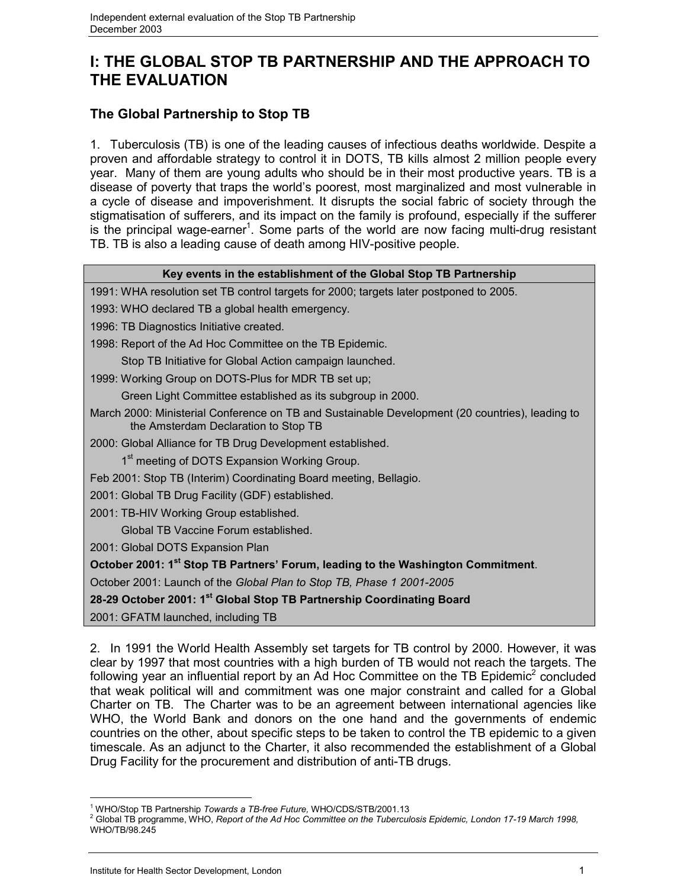## **I: THE GLOBAL STOP TB PARTNERSHIP AND THE APPROACH TO THE EVALUATION**

## **The Global Partnership to Stop TB**

1. Tuberculosis (TB) is one of the leading causes of infectious deaths worldwide. Despite a proven and affordable strategy to control it in DOTS, TB kills almost 2 million people every year. Many of them are young adults who should be in their most productive years. TB is a disease of poverty that traps the world's poorest, most marginalized and most vulnerable in a cycle of disease and impoverishment. It disrupts the social fabric of society through the stigmatisation of sufferers, and its impact on the family is profound, especially if the sufferer is the principal wage-earner<sup>1</sup>. Some parts of the world are now facing multi-drug resistant TB. TB is also a leading cause of death among HIV-positive people.

| Key events in the establishment of the Global Stop TB Partnership                                                                       |
|-----------------------------------------------------------------------------------------------------------------------------------------|
| 1991: WHA resolution set TB control targets for 2000; targets later postponed to 2005.                                                  |
| 1993: WHO declared TB a global health emergency.                                                                                        |
| 1996: TB Diagnostics Initiative created.                                                                                                |
| 1998: Report of the Ad Hoc Committee on the TB Epidemic.                                                                                |
| Stop TB Initiative for Global Action campaign launched.                                                                                 |
| 1999: Working Group on DOTS-Plus for MDR TB set up;                                                                                     |
| Green Light Committee established as its subgroup in 2000.                                                                              |
| March 2000: Ministerial Conference on TB and Sustainable Development (20 countries), leading to<br>the Amsterdam Declaration to Stop TB |
| 2000: Global Alliance for TB Drug Development established.                                                                              |
| 1 <sup>st</sup> meeting of DOTS Expansion Working Group.                                                                                |
| Feb 2001: Stop TB (Interim) Coordinating Board meeting, Bellagio.                                                                       |
| 2001: Global TB Drug Facility (GDF) established.                                                                                        |
| 2001: TB-HIV Working Group established.                                                                                                 |
| Global TB Vaccine Forum established.                                                                                                    |
| 2001: Global DOTS Expansion Plan                                                                                                        |
| October 2001: 1 <sup>st</sup> Stop TB Partners' Forum, leading to the Washington Commitment.                                            |
| October 2001: Launch of the Global Plan to Stop TB, Phase 1 2001-2005                                                                   |
| 28-29 October 2001: 1 <sup>st</sup> Global Stop TB Partnership Coordinating Board                                                       |
| 2001: GFATM launched, including TB                                                                                                      |
|                                                                                                                                         |

2. In 1991 the World Health Assembly set targets for TB control by 2000. However, it was clear by 1997 that most countries with a high burden of TB would not reach the targets. The following year an influential report by an Ad Hoc Committee on the TB Epidemic<sup>2</sup> concluded that weak political will and commitment was one major constraint and called for a Global Charter on TB. The Charter was to be an agreement between international agencies like WHO, the World Bank and donors on the one hand and the governments of endemic countries on the other, about specific steps to be taken to control the TB epidemic to a given timescale. As an adjunct to the Charter, it also recommended the establishment of a Global Drug Facility for the procurement and distribution of anti-TB drugs.

 $\overline{a}$ 

<sup>&</sup>lt;sup>1</sup> WHO/Stop TB Partnership *Towards a TB-free Future,* WHO/CDS/STB/2001.13<br><sup>2</sup> Clobal TB arassamme, WHO, Ranart of the Ad Has Committee an the Tuberau

Global TB programme, WHO, *Report of the Ad Hoc Committee on the Tuberculosis Epidemic, London 17-19 March 1998,* WHO/TB/98.245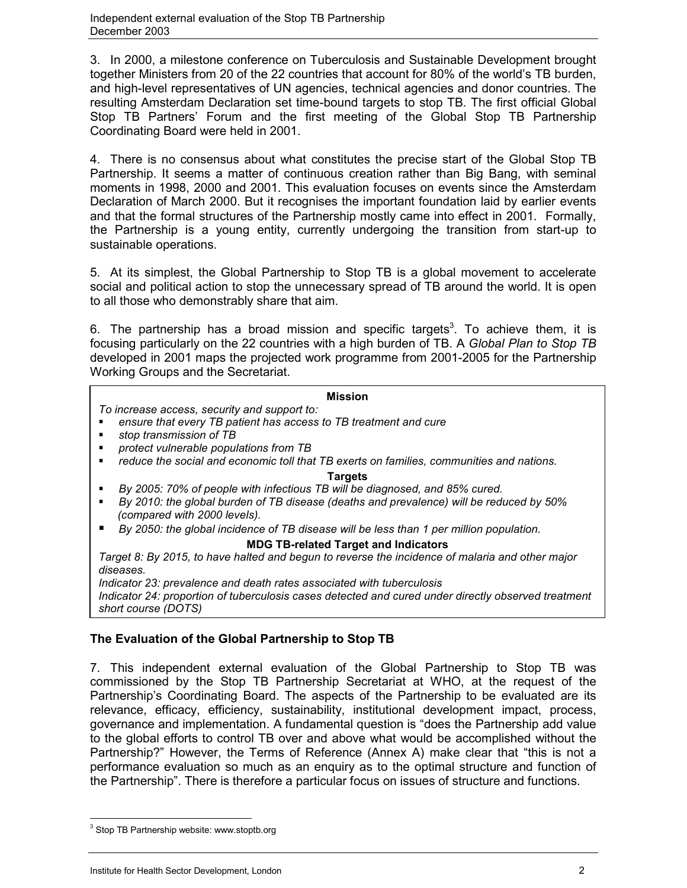3. In 2000, a milestone conference on Tuberculosis and Sustainable Development brought together Ministers from 20 of the 22 countries that account for 80% of the world's TB burden, and high-level representatives of UN agencies, technical agencies and donor countries. The resulting Amsterdam Declaration set time-bound targets to stop TB. The first official Global Stop TB Partners' Forum and the first meeting of the Global Stop TB Partnership Coordinating Board were held in 2001.

4. There is no consensus about what constitutes the precise start of the Global Stop TB Partnership. It seems a matter of continuous creation rather than Big Bang, with seminal moments in 1998, 2000 and 2001. This evaluation focuses on events since the Amsterdam Declaration of March 2000. But it recognises the important foundation laid by earlier events and that the formal structures of the Partnership mostly came into effect in 2001. Formally, the Partnership is a young entity, currently undergoing the transition from start-up to sustainable operations.

5. At its simplest, the Global Partnership to Stop TB is a global movement to accelerate social and political action to stop the unnecessary spread of TB around the world. It is open to all those who demonstrably share that aim.

6. The partnership has a broad mission and specific targets<sup>3</sup>. To achieve them, it is focusing particularly on the 22 countries with a high burden of TB. A *Global Plan to Stop TB* developed in 2001 maps the projected work programme from 2001-2005 for the Partnership Working Groups and the Secretariat.

### **Mission**

*To increase access, security and support to:*

- *ensure that every TB patient has access to TB treatment and cure*
- *stop transmission of TB*
- *protect vulnerable populations from TB*
- *reduce the social and economic toll that TB exerts on families, communities and nations.*

#### **Targets**

- *By 2005: 70% of people with infectious TB will be diagnosed, and 85% cured.*
- *By 2010: the global burden of TB disease (deaths and prevalence) will be reduced by 50% (compared with 2000 levels).*
- *By 2050: the global incidence of TB disease will be less than 1 per million population.*

### **MDG TB-related Target and Indicators**

*Target 8: By 2015, to have halted and begun to reverse the incidence of malaria and other major diseases.*

*Indicator 23: prevalence and death rates associated with tuberculosis Indicator 24: proportion of tuberculosis cases detected and cured under directly observed treatment short course (DOTS)*

## **The Evaluation of the Global Partnership to Stop TB**

7. This independent external evaluation of the Global Partnership to Stop TB was commissioned by the Stop TB Partnership Secretariat at WHO, at the request of the Partnership's Coordinating Board. The aspects of the Partnership to be evaluated are its relevance, efficacy, efficiency, sustainability, institutional development impact, process, governance and implementation. A fundamental question is "does the Partnership add value to the global efforts to control TB over and above what would be accomplished without the Partnership?" However, the Terms of Reference (Annex A) make clear that "this is not a performance evaluation so much as an enquiry as to the optimal structure and function of the Partnership". There is therefore a particular focus on issues of structure and functions.

 $\overline{a}$ 

<sup>&</sup>lt;sup>3</sup> Stop TB Partnership website: www.stoptb.org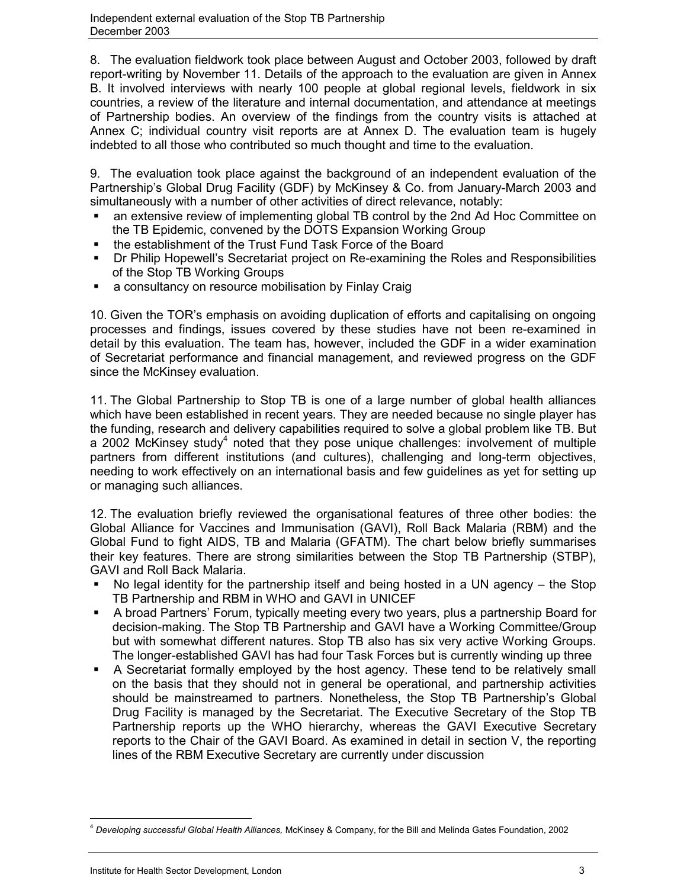8. The evaluation fieldwork took place between August and October 2003, followed by draft report-writing by November 11. Details of the approach to the evaluation are given in Annex B. It involved interviews with nearly 100 people at global regional levels, fieldwork in six countries, a review of the literature and internal documentation, and attendance at meetings of Partnership bodies. An overview of the findings from the country visits is attached at Annex C; individual country visit reports are at Annex D. The evaluation team is hugely indebted to all those who contributed so much thought and time to the evaluation.

9. The evaluation took place against the background of an independent evaluation of the Partnership's Global Drug Facility (GDF) by McKinsey & Co. from January-March 2003 and simultaneously with a number of other activities of direct relevance, notably:

- an extensive review of implementing global TB control by the 2nd Ad Hoc Committee on the TB Epidemic, convened by the DOTS Expansion Working Group
- the establishment of the Trust Fund Task Force of the Board
- Dr Philip Hopewell's Secretariat project on Re-examining the Roles and Responsibilities of the Stop TB Working Groups
- **a** consultancy on resource mobilisation by Finlay Craig

10. Given the TOR's emphasis on avoiding duplication of efforts and capitalising on ongoing processes and findings, issues covered by these studies have not been re-examined in detail by this evaluation. The team has, however, included the GDF in a wider examination of Secretariat performance and financial management, and reviewed progress on the GDF since the McKinsey evaluation.

11. The Global Partnership to Stop TB is one of a large number of global health alliances which have been established in recent years. They are needed because no single player has the funding, research and delivery capabilities required to solve a global problem like TB. But a 2002 McKinsey study<sup>4</sup> noted that they pose unique challenges: involvement of multiple partners from different institutions (and cultures), challenging and long-term objectives, needing to work effectively on an international basis and few guidelines as yet for setting up or managing such alliances.

12. The evaluation briefly reviewed the organisational features of three other bodies: the Global Alliance for Vaccines and Immunisation (GAVI), Roll Back Malaria (RBM) and the Global Fund to fight AIDS, TB and Malaria (GFATM). The chart below briefly summarises their key features. There are strong similarities between the Stop TB Partnership (STBP), GAVI and Roll Back Malaria.

- No legal identity for the partnership itself and being hosted in a UN agency the Stop TB Partnership and RBM in WHO and GAVI in UNICEF
- A broad Partners' Forum, typically meeting every two years, plus a partnership Board for decision-making. The Stop TB Partnership and GAVI have a Working Committee/Group but with somewhat different natures. Stop TB also has six very active Working Groups. The longer-established GAVI has had four Task Forces but is currently winding up three
- A Secretariat formally employed by the host agency. These tend to be relatively small on the basis that they should not in general be operational, and partnership activities should be mainstreamed to partners. Nonetheless, the Stop TB Partnership's Global Drug Facility is managed by the Secretariat. The Executive Secretary of the Stop TB Partnership reports up the WHO hierarchy, whereas the GAVI Executive Secretary reports to the Chair of the GAVI Board. As examined in detail in section V, the reporting lines of the RBM Executive Secretary are currently under discussion

 $\overline{a}$ <sup>4</sup> *Developing successful Global Health Alliances,* McKinsey & Company, for the Bill and Melinda Gates Foundation, 2002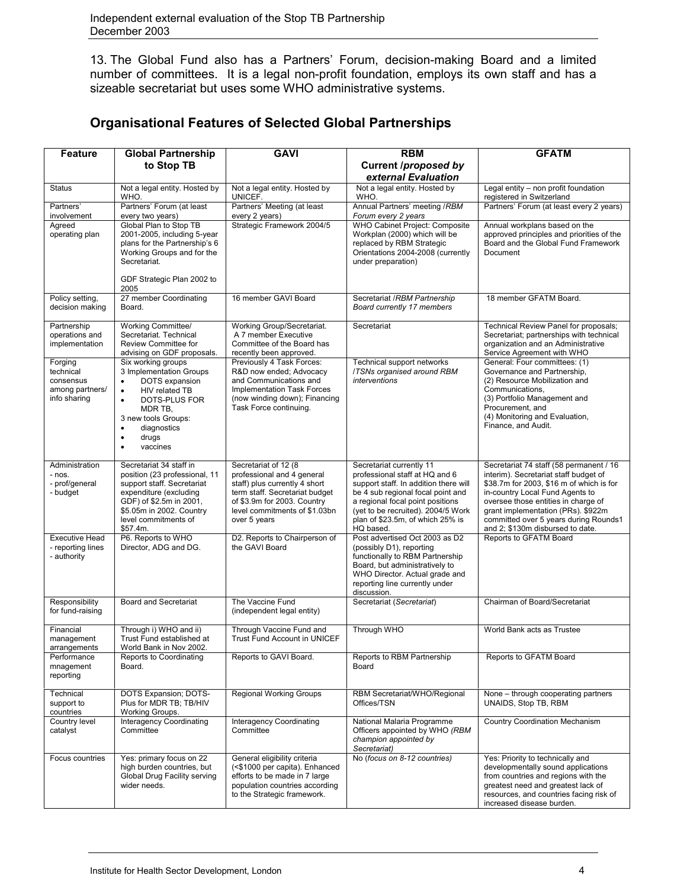13. The Global Fund also has a Partners' Forum, decision-making Board and a limited number of committees. It is a legal non-profit foundation, employs its own staff and has a sizeable secretariat but uses some WHO administrative systems.

| <b>Feature</b>                                                       | <b>Global Partnership</b>                                                                                                                                                                                                                      | <b>GAVI</b>                                                                                                                                                                                            | <b>RBM</b>                                                                                                                                                                                                                                                          | <b>GFATM</b>                                                                                                                                                                                                                                                                                                              |
|----------------------------------------------------------------------|------------------------------------------------------------------------------------------------------------------------------------------------------------------------------------------------------------------------------------------------|--------------------------------------------------------------------------------------------------------------------------------------------------------------------------------------------------------|---------------------------------------------------------------------------------------------------------------------------------------------------------------------------------------------------------------------------------------------------------------------|---------------------------------------------------------------------------------------------------------------------------------------------------------------------------------------------------------------------------------------------------------------------------------------------------------------------------|
|                                                                      | to Stop TB                                                                                                                                                                                                                                     |                                                                                                                                                                                                        | <b>Current /proposed by</b><br>external Evaluation                                                                                                                                                                                                                  |                                                                                                                                                                                                                                                                                                                           |
| <b>Status</b>                                                        | Not a legal entity. Hosted by<br>WHO.                                                                                                                                                                                                          | Not a legal entity. Hosted by<br>UNICEF.                                                                                                                                                               | Not a legal entity. Hosted by<br>WHO.                                                                                                                                                                                                                               | Legal entity - non profit foundation<br>registered in Switzerland                                                                                                                                                                                                                                                         |
| Partners'<br>involvement                                             | Partners' Forum (at least<br>every two years)                                                                                                                                                                                                  | Partners' Meeting (at least<br>every 2 years)                                                                                                                                                          | Annual Partners' meeting /RBM<br>Forum every 2 years                                                                                                                                                                                                                |                                                                                                                                                                                                                                                                                                                           |
| Agreed<br>operating plan                                             | Global Plan to Stop TB<br>2001-2005, including 5-year<br>plans for the Partnership's 6<br>Working Groups and for the<br>Secretariat.<br>GDF Strategic Plan 2002 to                                                                             | Strategic Framework 2004/5                                                                                                                                                                             | WHO Cabinet Project: Composite<br>Workplan (2000) which will be<br>replaced by RBM Strategic<br>Orientations 2004-2008 (currently<br>under preparation)                                                                                                             | Annual workplans based on the<br>approved principles and priorities of the<br>Board and the Global Fund Framework<br>Document                                                                                                                                                                                             |
|                                                                      | 2005                                                                                                                                                                                                                                           |                                                                                                                                                                                                        |                                                                                                                                                                                                                                                                     |                                                                                                                                                                                                                                                                                                                           |
| Policy setting,<br>decision making                                   | 27 member Coordinating<br>Board.                                                                                                                                                                                                               | 16 member GAVI Board                                                                                                                                                                                   | Secretariat /RBM Partnership<br>Board currently 17 members                                                                                                                                                                                                          | 18 member GFATM Board.                                                                                                                                                                                                                                                                                                    |
| Partnership<br>operations and<br>implementation                      | Working Committee/<br>Secretariat. Technical<br>Review Committee for<br>advising on GDF proposals.                                                                                                                                             | Working Group/Secretariat.<br>A 7 member Executive<br>Committee of the Board has<br>recently been approved.                                                                                            | Secretariat                                                                                                                                                                                                                                                         | Technical Review Panel for proposals;<br>Secretariat; partnerships with technical<br>organization and an Administrative<br>Service Agreement with WHO                                                                                                                                                                     |
| Forging<br>technical<br>consensus<br>among partners/<br>info sharing | Six working groups<br>3 Implementation Groups<br>DOTS expansion<br>٠<br>HIV related TB<br>$\bullet$<br>DOTS-PLUS FOR<br>$\bullet$<br>MDR TB.<br>3 new tools Groups:<br>diagnostics<br>$\bullet$<br>drugs<br>$\bullet$<br>vaccines<br>$\bullet$ | Previously 4 Task Forces:<br>R&D now ended; Advocacy<br>and Communications and<br>Implementation Task Forces<br>(now winding down); Financing<br>Task Force continuing.                                | Technical support networks<br>/TSNs organised around RBM<br>interventions                                                                                                                                                                                           | General: Four committees: (1)<br>Governance and Partnership,<br>(2) Resource Mobilization and<br>Communications,<br>(3) Portfolio Management and<br>Procurement, and<br>(4) Monitoring and Evaluation,<br>Finance, and Audit.                                                                                             |
| Administration<br>- nos.<br>- prof/general<br>- budget               | Secretariat 34 staff in<br>position (23 professional, 11<br>support staff. Secretariat<br>expenditure (excluding<br>GDF) of \$2.5m in 2001,<br>\$5.05m in 2002. Country<br>level commitments of<br>\$57.4m.                                    | Secretariat of 12 (8)<br>professional and 4 general<br>staff) plus currently 4 short<br>term staff. Secretariat budget<br>of \$3.9m for 2003. Country<br>level commitments of \$1.03bn<br>over 5 years | Secretariat currently 11<br>professional staff at HQ and 6<br>support staff. In addition there will<br>be 4 sub regional focal point and<br>a regional focal point positions<br>(yet to be recruited). 2004/5 Work<br>plan of \$23.5m, of which 25% is<br>HQ based. | Secretariat 74 staff (58 permanent / 16<br>interim). Secretariat staff budget of<br>\$38.7m for 2003, \$16 m of which is for<br>in-country Local Fund Agents to<br>oversee those entities in charge of<br>grant implementation (PRs). \$922m<br>committed over 5 years during Rounds1<br>and 2; \$130m disbursed to date. |
| <b>Executive Head</b><br>- reporting lines<br>- authority            | P6. Reports to WHO<br>Director, ADG and DG.                                                                                                                                                                                                    | D2. Reports to Chairperson of<br>the GAVI Board                                                                                                                                                        | Post advertised Oct 2003 as D2<br>(possibly D1), reporting<br>functionally to RBM Partnership<br>Board, but administratively to<br>WHO Director. Actual grade and<br>reporting line currently under<br>discussion.                                                  | Reports to GFATM Board                                                                                                                                                                                                                                                                                                    |
| Responsibility<br>for fund-raising                                   | <b>Board and Secretariat</b>                                                                                                                                                                                                                   | The Vaccine Fund<br>(independent legal entity)                                                                                                                                                         | Secretariat (Secretariat)                                                                                                                                                                                                                                           | Chairman of Board/Secretariat                                                                                                                                                                                                                                                                                             |
| Financial<br>management<br>arrangements                              | Through i) WHO and ii)<br>Trust Fund established at<br>World Bank in Nov 2002.                                                                                                                                                                 | Through Vaccine Fund and<br>Trust Fund Account in UNICEF                                                                                                                                               | Through WHO                                                                                                                                                                                                                                                         | World Bank acts as Trustee                                                                                                                                                                                                                                                                                                |
| Performance<br>mnagement<br>reporting                                | Reports to Coordinating<br>Board.                                                                                                                                                                                                              | Reports to GAVI Board.                                                                                                                                                                                 | Reports to RBM Partnership<br>Board                                                                                                                                                                                                                                 | Reports to GFATM Board                                                                                                                                                                                                                                                                                                    |
| Technical<br>support to<br>countries                                 | DOTS Expansion; DOTS-<br>Plus for MDR TB; TB/HIV<br>Working Groups.                                                                                                                                                                            | <b>Regional Working Groups</b>                                                                                                                                                                         | RBM Secretariat/WHO/Regional<br>Offices/TSN                                                                                                                                                                                                                         | None - through cooperating partners<br>UNAIDS, Stop TB, RBM                                                                                                                                                                                                                                                               |
| Country level<br>catalyst                                            | <b>Interagency Coordinating</b><br>Committee                                                                                                                                                                                                   | <b>Interagency Coordinating</b><br>Committee                                                                                                                                                           | National Malaria Programme<br>Officers appointed by WHO (RBM<br>champion appointed by<br>Secretariat)                                                                                                                                                               | Country Coordination Mechanism                                                                                                                                                                                                                                                                                            |
| Focus countries                                                      | Yes: primary focus on 22<br>high burden countries, but<br>Global Drug Facility serving<br>wider needs.                                                                                                                                         | General eligibility criteria<br>(<\$1000 per capita). Enhanced<br>efforts to be made in 7 large<br>population countries according<br>to the Strategic framework.                                       | No (focus on 8-12 countries)                                                                                                                                                                                                                                        | Yes: Priority to technically and<br>developmentally sound applications<br>from countries and regions with the<br>greatest need and greatest lack of<br>resources, and countries facing risk of<br>increased disease burden.                                                                                               |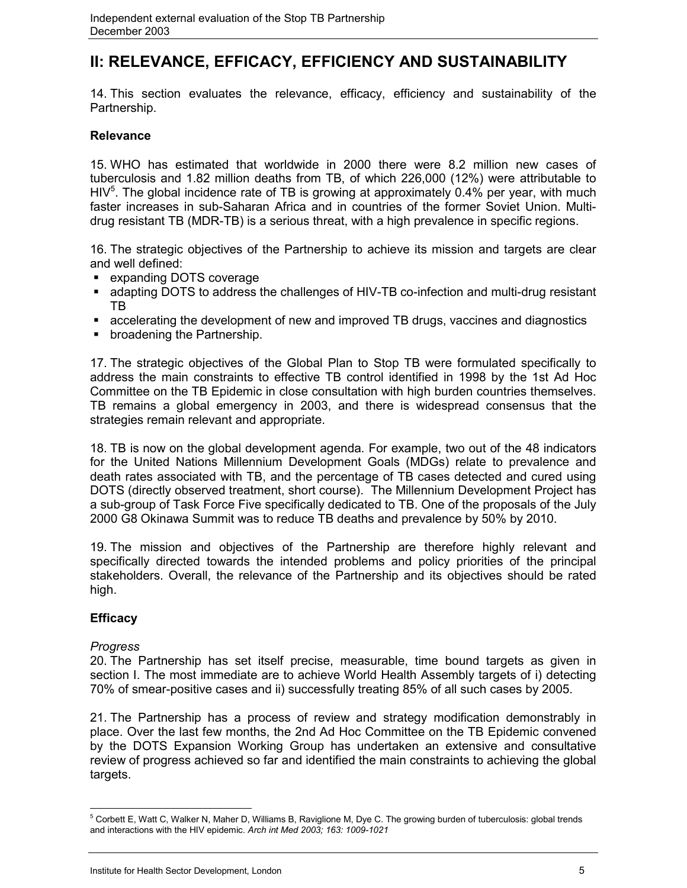## **II: RELEVANCE, EFFICACY, EFFICIENCY AND SUSTAINABILITY**

14. This section evaluates the relevance, efficacy, efficiency and sustainability of the Partnership.

## **Relevance**

15. WHO has estimated that worldwide in 2000 there were 8.2 million new cases of tuberculosis and 1.82 million deaths from TB, of which 226,000 (12%) were attributable to HIV<sup>5</sup>. The global incidence rate of TB is growing at approximately 0.4% per year, with much faster increases in sub-Saharan Africa and in countries of the former Soviet Union. Multidrug resistant TB (MDR-TB) is a serious threat, with a high prevalence in specific regions.

16. The strategic objectives of the Partnership to achieve its mission and targets are clear and well defined:

- **Expanding DOTS coverage**
- adapting DOTS to address the challenges of HIV-TB co-infection and multi-drug resistant TB
- accelerating the development of new and improved TB drugs, vaccines and diagnostics
- **•** broadening the Partnership.

17. The strategic objectives of the Global Plan to Stop TB were formulated specifically to address the main constraints to effective TB control identified in 1998 by the 1st Ad Hoc Committee on the TB Epidemic in close consultation with high burden countries themselves. TB remains a global emergency in 2003, and there is widespread consensus that the strategies remain relevant and appropriate.

18. TB is now on the global development agenda. For example, two out of the 48 indicators for the United Nations Millennium Development Goals (MDGs) relate to prevalence and death rates associated with TB, and the percentage of TB cases detected and cured using DOTS (directly observed treatment, short course). The Millennium Development Project has a sub-group of Task Force Five specifically dedicated to TB. One of the proposals of the July 2000 G8 Okinawa Summit was to reduce TB deaths and prevalence by 50% by 2010.

19. The mission and objectives of the Partnership are therefore highly relevant and specifically directed towards the intended problems and policy priorities of the principal stakeholders. Overall, the relevance of the Partnership and its objectives should be rated high.

## **Efficacy**

### *Progress*

20. The Partnership has set itself precise, measurable, time bound targets as given in section I. The most immediate are to achieve World Health Assembly targets of i) detecting 70% of smear-positive cases and ii) successfully treating 85% of all such cases by 2005.

21. The Partnership has a process of review and strategy modification demonstrably in place. Over the last few months, the 2nd Ad Hoc Committee on the TB Epidemic convened by the DOTS Expansion Working Group has undertaken an extensive and consultative review of progress achieved so far and identified the main constraints to achieving the global targets.

 5 Corbett E, Watt C, Walker N, Maher D, Williams B, Raviglione M, Dye C. The growing burden of tuberculosis: global trends and interactions with the HIV epidemic. *Arch int Med 2003; 163: 1009-1021*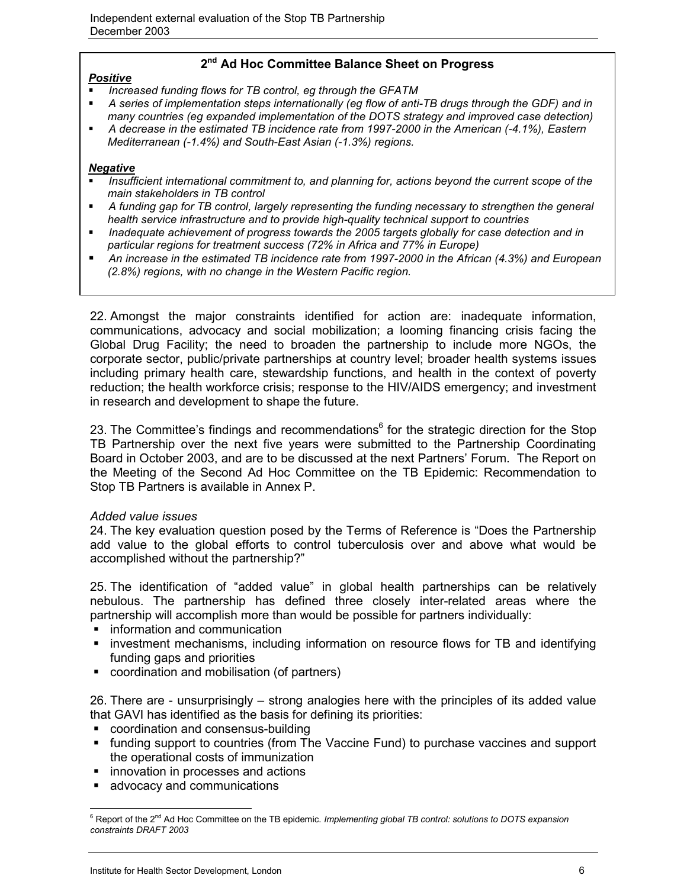## **2nd Ad Hoc Committee Balance Sheet on Progress**

## *Positive*

- *Increased funding flows for TB control, eg through the GFATM*
- *A series of implementation steps internationally (eg flow of anti-TB drugs through the GDF) and in many countries (eg expanded implementation of the DOTS strategy and improved case detection)*
- *A decrease in the estimated TB incidence rate from 1997-2000 in the American (-4.1%), Eastern Mediterranean (-1.4%) and South-East Asian (-1.3%) regions.*

### *Negative*

- *Insufficient international commitment to, and planning for, actions beyond the current scope of the main stakeholders in TB control*
- *A funding gap for TB control, largely representing the funding necessary to strengthen the general health service infrastructure and to provide high-quality technical support to countries*
- *Inadequate achievement of progress towards the 2005 targets globally for case detection and in particular regions for treatment success (72% in Africa and 77% in Europe)*
- *An increase in the estimated TB incidence rate from 1997-2000 in the African (4.3%) and European (2.8%) regions, with no change in the Western Pacific region.*

22. Amongst the major constraints identified for action are: inadequate information, communications, advocacy and social mobilization; a looming financing crisis facing the Global Drug Facility; the need to broaden the partnership to include more NGOs, the corporate sector, public/private partnerships at country level; broader health systems issues including primary health care, stewardship functions, and health in the context of poverty reduction; the health workforce crisis; response to the HIV/AIDS emergency; and investment in research and development to shape the future.

23. The Committee's findings and recommendations<sup>6</sup> for the strategic direction for the Stop TB Partnership over the next five years were submitted to the Partnership Coordinating Board in October 2003, and are to be discussed at the next Partners' Forum. The Report on the Meeting of the Second Ad Hoc Committee on the TB Epidemic: Recommendation to Stop TB Partners is available in Annex P.

### *Added value issues*

24. The key evaluation question posed by the Terms of Reference is "Does the Partnership add value to the global efforts to control tuberculosis over and above what would be accomplished without the partnership?"

25. The identification of "added value" in global health partnerships can be relatively nebulous. The partnership has defined three closely inter-related areas where the partnership will accomplish more than would be possible for partners individually:

- **•** information and communication
- **EX investment mechanisms, including information on resource flows for TB and identifying** funding gaps and priorities
- coordination and mobilisation (of partners)

26. There are - unsurprisingly – strong analogies here with the principles of its added value that GAVI has identified as the basis for defining its priorities:

- coordination and consensus-building
- funding support to countries (from The Vaccine Fund) to purchase vaccines and support the operational costs of immunization
- **innovation in processes and actions**
- **advocacy and communications**

 $\overline{a}$ <sup>6</sup> Report of the 2<sup>nd</sup> Ad Hoc Committee on the TB epidemic. *Implementing global TB control: solutions to DOTS expansion constraints DRAFT 2003*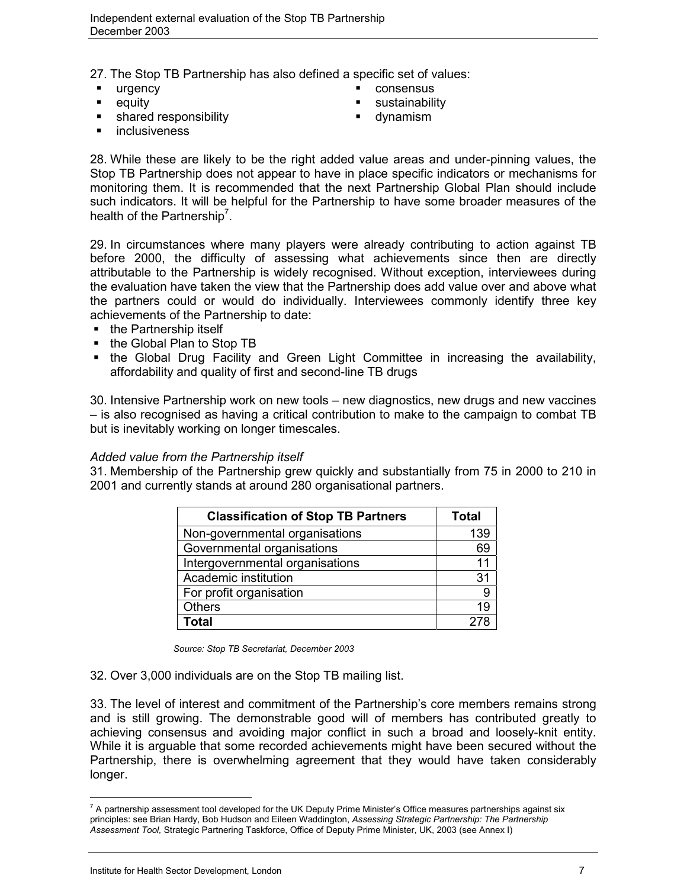27. The Stop TB Partnership has also defined a specific set of values:

- urgency **consensus** 
	-
- shared responsibility **and in the set of the set of the set of the set of the set of the set of the set of the set of the set of the set of the set of the set of the set of the set of the set of the set of the set of the**
- **equity** equity **sustainability** 
	-

inclusiveness

28. While these are likely to be the right added value areas and under-pinning values, the Stop TB Partnership does not appear to have in place specific indicators or mechanisms for monitoring them. It is recommended that the next Partnership Global Plan should include such indicators. It will be helpful for the Partnership to have some broader measures of the health of the Partnership<sup>7</sup>.

29. In circumstances where many players were already contributing to action against TB before 2000, the difficulty of assessing what achievements since then are directly attributable to the Partnership is widely recognised. Without exception, interviewees during the evaluation have taken the view that the Partnership does add value over and above what the partners could or would do individually. Interviewees commonly identify three key achievements of the Partnership to date:

- the Partnership itself
- the Global Plan to Stop TB
- the Global Drug Facility and Green Light Committee in increasing the availability, affordability and quality of first and second-line TB drugs

30. Intensive Partnership work on new tools – new diagnostics, new drugs and new vaccines – is also recognised as having a critical contribution to make to the campaign to combat TB but is inevitably working on longer timescales.

## *Added value from the Partnership itself*

31. Membership of the Partnership grew quickly and substantially from 75 in 2000 to 210 in 2001 and currently stands at around 280 organisational partners.

| <b>Classification of Stop TB Partners</b> | <b>Total</b> |
|-------------------------------------------|--------------|
| Non-governmental organisations            | 139          |
| Governmental organisations                | 69           |
| Intergovernmental organisations           | 11           |
| Academic institution                      | 31           |
| For profit organisation                   | 9            |
| <b>Others</b>                             | 19           |
| <b>Total</b>                              |              |

 *Source: Stop TB Secretariat, December 2003*

32. Over 3,000 individuals are on the Stop TB mailing list.

33. The level of interest and commitment of the Partnership's core members remains strong and is still growing. The demonstrable good will of members has contributed greatly to achieving consensus and avoiding major conflict in such a broad and loosely-knit entity. While it is arguable that some recorded achievements might have been secured without the Partnership, there is overwhelming agreement that they would have taken considerably longer.

 $\overline{a}$  $^7$  A partnership assessment tool developed for the UK Deputy Prime Minister's Office measures partnerships against six principles: see Brian Hardy, Bob Hudson and Eileen Waddington, *Assessing Strategic Partnership: The Partnership Assessment Tool,* Strategic Partnering Taskforce, Office of Deputy Prime Minister, UK, 2003 (see Annex I)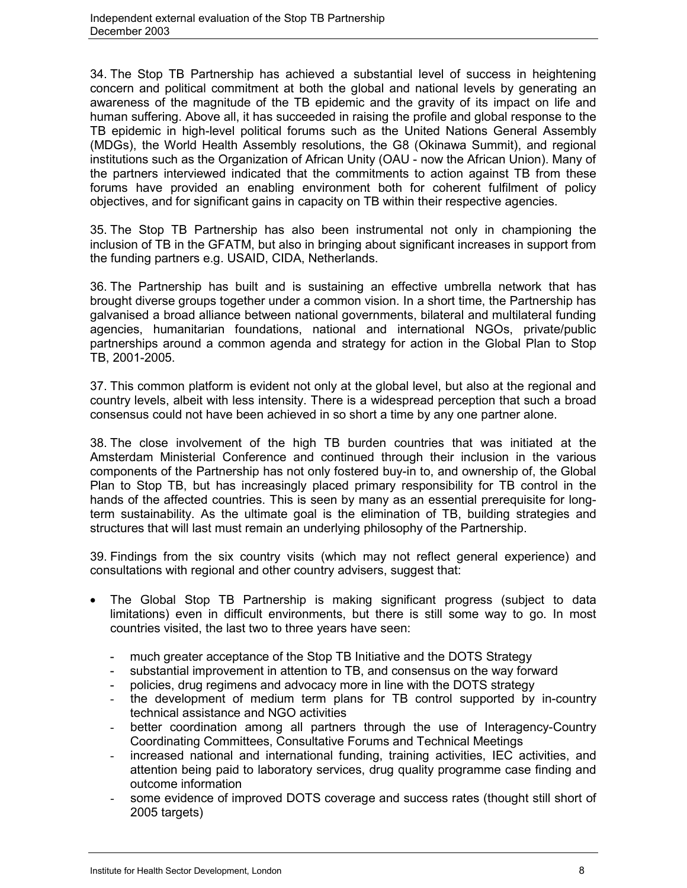34. The Stop TB Partnership has achieved a substantial level of success in heightening concern and political commitment at both the global and national levels by generating an awareness of the magnitude of the TB epidemic and the gravity of its impact on life and human suffering. Above all, it has succeeded in raising the profile and global response to the TB epidemic in high-level political forums such as the United Nations General Assembly (MDGs), the World Health Assembly resolutions, the G8 (Okinawa Summit), and regional institutions such as the Organization of African Unity (OAU - now the African Union). Many of the partners interviewed indicated that the commitments to action against TB from these forums have provided an enabling environment both for coherent fulfilment of policy objectives, and for significant gains in capacity on TB within their respective agencies.

35. The Stop TB Partnership has also been instrumental not only in championing the inclusion of TB in the GFATM, but also in bringing about significant increases in support from the funding partners e.g. USAID, CIDA, Netherlands.

36. The Partnership has built and is sustaining an effective umbrella network that has brought diverse groups together under a common vision. In a short time, the Partnership has galvanised a broad alliance between national governments, bilateral and multilateral funding agencies, humanitarian foundations, national and international NGOs, private/public partnerships around a common agenda and strategy for action in the Global Plan to Stop TB, 2001-2005.

37. This common platform is evident not only at the global level, but also at the regional and country levels, albeit with less intensity. There is a widespread perception that such a broad consensus could not have been achieved in so short a time by any one partner alone.

38. The close involvement of the high TB burden countries that was initiated at the Amsterdam Ministerial Conference and continued through their inclusion in the various components of the Partnership has not only fostered buy-in to, and ownership of, the Global Plan to Stop TB, but has increasingly placed primary responsibility for TB control in the hands of the affected countries. This is seen by many as an essential prerequisite for longterm sustainability. As the ultimate goal is the elimination of TB, building strategies and structures that will last must remain an underlying philosophy of the Partnership.

39. Findings from the six country visits (which may not reflect general experience) and consultations with regional and other country advisers, suggest that:

- The Global Stop TB Partnership is making significant progress (subject to data limitations) even in difficult environments, but there is still some way to go. In most countries visited, the last two to three years have seen:
	- much greater acceptance of the Stop TB Initiative and the DOTS Strategy
	- substantial improvement in attention to TB, and consensus on the way forward
	- policies, drug regimens and advocacy more in line with the DOTS strategy
	- the development of medium term plans for TB control supported by in-country technical assistance and NGO activities
	- better coordination among all partners through the use of Interagency-Country Coordinating Committees, Consultative Forums and Technical Meetings
	- increased national and international funding, training activities, IEC activities, and attention being paid to laboratory services, drug quality programme case finding and outcome information
	- some evidence of improved DOTS coverage and success rates (thought still short of 2005 targets)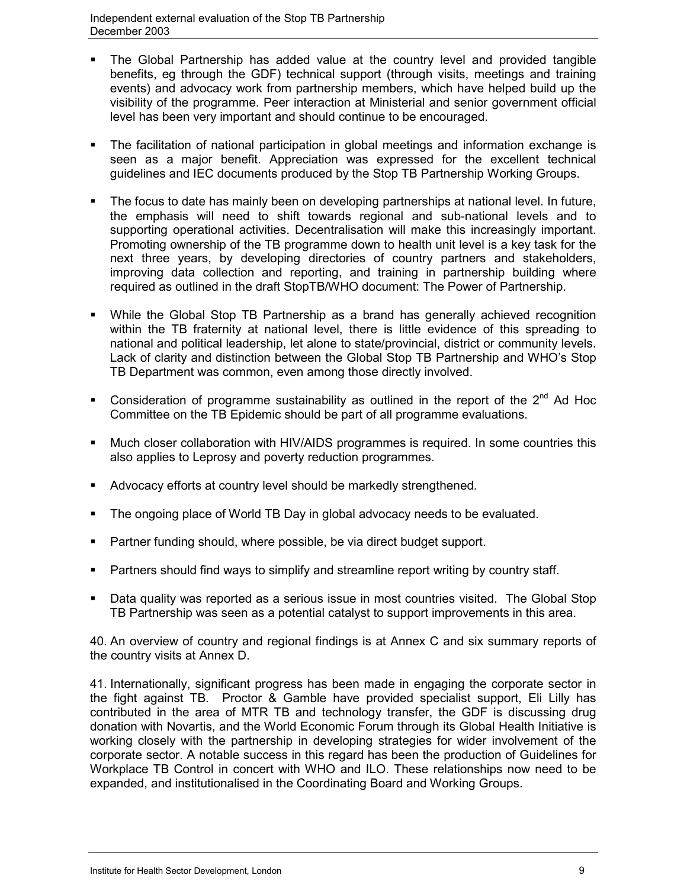- The Global Partnership has added value at the country level and provided tangible benefits, eg through the GDF) technical support (through visits, meetings and training events) and advocacy work from partnership members, which have helped build up the visibility of the programme. Peer interaction at Ministerial and senior government official level has been very important and should continue to be encouraged.
- The facilitation of national participation in global meetings and information exchange is seen as a major benefit. Appreciation was expressed for the excellent technical guidelines and IEC documents produced by the Stop TB Partnership Working Groups.
- The focus to date has mainly been on developing partnerships at national level. In future, the emphasis will need to shift towards regional and sub-national levels and to supporting operational activities. Decentralisation will make this increasingly important. Promoting ownership of the TB programme down to health unit level is a key task for the next three years, by developing directories of country partners and stakeholders, improving data collection and reporting, and training in partnership building where required as outlined in the draft StopTB/WHO document: The Power of Partnership.
- While the Global Stop TB Partnership as a brand has generally achieved recognition within the TB fraternity at national level, there is little evidence of this spreading to national and political leadership, let alone to state/provincial, district or community levels. Lack of clarity and distinction between the Global Stop TB Partnership and WHO's Stop TB Department was common, even among those directly involved.
- Consideration of programme sustainability as outlined in the report of the 2<sup>nd</sup> Ad Hoc Committee on the TB Epidemic should be part of all programme evaluations.
- Much closer collaboration with HIV/AIDS programmes is required. In some countries this also applies to Leprosy and poverty reduction programmes.
- Advocacy efforts at country level should be markedly strengthened.
- The ongoing place of World TB Day in global advocacy needs to be evaluated.
- Partner funding should, where possible, be via direct budget support.
- Partners should find ways to simplify and streamline report writing by country staff.
- Data quality was reported as a serious issue in most countries visited. The Global Stop TB Partnership was seen as a potential catalyst to support improvements in this area.

40. An overview of country and regional findings is at Annex C and six summary reports of the country visits at Annex D.

41. Internationally, significant progress has been made in engaging the corporate sector in the fight against TB. Proctor & Gamble have provided specialist support, Eli Lilly has contributed in the area of MTR TB and technology transfer, the GDF is discussing drug donation with Novartis, and the World Economic Forum through its Global Health Initiative is working closely with the partnership in developing strategies for wider involvement of the corporate sector. A notable success in this regard has been the production of Guidelines for Workplace TB Control in concert with WHO and ILO. These relationships now need to be expanded, and institutionalised in the Coordinating Board and Working Groups.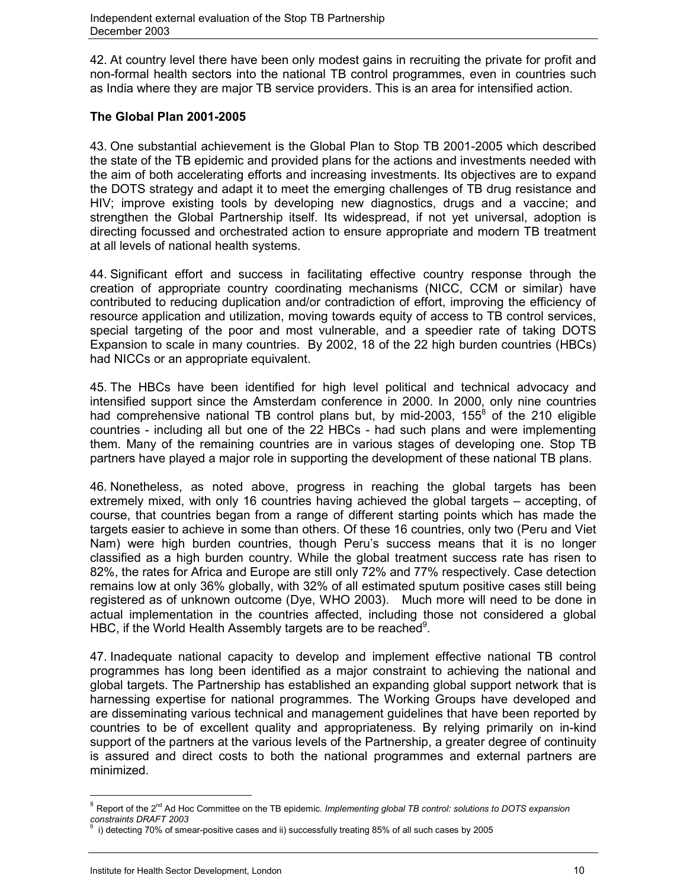42. At country level there have been only modest gains in recruiting the private for profit and non-formal health sectors into the national TB control programmes, even in countries such as India where they are major TB service providers. This is an area for intensified action.

## **The Global Plan 2001-2005**

43. One substantial achievement is the Global Plan to Stop TB 2001-2005 which described the state of the TB epidemic and provided plans for the actions and investments needed with the aim of both accelerating efforts and increasing investments. Its objectives are to expand the DOTS strategy and adapt it to meet the emerging challenges of TB drug resistance and HIV; improve existing tools by developing new diagnostics, drugs and a vaccine; and strengthen the Global Partnership itself. Its widespread, if not yet universal, adoption is directing focussed and orchestrated action to ensure appropriate and modern TB treatment at all levels of national health systems.

44. Significant effort and success in facilitating effective country response through the creation of appropriate country coordinating mechanisms (NICC, CCM or similar) have contributed to reducing duplication and/or contradiction of effort, improving the efficiency of resource application and utilization, moving towards equity of access to TB control services, special targeting of the poor and most vulnerable, and a speedier rate of taking DOTS Expansion to scale in many countries. By 2002, 18 of the 22 high burden countries (HBCs) had NICCs or an appropriate equivalent.

45. The HBCs have been identified for high level political and technical advocacy and intensified support since the Amsterdam conference in 2000. In 2000, only nine countries had comprehensive national TB control plans but, by mid-2003, 155 $8$  of the 210 eligible countries - including all but one of the 22 HBCs - had such plans and were implementing them. Many of the remaining countries are in various stages of developing one. Stop TB partners have played a major role in supporting the development of these national TB plans.

46. Nonetheless, as noted above, progress in reaching the global targets has been extremely mixed, with only 16 countries having achieved the global targets – accepting, of course, that countries began from a range of different starting points which has made the targets easier to achieve in some than others. Of these 16 countries, only two (Peru and Viet Nam) were high burden countries, though Peru's success means that it is no longer classified as a high burden country. While the global treatment success rate has risen to 82%, the rates for Africa and Europe are still only 72% and 77% respectively. Case detection remains low at only 36% globally, with 32% of all estimated sputum positive cases still being registered as of unknown outcome (Dye, WHO 2003). Much more will need to be done in actual implementation in the countries affected, including those not considered a global HBC, if the World Health Assembly targets are to be reached $9$ .

47. Inadequate national capacity to develop and implement effective national TB control programmes has long been identified as a major constraint to achieving the national and global targets. The Partnership has established an expanding global support network that is harnessing expertise for national programmes. The Working Groups have developed and are disseminating various technical and management guidelines that have been reported by countries to be of excellent quality and appropriateness. By relying primarily on in-kind support of the partners at the various levels of the Partnership, a greater degree of continuity is assured and direct costs to both the national programmes and external partners are minimized.

 $\overline{a}$ 

<sup>&</sup>lt;sup>8</sup> Report of the 2<sup>nd</sup> Ad Hoc Committee on the TB epidemic. *Implementing global TB control: solutions to DOTS expansion constraints DRAFT 2003*

<sup>9</sup> i) detecting 70% of smear-positive cases and ii) successfully treating 85% of all such cases by 2005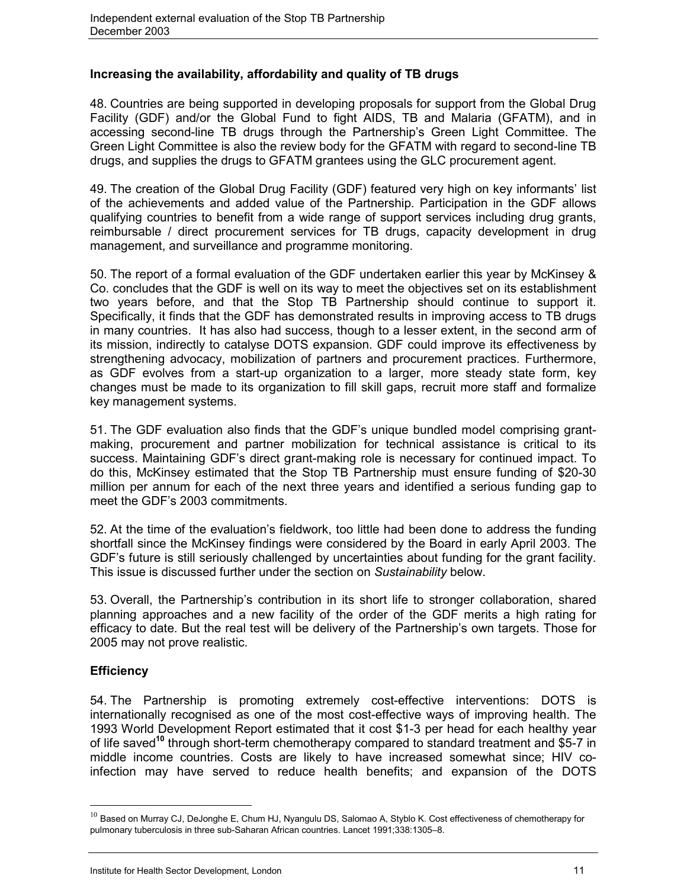## **Increasing the availability, affordability and quality of TB drugs**

48. Countries are being supported in developing proposals for support from the Global Drug Facility (GDF) and/or the Global Fund to fight AIDS, TB and Malaria (GFATM), and in accessing second-line TB drugs through the Partnership's Green Light Committee. The Green Light Committee is also the review body for the GFATM with regard to second-line TB drugs, and supplies the drugs to GFATM grantees using the GLC procurement agent.

49. The creation of the Global Drug Facility (GDF) featured very high on key informants' list of the achievements and added value of the Partnership. Participation in the GDF allows qualifying countries to benefit from a wide range of support services including drug grants, reimbursable / direct procurement services for TB drugs, capacity development in drug management, and surveillance and programme monitoring.

50. The report of a formal evaluation of the GDF undertaken earlier this year by McKinsey & Co. concludes that the GDF is well on its way to meet the objectives set on its establishment two years before, and that the Stop TB Partnership should continue to support it. Specifically, it finds that the GDF has demonstrated results in improving access to TB drugs in many countries. It has also had success, though to a lesser extent, in the second arm of its mission, indirectly to catalyse DOTS expansion. GDF could improve its effectiveness by strengthening advocacy, mobilization of partners and procurement practices. Furthermore, as GDF evolves from a start-up organization to a larger, more steady state form, key changes must be made to its organization to fill skill gaps, recruit more staff and formalize key management systems.

51. The GDF evaluation also finds that the GDF's unique bundled model comprising grantmaking, procurement and partner mobilization for technical assistance is critical to its success. Maintaining GDF's direct grant-making role is necessary for continued impact. To do this, McKinsey estimated that the Stop TB Partnership must ensure funding of \$20-30 million per annum for each of the next three years and identified a serious funding gap to meet the GDF's 2003 commitments.

52. At the time of the evaluation's fieldwork, too little had been done to address the funding shortfall since the McKinsey findings were considered by the Board in early April 2003. The GDF's future is still seriously challenged by uncertainties about funding for the grant facility. This issue is discussed further under the section on *Sustainability* below.

53. Overall, the Partnership's contribution in its short life to stronger collaboration, shared planning approaches and a new facility of the order of the GDF merits a high rating for efficacy to date. But the real test will be delivery of the Partnership's own targets. Those for 2005 may not prove realistic.

## **Efficiency**

 $\overline{a}$ 

54. The Partnership is promoting extremely cost-effective interventions: DOTS is internationally recognised as one of the most cost-effective ways of improving health. The 1993 World Development Report estimated that it cost \$1-3 per head for each healthy year of life saved**<sup>10</sup>** through short-term chemotherapy compared to standard treatment and \$5-7 in middle income countries. Costs are likely to have increased somewhat since; HIV coinfection may have served to reduce health benefits; and expansion of the DOTS

 $10$  Based on Murray CJ, DeJonghe E, Chum HJ, Nyangulu DS, Salomao A, Styblo K. Cost effectiveness of chemotherapy for pulmonary tuberculosis in three sub-Saharan African countries. Lancet 1991;338:1305–8.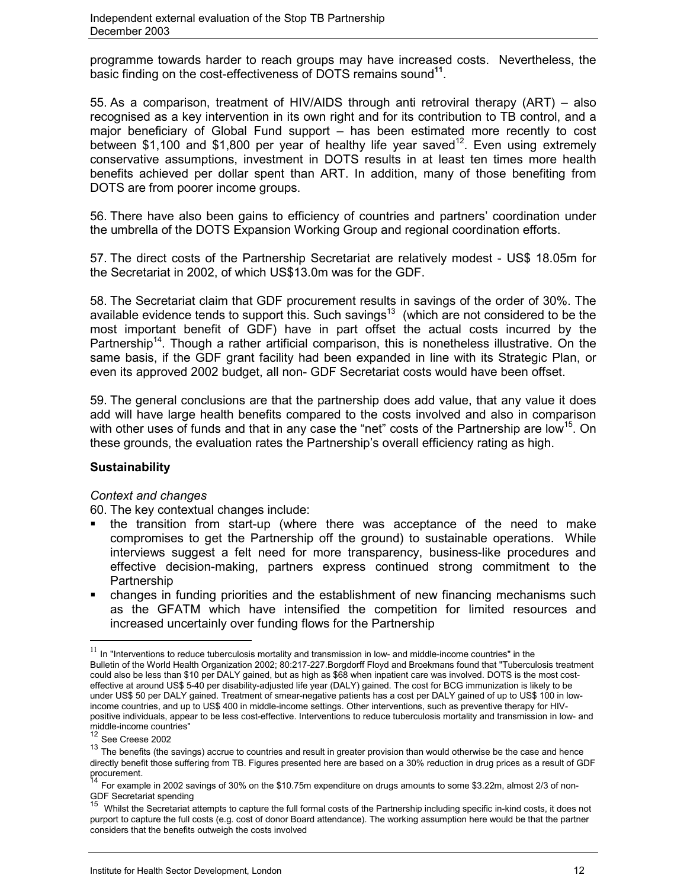programme towards harder to reach groups may have increased costs. Nevertheless, the basic finding on the cost-effectiveness of DOTS remains sound**<sup>11</sup>**.

55. As a comparison, treatment of HIV/AIDS through anti retroviral therapy (ART) – also recognised as a key intervention in its own right and for its contribution to TB control, and a major beneficiary of Global Fund support – has been estimated more recently to cost between \$1,100 and \$1,800 per year of healthy life year saved<sup>12</sup>. Even using extremely conservative assumptions, investment in DOTS results in at least ten times more health benefits achieved per dollar spent than ART. In addition, many of those benefiting from DOTS are from poorer income groups.

56. There have also been gains to efficiency of countries and partners' coordination under the umbrella of the DOTS Expansion Working Group and regional coordination efforts.

57. The direct costs of the Partnership Secretariat are relatively modest - US\$ 18.05m for the Secretariat in 2002, of which US\$13.0m was for the GDF.

58. The Secretariat claim that GDF procurement results in savings of the order of 30%. The available evidence tends to support this. Such savings<sup>13</sup> (which are not considered to be the most important benefit of GDF) have in part offset the actual costs incurred by the Partnership<sup>14</sup>. Though a rather artificial comparison, this is nonetheless illustrative. On the same basis, if the GDF grant facility had been expanded in line with its Strategic Plan, or even its approved 2002 budget, all non- GDF Secretariat costs would have been offset.

59. The general conclusions are that the partnership does add value, that any value it does add will have large health benefits compared to the costs involved and also in comparison with other uses of funds and that in any case the "net" costs of the Partnership are low<sup>15</sup>. On these grounds, the evaluation rates the Partnership's overall efficiency rating as high.

## **Sustainability**

### *Context and changes*

60. The key contextual changes include:

- the transition from start-up (where there was acceptance of the need to make compromises to get the Partnership off the ground) to sustainable operations. While interviews suggest a felt need for more transparency, business-like procedures and effective decision-making, partners express continued strong commitment to the Partnership
- changes in funding priorities and the establishment of new financing mechanisms such as the GFATM which have intensified the competition for limited resources and increased uncertainly over funding flows for the Partnership

 $\overline{a}$ 

 $11$  In "Interventions to reduce tuberculosis mortality and transmission in low- and middle-income countries" in the Bulletin of the World Health Organization 2002; 80:217-227.Borgdorff Floyd and Broekmans found that "Tuberculosis treatment could also be less than \$10 per DALY gained, but as high as \$68 when inpatient care was involved. DOTS is the most costeffective at around US\$ 5-40 per disability-adjusted life year (DALY) gained. The cost for BCG immunization is likely to be under US\$ 50 per DALY gained. Treatment of smear-negative patients has a cost per DALY gained of up to US\$ 100 in lowincome countries, and up to US\$ 400 in middle-income settings. Other interventions, such as preventive therapy for HIVpositive individuals, appear to be less cost-effective. Interventions to reduce tuberculosis mortality and transmission in low- and middle-income countries"<br><sup>12</sup> See Creese 2002

 $13$  The benefits (the savings) accrue to countries and result in greater provision than would otherwise be the case and hence directly benefit those suffering from TB. Figures presented here are based on a 30% reduction in drug prices as a result of GDF

procurement.<br><sup>14</sup> For example in 2002 savings of 30% on the \$10.75m expenditure on drugs amounts to some \$3.22m, almost 2/3 of non-GDF Secretariat spending

<sup>15</sup> Whilst the Secretariat attempts to capture the full formal costs of the Partnership including specific in-kind costs, it does not purport to capture the full costs (e.g. cost of donor Board attendance). The working assumption here would be that the partner considers that the benefits outweigh the costs involved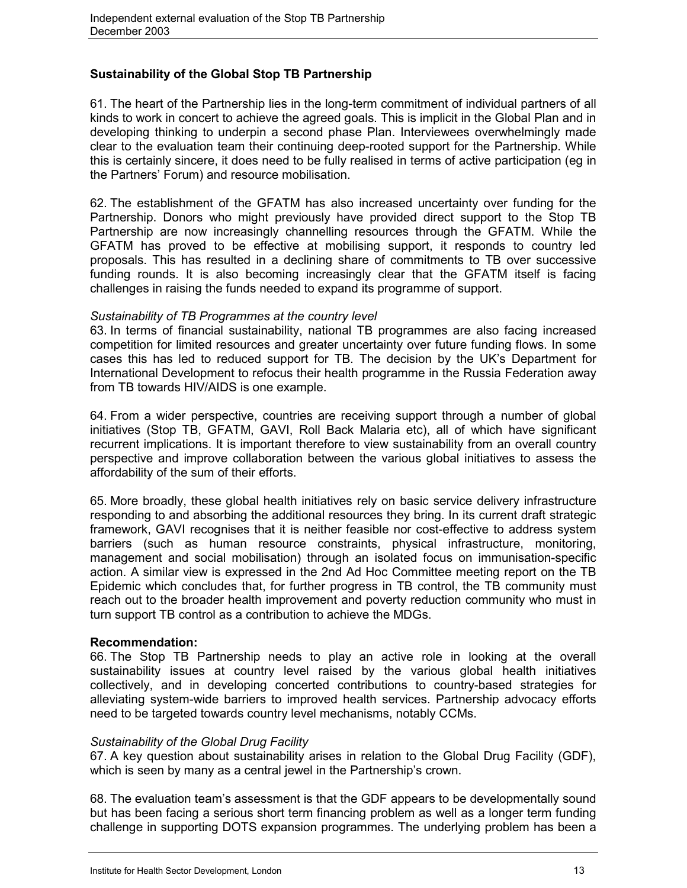## **Sustainability of the Global Stop TB Partnership**

61. The heart of the Partnership lies in the long-term commitment of individual partners of all kinds to work in concert to achieve the agreed goals. This is implicit in the Global Plan and in developing thinking to underpin a second phase Plan. Interviewees overwhelmingly made clear to the evaluation team their continuing deep-rooted support for the Partnership. While this is certainly sincere, it does need to be fully realised in terms of active participation (eg in the Partners' Forum) and resource mobilisation.

62. The establishment of the GFATM has also increased uncertainty over funding for the Partnership. Donors who might previously have provided direct support to the Stop TB Partnership are now increasingly channelling resources through the GFATM. While the GFATM has proved to be effective at mobilising support, it responds to country led proposals. This has resulted in a declining share of commitments to TB over successive funding rounds. It is also becoming increasingly clear that the GFATM itself is facing challenges in raising the funds needed to expand its programme of support.

## *Sustainability of TB Programmes at the country level*

63. In terms of financial sustainability, national TB programmes are also facing increased competition for limited resources and greater uncertainty over future funding flows. In some cases this has led to reduced support for TB. The decision by the UK's Department for International Development to refocus their health programme in the Russia Federation away from TB towards HIV/AIDS is one example.

64. From a wider perspective, countries are receiving support through a number of global initiatives (Stop TB, GFATM, GAVI, Roll Back Malaria etc), all of which have significant recurrent implications. It is important therefore to view sustainability from an overall country perspective and improve collaboration between the various global initiatives to assess the affordability of the sum of their efforts.

65. More broadly, these global health initiatives rely on basic service delivery infrastructure responding to and absorbing the additional resources they bring. In its current draft strategic framework, GAVI recognises that it is neither feasible nor cost-effective to address system barriers (such as human resource constraints, physical infrastructure, monitoring, management and social mobilisation) through an isolated focus on immunisation-specific action. A similar view is expressed in the 2nd Ad Hoc Committee meeting report on the TB Epidemic which concludes that, for further progress in TB control, the TB community must reach out to the broader health improvement and poverty reduction community who must in turn support TB control as a contribution to achieve the MDGs.

### **Recommendation:**

66. The Stop TB Partnership needs to play an active role in looking at the overall sustainability issues at country level raised by the various global health initiatives collectively, and in developing concerted contributions to country-based strategies for alleviating system-wide barriers to improved health services. Partnership advocacy efforts need to be targeted towards country level mechanisms, notably CCMs.

### *Sustainability of the Global Drug Facility*

67. A key question about sustainability arises in relation to the Global Drug Facility (GDF), which is seen by many as a central jewel in the Partnership's crown.

68. The evaluation team's assessment is that the GDF appears to be developmentally sound but has been facing a serious short term financing problem as well as a longer term funding challenge in supporting DOTS expansion programmes. The underlying problem has been a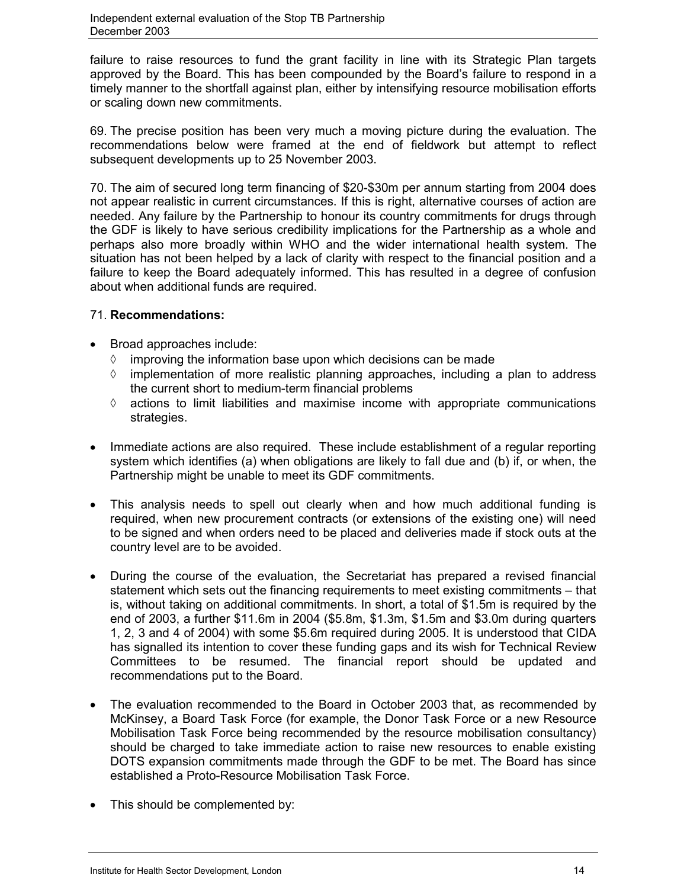failure to raise resources to fund the grant facility in line with its Strategic Plan targets approved by the Board. This has been compounded by the Board's failure to respond in a timely manner to the shortfall against plan, either by intensifying resource mobilisation efforts or scaling down new commitments.

69. The precise position has been very much a moving picture during the evaluation. The recommendations below were framed at the end of fieldwork but attempt to reflect subsequent developments up to 25 November 2003.

70. The aim of secured long term financing of \$20-\$30m per annum starting from 2004 does not appear realistic in current circumstances. If this is right, alternative courses of action are needed. Any failure by the Partnership to honour its country commitments for drugs through the GDF is likely to have serious credibility implications for the Partnership as a whole and perhaps also more broadly within WHO and the wider international health system. The situation has not been helped by a lack of clarity with respect to the financial position and a failure to keep the Board adequately informed. This has resulted in a degree of confusion about when additional funds are required.

## 71. **Recommendations:**

- Broad approaches include:
	- $\Diamond$ improving the information base upon which decisions can be made
	- $\Diamond$  implementation of more realistic planning approaches, including a plan to address the current short to medium-term financial problems
	- $\Diamond$  actions to limit liabilities and maximise income with appropriate communications strategies.
- Immediate actions are also required. These include establishment of a regular reporting system which identifies (a) when obligations are likely to fall due and (b) if, or when, the Partnership might be unable to meet its GDF commitments.
- This analysis needs to spell out clearly when and how much additional funding is required, when new procurement contracts (or extensions of the existing one) will need to be signed and when orders need to be placed and deliveries made if stock outs at the country level are to be avoided.
- During the course of the evaluation, the Secretariat has prepared a revised financial statement which sets out the financing requirements to meet existing commitments – that is, without taking on additional commitments. In short, a total of \$1.5m is required by the end of 2003, a further \$11.6m in 2004 (\$5.8m, \$1.3m, \$1.5m and \$3.0m during quarters 1, 2, 3 and 4 of 2004) with some \$5.6m required during 2005. It is understood that CIDA has signalled its intention to cover these funding gaps and its wish for Technical Review Committees to be resumed. The financial report should be updated and recommendations put to the Board.
- The evaluation recommended to the Board in October 2003 that, as recommended by McKinsey, a Board Task Force (for example, the Donor Task Force or a new Resource Mobilisation Task Force being recommended by the resource mobilisation consultancy) should be charged to take immediate action to raise new resources to enable existing DOTS expansion commitments made through the GDF to be met. The Board has since established a Proto-Resource Mobilisation Task Force.
- This should be complemented by: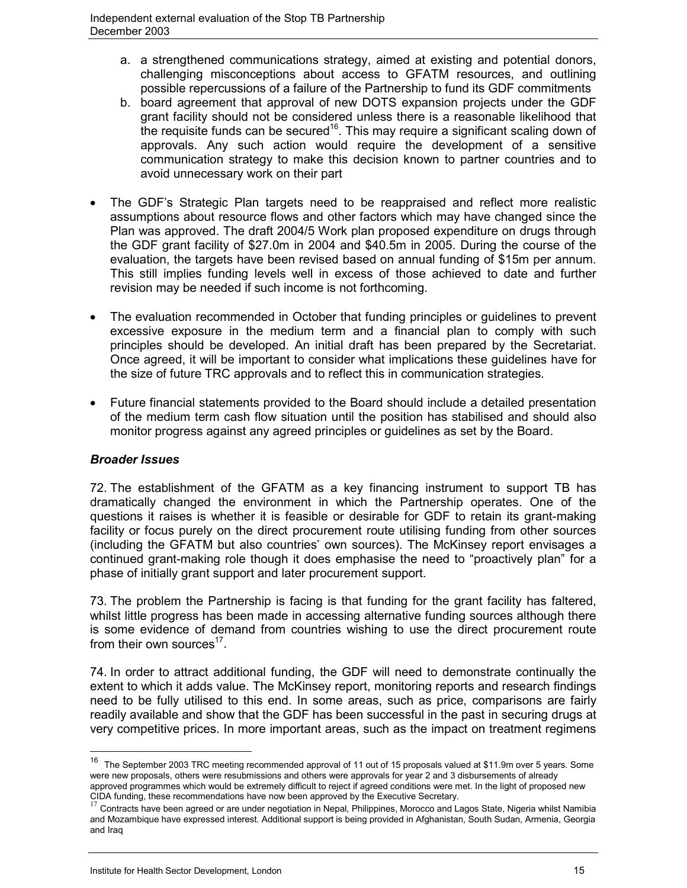- a. a strengthened communications strategy, aimed at existing and potential donors, challenging misconceptions about access to GFATM resources, and outlining possible repercussions of a failure of the Partnership to fund its GDF commitments
- b. board agreement that approval of new DOTS expansion projects under the GDF grant facility should not be considered unless there is a reasonable likelihood that the requisite funds can be secured<sup>16</sup>. This may require a significant scaling down of approvals. Any such action would require the development of a sensitive communication strategy to make this decision known to partner countries and to avoid unnecessary work on their part
- The GDF's Strategic Plan targets need to be reappraised and reflect more realistic assumptions about resource flows and other factors which may have changed since the Plan was approved. The draft 2004/5 Work plan proposed expenditure on drugs through the GDF grant facility of \$27.0m in 2004 and \$40.5m in 2005. During the course of the evaluation, the targets have been revised based on annual funding of \$15m per annum. This still implies funding levels well in excess of those achieved to date and further revision may be needed if such income is not forthcoming.
- The evaluation recommended in October that funding principles or guidelines to prevent excessive exposure in the medium term and a financial plan to comply with such principles should be developed. An initial draft has been prepared by the Secretariat. Once agreed, it will be important to consider what implications these guidelines have for the size of future TRC approvals and to reflect this in communication strategies.
- Future financial statements provided to the Board should include a detailed presentation of the medium term cash flow situation until the position has stabilised and should also monitor progress against any agreed principles or guidelines as set by the Board.

## *Broader Issues*

 $\overline{a}$ 

72. The establishment of the GFATM as a key financing instrument to support TB has dramatically changed the environment in which the Partnership operates. One of the questions it raises is whether it is feasible or desirable for GDF to retain its grant-making facility or focus purely on the direct procurement route utilising funding from other sources (including the GFATM but also countries' own sources). The McKinsey report envisages a continued grant-making role though it does emphasise the need to "proactively plan" for a phase of initially grant support and later procurement support.

73. The problem the Partnership is facing is that funding for the grant facility has faltered, whilst little progress has been made in accessing alternative funding sources although there is some evidence of demand from countries wishing to use the direct procurement route from their own sources<sup>17</sup>.

74. In order to attract additional funding, the GDF will need to demonstrate continually the extent to which it adds value. The McKinsey report, monitoring reports and research findings need to be fully utilised to this end. In some areas, such as price, comparisons are fairly readily available and show that the GDF has been successful in the past in securing drugs at very competitive prices. In more important areas, such as the impact on treatment regimens

<sup>&</sup>lt;sup>16</sup> The September 2003 TRC meeting recommended approval of 11 out of 15 proposals valued at \$11.9m over 5 years. Some were new proposals, others were resubmissions and others were approvals for year 2 and 3 disbursements of already approved programmes which would be extremely difficult to reject if agreed conditions were met. In the light of proposed new CIDA funding, these recommendations have now been approved by the Executive Secretary.

<sup>&</sup>lt;sup>17</sup> Contracts have been agreed or are under negotiation in Nepal, Philippines, Morocco and Lagos State, Nigeria whilst Namibia and Mozambique have expressed interest. Additional support is being provided in Afghanistan, South Sudan, Armenia, Georgia and Iraq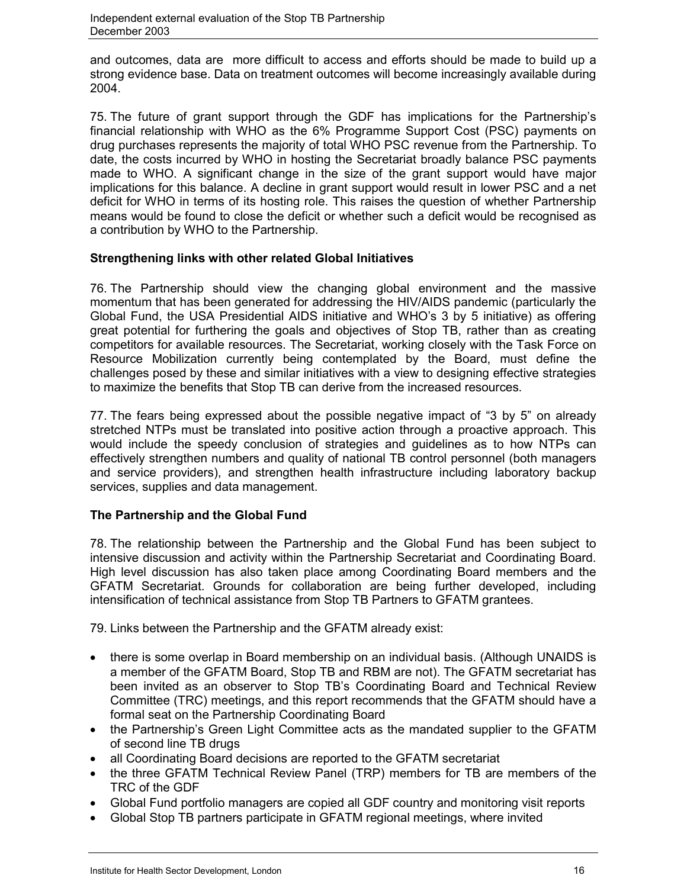and outcomes, data are more difficult to access and efforts should be made to build up a strong evidence base. Data on treatment outcomes will become increasingly available during 2004.

75. The future of grant support through the GDF has implications for the Partnership's financial relationship with WHO as the 6% Programme Support Cost (PSC) payments on drug purchases represents the majority of total WHO PSC revenue from the Partnership. To date, the costs incurred by WHO in hosting the Secretariat broadly balance PSC payments made to WHO. A significant change in the size of the grant support would have major implications for this balance. A decline in grant support would result in lower PSC and a net deficit for WHO in terms of its hosting role. This raises the question of whether Partnership means would be found to close the deficit or whether such a deficit would be recognised as a contribution by WHO to the Partnership.

## **Strengthening links with other related Global Initiatives**

76. The Partnership should view the changing global environment and the massive momentum that has been generated for addressing the HIV/AIDS pandemic (particularly the Global Fund, the USA Presidential AIDS initiative and WHO's 3 by 5 initiative) as offering great potential for furthering the goals and objectives of Stop TB, rather than as creating competitors for available resources. The Secretariat, working closely with the Task Force on Resource Mobilization currently being contemplated by the Board, must define the challenges posed by these and similar initiatives with a view to designing effective strategies to maximize the benefits that Stop TB can derive from the increased resources.

77. The fears being expressed about the possible negative impact of "3 by 5" on already stretched NTPs must be translated into positive action through a proactive approach. This would include the speedy conclusion of strategies and guidelines as to how NTPs can effectively strengthen numbers and quality of national TB control personnel (both managers and service providers), and strengthen health infrastructure including laboratory backup services, supplies and data management.

## **The Partnership and the Global Fund**

78. The relationship between the Partnership and the Global Fund has been subject to intensive discussion and activity within the Partnership Secretariat and Coordinating Board. High level discussion has also taken place among Coordinating Board members and the GFATM Secretariat. Grounds for collaboration are being further developed, including intensification of technical assistance from Stop TB Partners to GFATM grantees.

79. Links between the Partnership and the GFATM already exist:

- there is some overlap in Board membership on an individual basis. (Although UNAIDS is a member of the GFATM Board, Stop TB and RBM are not). The GFATM secretariat has been invited as an observer to Stop TB's Coordinating Board and Technical Review Committee (TRC) meetings, and this report recommends that the GFATM should have a formal seat on the Partnership Coordinating Board
- the Partnership's Green Light Committee acts as the mandated supplier to the GFATM of second line TB drugs
- all Coordinating Board decisions are reported to the GFATM secretariat
- the three GFATM Technical Review Panel (TRP) members for TB are members of the TRC of the GDF
- Global Fund portfolio managers are copied all GDF country and monitoring visit reports
- Global Stop TB partners participate in GFATM regional meetings, where invited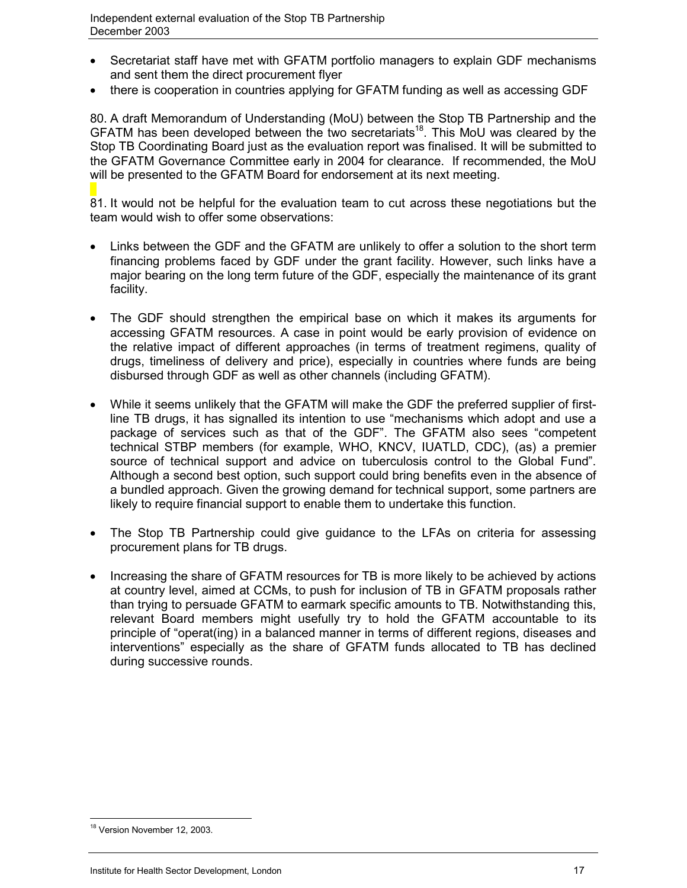- Secretariat staff have met with GFATM portfolio managers to explain GDF mechanisms and sent them the direct procurement flyer
- there is cooperation in countries applying for GFATM funding as well as accessing GDF

80. A draft Memorandum of Understanding (MoU) between the Stop TB Partnership and the GFATM has been developed between the two secretariats<sup>18</sup>. This MoU was cleared by the Stop TB Coordinating Board just as the evaluation report was finalised. It will be submitted to the GFATM Governance Committee early in 2004 for clearance. If recommended, the MoU will be presented to the GFATM Board for endorsement at its next meeting.

81. It would not be helpful for the evaluation team to cut across these negotiations but the team would wish to offer some observations:

- Links between the GDF and the GFATM are unlikely to offer a solution to the short term financing problems faced by GDF under the grant facility. However, such links have a major bearing on the long term future of the GDF, especially the maintenance of its grant facility.
- The GDF should strengthen the empirical base on which it makes its arguments for accessing GFATM resources. A case in point would be early provision of evidence on the relative impact of different approaches (in terms of treatment regimens, quality of drugs, timeliness of delivery and price), especially in countries where funds are being disbursed through GDF as well as other channels (including GFATM).
- While it seems unlikely that the GFATM will make the GDF the preferred supplier of firstline TB drugs, it has signalled its intention to use "mechanisms which adopt and use a package of services such as that of the GDF". The GFATM also sees "competent technical STBP members (for example, WHO, KNCV, IUATLD, CDC), (as) a premier source of technical support and advice on tuberculosis control to the Global Fund". Although a second best option, such support could bring benefits even in the absence of a bundled approach. Given the growing demand for technical support, some partners are likely to require financial support to enable them to undertake this function.
- The Stop TB Partnership could give guidance to the LFAs on criteria for assessing procurement plans for TB drugs.
- Increasing the share of GFATM resources for TB is more likely to be achieved by actions at country level, aimed at CCMs, to push for inclusion of TB in GFATM proposals rather than trying to persuade GFATM to earmark specific amounts to TB. Notwithstanding this, relevant Board members might usefully try to hold the GFATM accountable to its principle of "operat(ing) in a balanced manner in terms of different regions, diseases and interventions" especially as the share of GFATM funds allocated to TB has declined during successive rounds.

 $\overline{a}$ <sup>18</sup> Version November 12, 2003.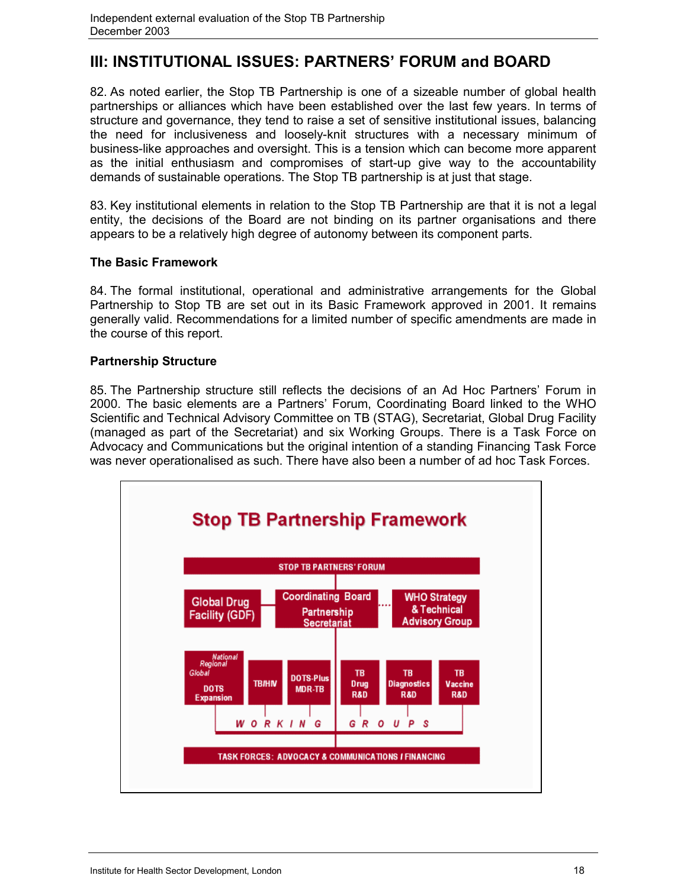## **III: INSTITUTIONAL ISSUES: PARTNERS' FORUM and BOARD**

82. As noted earlier, the Stop TB Partnership is one of a sizeable number of global health partnerships or alliances which have been established over the last few years. In terms of structure and governance, they tend to raise a set of sensitive institutional issues, balancing the need for inclusiveness and loosely-knit structures with a necessary minimum of business-like approaches and oversight. This is a tension which can become more apparent as the initial enthusiasm and compromises of start-up give way to the accountability demands of sustainable operations. The Stop TB partnership is at just that stage.

83. Key institutional elements in relation to the Stop TB Partnership are that it is not a legal entity, the decisions of the Board are not binding on its partner organisations and there appears to be a relatively high degree of autonomy between its component parts.

## **The Basic Framework**

84. The formal institutional, operational and administrative arrangements for the Global Partnership to Stop TB are set out in its Basic Framework approved in 2001. It remains generally valid. Recommendations for a limited number of specific amendments are made in the course of this report.

## **Partnership Structure**

85. The Partnership structure still reflects the decisions of an Ad Hoc Partners' Forum in 2000. The basic elements are a Partners' Forum, Coordinating Board linked to the WHO Scientific and Technical Advisory Committee on TB (STAG), Secretariat, Global Drug Facility (managed as part of the Secretariat) and six Working Groups. There is a Task Force on Advocacy and Communications but the original intention of a standing Financing Task Force was never operationalised as such. There have also been a number of ad hoc Task Forces.

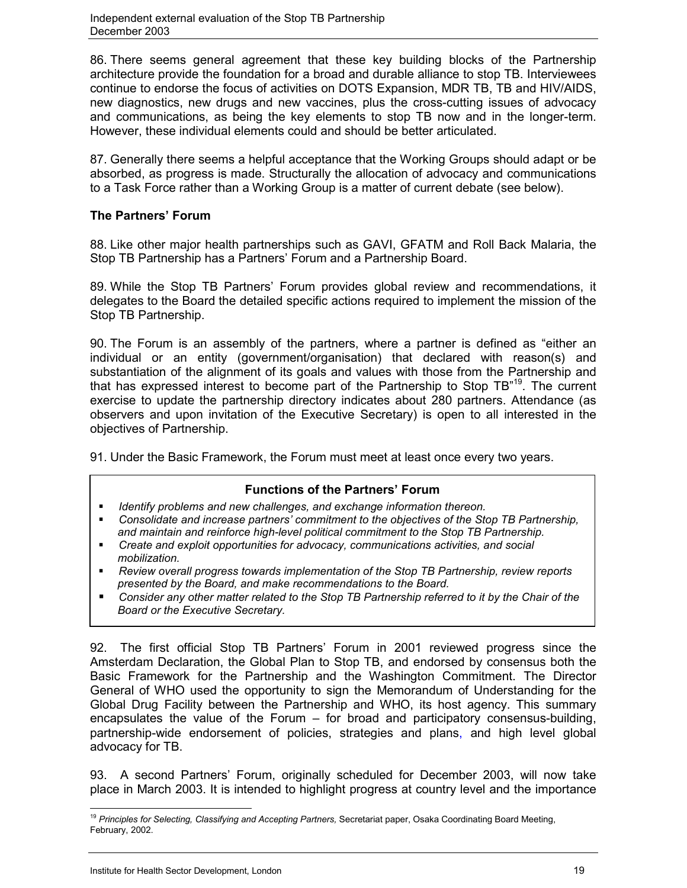86. There seems general agreement that these key building blocks of the Partnership architecture provide the foundation for a broad and durable alliance to stop TB. Interviewees continue to endorse the focus of activities on DOTS Expansion, MDR TB, TB and HIV/AIDS, new diagnostics, new drugs and new vaccines, plus the cross-cutting issues of advocacy and communications, as being the key elements to stop TB now and in the longer-term. However, these individual elements could and should be better articulated.

87. Generally there seems a helpful acceptance that the Working Groups should adapt or be absorbed, as progress is made. Structurally the allocation of advocacy and communications to a Task Force rather than a Working Group is a matter of current debate (see below).

## **The Partners' Forum**

88. Like other major health partnerships such as GAVI, GFATM and Roll Back Malaria, the Stop TB Partnership has a Partners' Forum and a Partnership Board.

89. While the Stop TB Partners' Forum provides global review and recommendations, it delegates to the Board the detailed specific actions required to implement the mission of the Stop TB Partnership.

90. The Forum is an assembly of the partners, where a partner is defined as "either an individual or an entity (government/organisation) that declared with reason(s) and substantiation of the alignment of its goals and values with those from the Partnership and that has expressed interest to become part of the Partnership to Stop  $TB^{19}$ . The current exercise to update the partnership directory indicates about 280 partners. Attendance (as observers and upon invitation of the Executive Secretary) is open to all interested in the objectives of Partnership.

91. Under the Basic Framework, the Forum must meet at least once every two years.

## **Functions of the Partners' Forum**

- *Identify problems and new challenges, and exchange information thereon.*
- *Consolidate and increase partners' commitment to the objectives of the Stop TB Partnership, and maintain and reinforce high-level political commitment to the Stop TB Partnership.*
- *Create and exploit opportunities for advocacy, communications activities, and social mobilization.*
- *Review overall progress towards implementation of the Stop TB Partnership, review reports presented by the Board, and make recommendations to the Board.*
- *Consider any other matter related to the Stop TB Partnership referred to it by the Chair of the Board or the Executive Secretary.*

92. The first official Stop TB Partners' Forum in 2001 reviewed progress since the Amsterdam Declaration, the Global Plan to Stop TB, and endorsed by consensus both the Basic Framework for the Partnership and the Washington Commitment. The Director General of WHO used the opportunity to sign the Memorandum of Understanding for the Global Drug Facility between the Partnership and WHO, its host agency. This summary encapsulates the value of the Forum – for broad and participatory consensus-building, partnership-wide endorsement of policies, strategies and plans, and high level global advocacy for TB.

93. A second Partners' Forum, originally scheduled for December 2003, will now take place in March 2003. It is intended to highlight progress at country level and the importance

 $\overline{a}$ <sup>19</sup> *Principles for Selecting, Classifying and Accepting Partners,* Secretariat paper, Osaka Coordinating Board Meeting, February, 2002.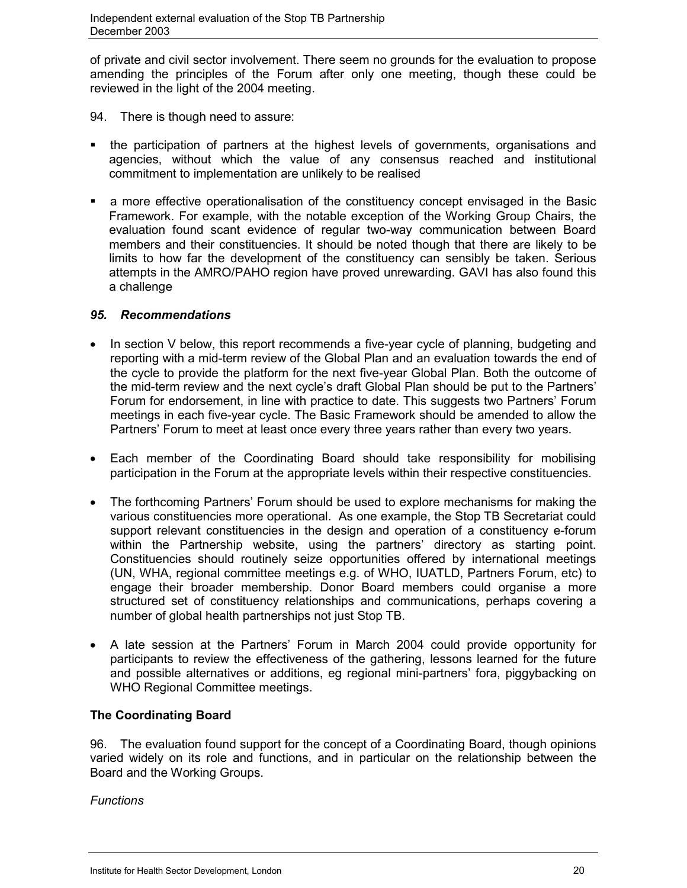of private and civil sector involvement. There seem no grounds for the evaluation to propose amending the principles of the Forum after only one meeting, though these could be reviewed in the light of the 2004 meeting.

- 94. There is though need to assure:
- the participation of partners at the highest levels of governments, organisations and agencies, without which the value of any consensus reached and institutional commitment to implementation are unlikely to be realised
- a more effective operationalisation of the constituency concept envisaged in the Basic Framework. For example, with the notable exception of the Working Group Chairs, the evaluation found scant evidence of regular two-way communication between Board members and their constituencies. It should be noted though that there are likely to be limits to how far the development of the constituency can sensibly be taken. Serious attempts in the AMRO/PAHO region have proved unrewarding. GAVI has also found this a challenge

## *95. Recommendations*

- In section V below, this report recommends a five-year cycle of planning, budgeting and reporting with a mid-term review of the Global Plan and an evaluation towards the end of the cycle to provide the platform for the next five-year Global Plan. Both the outcome of the mid-term review and the next cycle's draft Global Plan should be put to the Partners' Forum for endorsement, in line with practice to date. This suggests two Partners' Forum meetings in each five-year cycle. The Basic Framework should be amended to allow the Partners' Forum to meet at least once every three years rather than every two years.
- Each member of the Coordinating Board should take responsibility for mobilising participation in the Forum at the appropriate levels within their respective constituencies.
- The forthcoming Partners' Forum should be used to explore mechanisms for making the various constituencies more operational. As one example, the Stop TB Secretariat could support relevant constituencies in the design and operation of a constituency e-forum within the Partnership website, using the partners' directory as starting point. Constituencies should routinely seize opportunities offered by international meetings (UN, WHA, regional committee meetings e.g. of WHO, IUATLD, Partners Forum, etc) to engage their broader membership. Donor Board members could organise a more structured set of constituency relationships and communications, perhaps covering a number of global health partnerships not just Stop TB.
- A late session at the Partners' Forum in March 2004 could provide opportunity for participants to review the effectiveness of the gathering, lessons learned for the future and possible alternatives or additions, eg regional mini-partners' fora, piggybacking on WHO Regional Committee meetings.

## **The Coordinating Board**

96. The evaluation found support for the concept of a Coordinating Board, though opinions varied widely on its role and functions, and in particular on the relationship between the Board and the Working Groups.

*Functions*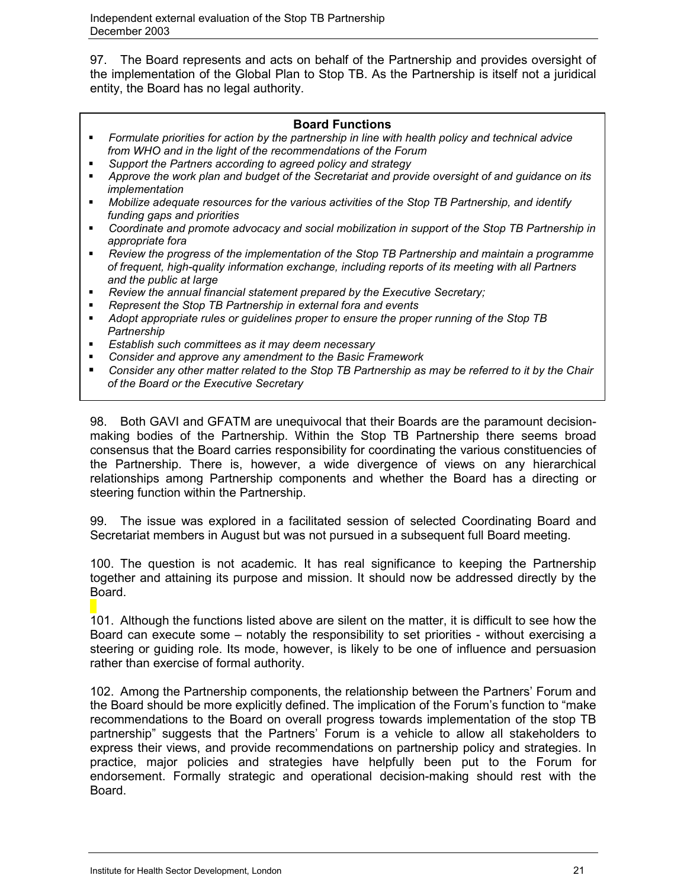97. The Board represents and acts on behalf of the Partnership and provides oversight of the implementation of the Global Plan to Stop TB. As the Partnership is itself not a juridical entity, the Board has no legal authority.

## **Board Functions**

- *Formulate priorities for action by the partnership in line with health policy and technical advice from WHO and in the light of the recommendations of the Forum*
- *Support the Partners according to agreed policy and strategy*
- *Approve the work plan and budget of the Secretariat and provide oversight of and guidance on its implementation*
- *Mobilize adequate resources for the various activities of the Stop TB Partnership, and identify funding gaps and priorities*
- *Coordinate and promote advocacy and social mobilization in support of the Stop TB Partnership in appropriate fora*
- *Review the progress of the implementation of the Stop TB Partnership and maintain a programme of frequent, high-quality information exchange, including reports of its meeting with all Partners and the public at large*
- *Review the annual financial statement prepared by the Executive Secretary;*
- *Represent the Stop TB Partnership in external fora and events*
- *Adopt appropriate rules or guidelines proper to ensure the proper running of the Stop TB Partnership*
- *Establish such committees as it may deem necessary*
- *Consider and approve any amendment to the Basic Framework*
- *Consider any other matter related to the Stop TB Partnership as may be referred to it by the Chair of the Board or the Executive Secretary*

98. Both GAVI and GFATM are unequivocal that their Boards are the paramount decisionmaking bodies of the Partnership. Within the Stop TB Partnership there seems broad consensus that the Board carries responsibility for coordinating the various constituencies of the Partnership. There is, however, a wide divergence of views on any hierarchical relationships among Partnership components and whether the Board has a directing or steering function within the Partnership.

99. The issue was explored in a facilitated session of selected Coordinating Board and Secretariat members in August but was not pursued in a subsequent full Board meeting.

100. The question is not academic. It has real significance to keeping the Partnership together and attaining its purpose and mission. It should now be addressed directly by the Board.

101. Although the functions listed above are silent on the matter, it is difficult to see how the Board can execute some – notably the responsibility to set priorities - without exercising a steering or guiding role. Its mode, however, is likely to be one of influence and persuasion rather than exercise of formal authority.

102. Among the Partnership components, the relationship between the Partners' Forum and the Board should be more explicitly defined. The implication of the Forum's function to "make recommendations to the Board on overall progress towards implementation of the stop TB partnership" suggests that the Partners' Forum is a vehicle to allow all stakeholders to express their views, and provide recommendations on partnership policy and strategies. In practice, major policies and strategies have helpfully been put to the Forum for endorsement. Formally strategic and operational decision-making should rest with the Board.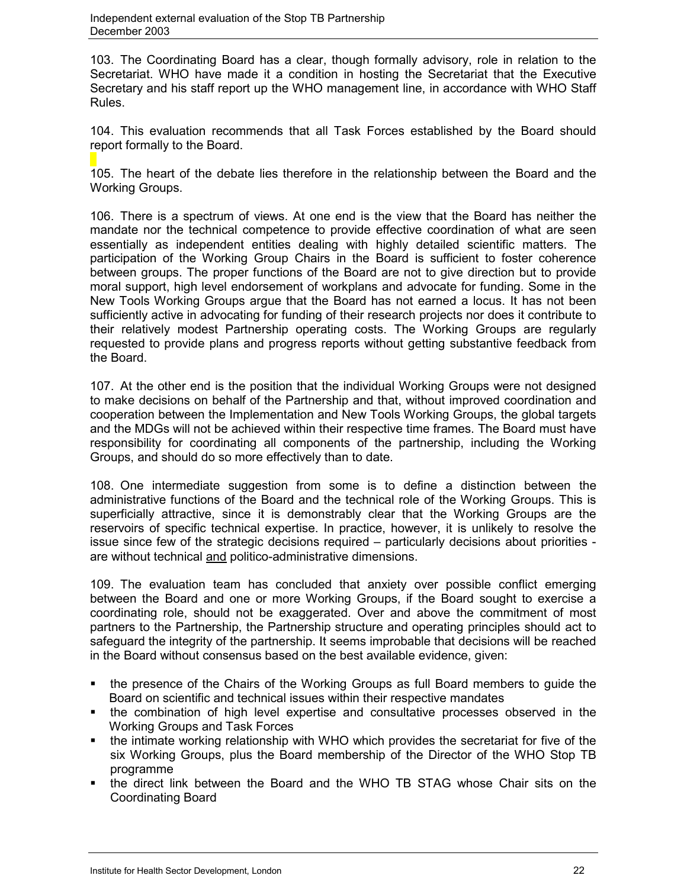103. The Coordinating Board has a clear, though formally advisory, role in relation to the Secretariat. WHO have made it a condition in hosting the Secretariat that the Executive Secretary and his staff report up the WHO management line, in accordance with WHO Staff Rules.

104. This evaluation recommends that all Task Forces established by the Board should report formally to the Board.

105. The heart of the debate lies therefore in the relationship between the Board and the Working Groups.

106. There is a spectrum of views. At one end is the view that the Board has neither the mandate nor the technical competence to provide effective coordination of what are seen essentially as independent entities dealing with highly detailed scientific matters. The participation of the Working Group Chairs in the Board is sufficient to foster coherence between groups. The proper functions of the Board are not to give direction but to provide moral support, high level endorsement of workplans and advocate for funding. Some in the New Tools Working Groups argue that the Board has not earned a locus. It has not been sufficiently active in advocating for funding of their research projects nor does it contribute to their relatively modest Partnership operating costs. The Working Groups are regularly requested to provide plans and progress reports without getting substantive feedback from the Board.

107. At the other end is the position that the individual Working Groups were not designed to make decisions on behalf of the Partnership and that, without improved coordination and cooperation between the Implementation and New Tools Working Groups, the global targets and the MDGs will not be achieved within their respective time frames. The Board must have responsibility for coordinating all components of the partnership, including the Working Groups, and should do so more effectively than to date.

108. One intermediate suggestion from some is to define a distinction between the administrative functions of the Board and the technical role of the Working Groups. This is superficially attractive, since it is demonstrably clear that the Working Groups are the reservoirs of specific technical expertise. In practice, however, it is unlikely to resolve the issue since few of the strategic decisions required – particularly decisions about priorities are without technical and politico-administrative dimensions.

109. The evaluation team has concluded that anxiety over possible conflict emerging between the Board and one or more Working Groups, if the Board sought to exercise a coordinating role, should not be exaggerated. Over and above the commitment of most partners to the Partnership, the Partnership structure and operating principles should act to safeguard the integrity of the partnership. It seems improbable that decisions will be reached in the Board without consensus based on the best available evidence, given:

- the presence of the Chairs of the Working Groups as full Board members to guide the Board on scientific and technical issues within their respective mandates
- the combination of high level expertise and consultative processes observed in the Working Groups and Task Forces
- the intimate working relationship with WHO which provides the secretariat for five of the six Working Groups, plus the Board membership of the Director of the WHO Stop TB programme
- the direct link between the Board and the WHO TB STAG whose Chair sits on the Coordinating Board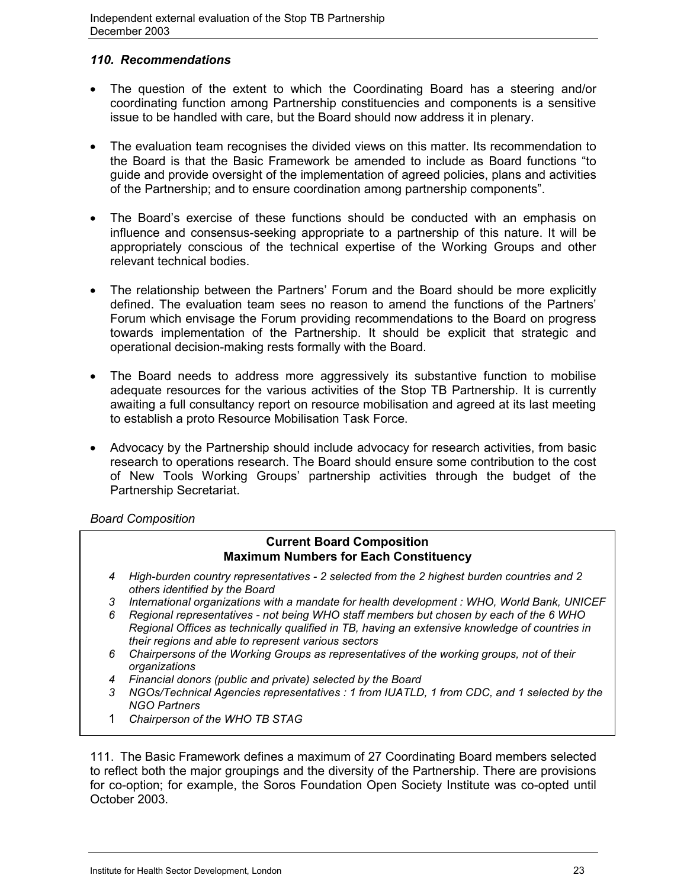## *110. Recommendations*

- The question of the extent to which the Coordinating Board has a steering and/or coordinating function among Partnership constituencies and components is a sensitive issue to be handled with care, but the Board should now address it in plenary.
- The evaluation team recognises the divided views on this matter. Its recommendation to the Board is that the Basic Framework be amended to include as Board functions "to guide and provide oversight of the implementation of agreed policies, plans and activities of the Partnership; and to ensure coordination among partnership components".
- The Board's exercise of these functions should be conducted with an emphasis on influence and consensus-seeking appropriate to a partnership of this nature. It will be appropriately conscious of the technical expertise of the Working Groups and other relevant technical bodies.
- The relationship between the Partners' Forum and the Board should be more explicitly defined. The evaluation team sees no reason to amend the functions of the Partners' Forum which envisage the Forum providing recommendations to the Board on progress towards implementation of the Partnership. It should be explicit that strategic and operational decision-making rests formally with the Board.
- The Board needs to address more aggressively its substantive function to mobilise adequate resources for the various activities of the Stop TB Partnership. It is currently awaiting a full consultancy report on resource mobilisation and agreed at its last meeting to establish a proto Resource Mobilisation Task Force.
- Advocacy by the Partnership should include advocacy for research activities, from basic research to operations research. The Board should ensure some contribution to the cost of New Tools Working Groups' partnership activities through the budget of the Partnership Secretariat.

*Board Composition*

## **Current Board Composition Maximum Numbers for Each Constituency**

- *4 High-burden country representatives 2 selected from the 2 highest burden countries and 2 others identified by the Board*
- *3 International organizations with a mandate for health development : WHO, World Bank, UNICEF*
- *6 Regional representatives not being WHO staff members but chosen by each of the 6 WHO Regional Offices as technically qualified in TB, having an extensive knowledge of countries in their regions and able to represent various sectors*
- *6 Chairpersons of the Working Groups as representatives of the working groups, not of their organizations*
- *4 Financial donors (public and private) selected by the Board*
- *3 NGOs/Technical Agencies representatives : 1 from IUATLD, 1 from CDC, and 1 selected by the NGO Partners*
- 1 *Chairperson of the WHO TB STAG*

111. The Basic Framework defines a maximum of 27 Coordinating Board members selected to reflect both the major groupings and the diversity of the Partnership. There are provisions for co-option; for example, the Soros Foundation Open Society Institute was co-opted until October 2003.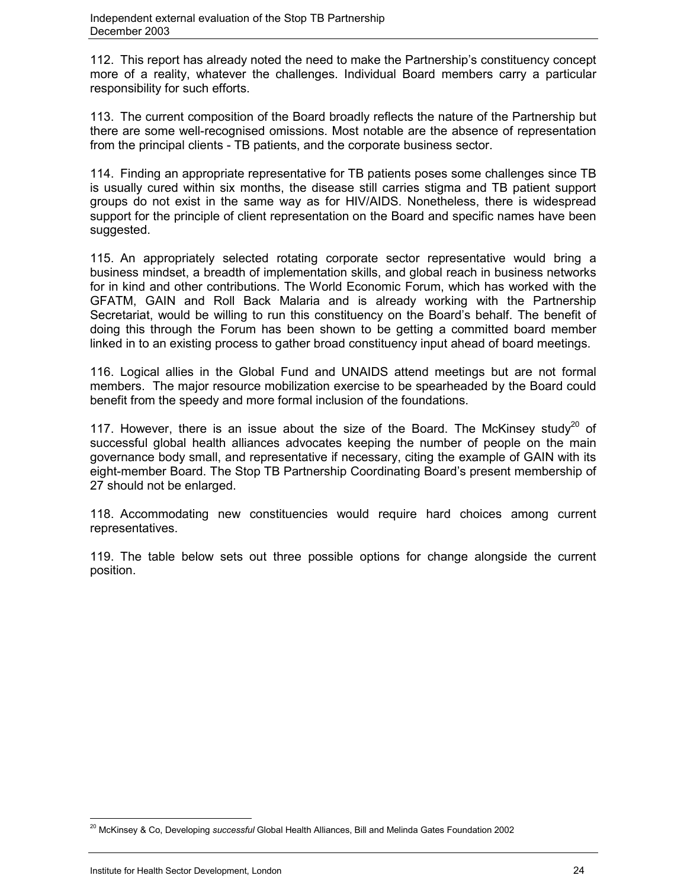112. This report has already noted the need to make the Partnership's constituency concept more of a reality, whatever the challenges. Individual Board members carry a particular responsibility for such efforts.

113. The current composition of the Board broadly reflects the nature of the Partnership but there are some well-recognised omissions. Most notable are the absence of representation from the principal clients - TB patients, and the corporate business sector.

114. Finding an appropriate representative for TB patients poses some challenges since TB is usually cured within six months, the disease still carries stigma and TB patient support groups do not exist in the same way as for HIV/AIDS. Nonetheless, there is widespread support for the principle of client representation on the Board and specific names have been suggested.

115. An appropriately selected rotating corporate sector representative would bring a business mindset, a breadth of implementation skills, and global reach in business networks for in kind and other contributions. The World Economic Forum, which has worked with the GFATM, GAIN and Roll Back Malaria and is already working with the Partnership Secretariat, would be willing to run this constituency on the Board's behalf. The benefit of doing this through the Forum has been shown to be getting a committed board member linked in to an existing process to gather broad constituency input ahead of board meetings.

116. Logical allies in the Global Fund and UNAIDS attend meetings but are not formal members. The major resource mobilization exercise to be spearheaded by the Board could benefit from the speedy and more formal inclusion of the foundations.

117. However, there is an issue about the size of the Board. The McKinsey study<sup>20</sup> of successful global health alliances advocates keeping the number of people on the main governance body small, and representative if necessary, citing the example of GAIN with its eight-member Board. The Stop TB Partnership Coordinating Board's present membership of 27 should not be enlarged.

118. Accommodating new constituencies would require hard choices among current representatives.

119. The table below sets out three possible options for change alongside the current position.

 $\overline{a}$ 

<sup>20</sup> McKinsey & Co, Developing *successful* Global Health Alliances, Bill and Melinda Gates Foundation 2002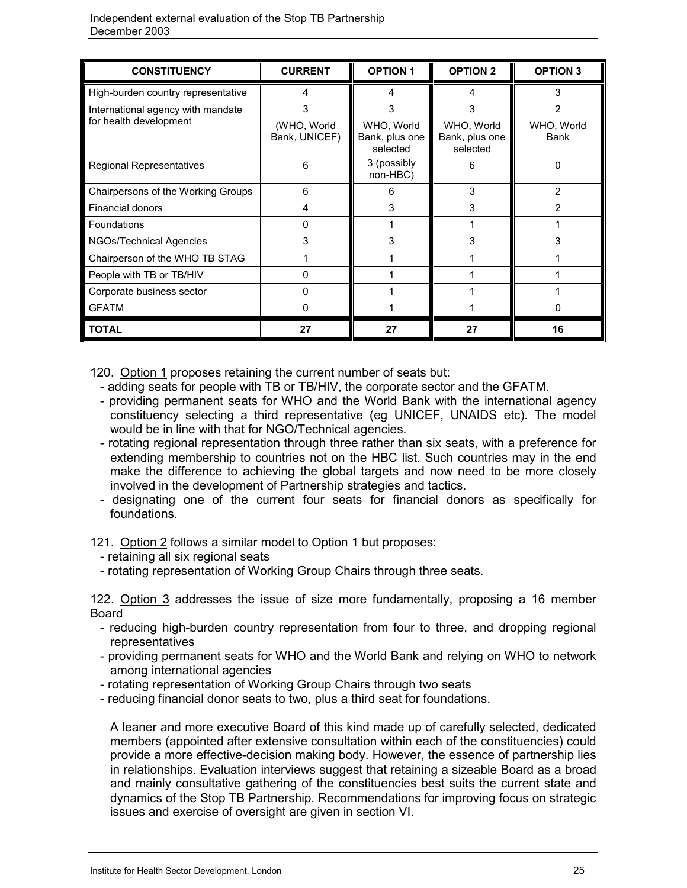| <b>CONSTITUENCY</b>                                         | <b>CURRENT</b>                    | <b>OPTION 1</b>                               | <b>OPTION 2</b>                               | <b>OPTION 3</b>                             |
|-------------------------------------------------------------|-----------------------------------|-----------------------------------------------|-----------------------------------------------|---------------------------------------------|
| High-burden country representative                          | 4                                 | 4                                             | 4                                             | 3                                           |
| International agency with mandate<br>for health development | 3<br>(WHO, World<br>Bank, UNICEF) | 3<br>WHO, World<br>Bank, plus one<br>selected | 3<br>WHO, World<br>Bank, plus one<br>selected | $\overline{2}$<br>WHO, World<br><b>Bank</b> |
| Regional Representatives                                    | 6                                 | 3 (possibly<br>non-HBC)                       | 6                                             | 0                                           |
| Chairpersons of the Working Groups                          | 6                                 | 6                                             | 3                                             | $\overline{2}$                              |
| <b>Financial donors</b>                                     | 4                                 | 3                                             | 3                                             | $\overline{2}$                              |
| <b>Foundations</b>                                          | 0                                 |                                               |                                               |                                             |
| NGOs/Technical Agencies                                     | 3                                 | 3                                             | 3                                             | 3                                           |
| Chairperson of the WHO TB STAG                              |                                   |                                               |                                               |                                             |
| People with TB or TB/HIV                                    | 0                                 |                                               |                                               |                                             |
| Corporate business sector                                   | 0                                 |                                               |                                               |                                             |
| <b>GFATM</b>                                                | 0                                 |                                               |                                               | 0                                           |
| <b>TOTAL</b>                                                | 27                                | 27                                            | 27                                            | 16                                          |

120. Option 1 proposes retaining the current number of seats but:

- adding seats for people with TB or TB/HIV, the corporate sector and the GFATM.
- providing permanent seats for WHO and the World Bank with the international agency constituency selecting a third representative (eg UNICEF, UNAIDS etc). The model would be in line with that for NGO/Technical agencies.
- rotating regional representation through three rather than six seats, with a preference for extending membership to countries not on the HBC list. Such countries may in the end make the difference to achieving the global targets and now need to be more closely involved in the development of Partnership strategies and tactics.
- designating one of the current four seats for financial donors as specifically for foundations.
- 121. Option 2 follows a similar model to Option 1 but proposes:
	- retaining all six regional seats
	- rotating representation of Working Group Chairs through three seats.

122. Option 3 addresses the issue of size more fundamentally, proposing a 16 member Board

- reducing high-burden country representation from four to three, and dropping regional representatives
- providing permanent seats for WHO and the World Bank and relying on WHO to network among international agencies
- rotating representation of Working Group Chairs through two seats
- reducing financial donor seats to two, plus a third seat for foundations.

A leaner and more executive Board of this kind made up of carefully selected, dedicated members (appointed after extensive consultation within each of the constituencies) could provide a more effective-decision making body. However, the essence of partnership lies in relationships. Evaluation interviews suggest that retaining a sizeable Board as a broad and mainly consultative gathering of the constituencies best suits the current state and dynamics of the Stop TB Partnership. Recommendations for improving focus on strategic issues and exercise of oversight are given in section VI.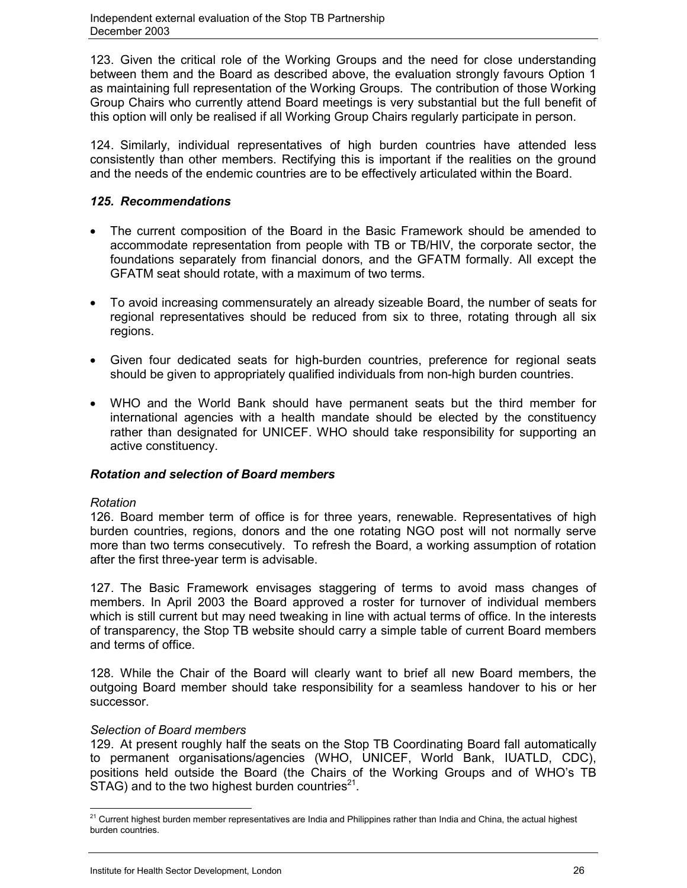123. Given the critical role of the Working Groups and the need for close understanding between them and the Board as described above, the evaluation strongly favours Option 1 as maintaining full representation of the Working Groups. The contribution of those Working Group Chairs who currently attend Board meetings is very substantial but the full benefit of this option will only be realised if all Working Group Chairs regularly participate in person.

124. Similarly, individual representatives of high burden countries have attended less consistently than other members. Rectifying this is important if the realities on the ground and the needs of the endemic countries are to be effectively articulated within the Board.

## *125. Recommendations*

- The current composition of the Board in the Basic Framework should be amended to accommodate representation from people with TB or TB/HIV, the corporate sector, the foundations separately from financial donors, and the GFATM formally. All except the GFATM seat should rotate, with a maximum of two terms.
- To avoid increasing commensurately an already sizeable Board, the number of seats for regional representatives should be reduced from six to three, rotating through all six regions.
- Given four dedicated seats for high-burden countries, preference for regional seats should be given to appropriately qualified individuals from non-high burden countries.
- WHO and the World Bank should have permanent seats but the third member for international agencies with a health mandate should be elected by the constituency rather than designated for UNICEF. WHO should take responsibility for supporting an active constituency.

## *Rotation and selection of Board members*

### *Rotation*

126. Board member term of office is for three years, renewable. Representatives of high burden countries, regions, donors and the one rotating NGO post will not normally serve more than two terms consecutively. To refresh the Board, a working assumption of rotation after the first three-year term is advisable.

127. The Basic Framework envisages staggering of terms to avoid mass changes of members. In April 2003 the Board approved a roster for turnover of individual members which is still current but may need tweaking in line with actual terms of office. In the interests of transparency, the Stop TB website should carry a simple table of current Board members and terms of office.

128. While the Chair of the Board will clearly want to brief all new Board members, the outgoing Board member should take responsibility for a seamless handover to his or her successor.

## *Selection of Board members*

129. At present roughly half the seats on the Stop TB Coordinating Board fall automatically to permanent organisations/agencies (WHO, UNICEF, World Bank, IUATLD, CDC), positions held outside the Board (the Chairs of the Working Groups and of WHO's TB  $STAG$ ) and to the two highest burden countries<sup>21</sup>.

 $\overline{a}$  $^{21}$  Current highest burden member representatives are India and Philippines rather than India and China, the actual highest burden countries.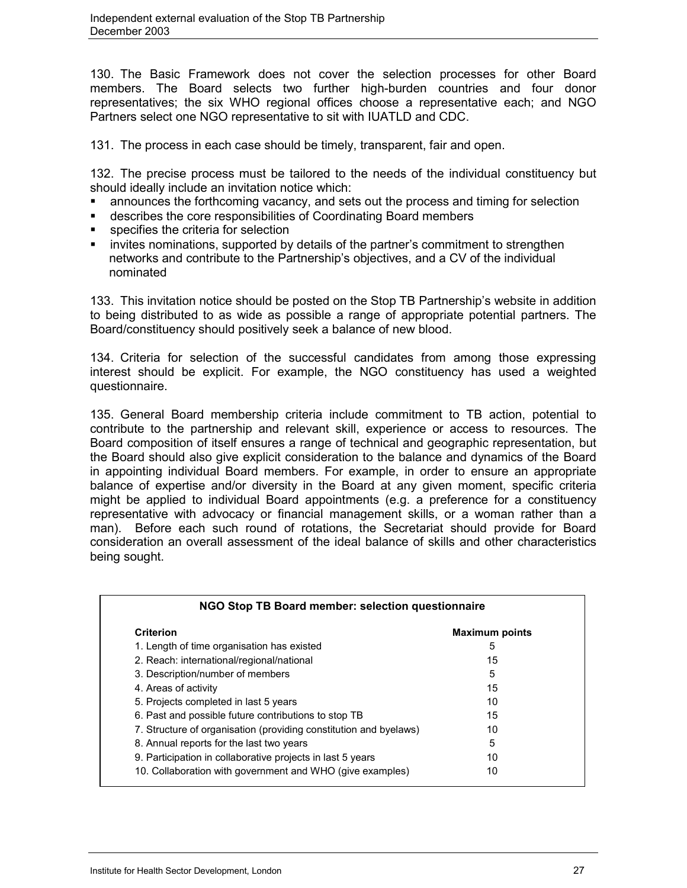130. The Basic Framework does not cover the selection processes for other Board members. The Board selects two further high-burden countries and four donor representatives; the six WHO regional offices choose a representative each; and NGO Partners select one NGO representative to sit with IUATLD and CDC.

131. The process in each case should be timely, transparent, fair and open.

132. The precise process must be tailored to the needs of the individual constituency but should ideally include an invitation notice which:

- announces the forthcoming vacancy, and sets out the process and timing for selection
- describes the core responsibilities of Coordinating Board members
- **specifies the criteria for selection**
- invites nominations, supported by details of the partner's commitment to strengthen networks and contribute to the Partnership's objectives, and a CV of the individual nominated

133. This invitation notice should be posted on the Stop TB Partnership's website in addition to being distributed to as wide as possible a range of appropriate potential partners. The Board/constituency should positively seek a balance of new blood.

134. Criteria for selection of the successful candidates from among those expressing interest should be explicit. For example, the NGO constituency has used a weighted questionnaire.

135. General Board membership criteria include commitment to TB action, potential to contribute to the partnership and relevant skill, experience or access to resources. The Board composition of itself ensures a range of technical and geographic representation, but the Board should also give explicit consideration to the balance and dynamics of the Board in appointing individual Board members. For example, in order to ensure an appropriate balance of expertise and/or diversity in the Board at any given moment, specific criteria might be applied to individual Board appointments (e.g. a preference for a constituency representative with advocacy or financial management skills, or a woman rather than a man). Before each such round of rotations, the Secretariat should provide for Board consideration an overall assessment of the ideal balance of skills and other characteristics being sought.

| NGO Stop TB Board member: selection questionnaire                 |                       |  |
|-------------------------------------------------------------------|-----------------------|--|
| Criterion                                                         | <b>Maximum points</b> |  |
| 1. Length of time organisation has existed                        | 5                     |  |
| 2. Reach: international/regional/national                         | 15                    |  |
| 3. Description/number of members                                  | 5                     |  |
| 4. Areas of activity                                              | 15                    |  |
| 5. Projects completed in last 5 years                             | 10                    |  |
| 6. Past and possible future contributions to stop TB              | 15                    |  |
| 7. Structure of organisation (providing constitution and byelaws) | 10                    |  |
| 8. Annual reports for the last two years                          | 5                     |  |
| 9. Participation in collaborative projects in last 5 years        | 10                    |  |
| 10. Collaboration with government and WHO (give examples)         | 10                    |  |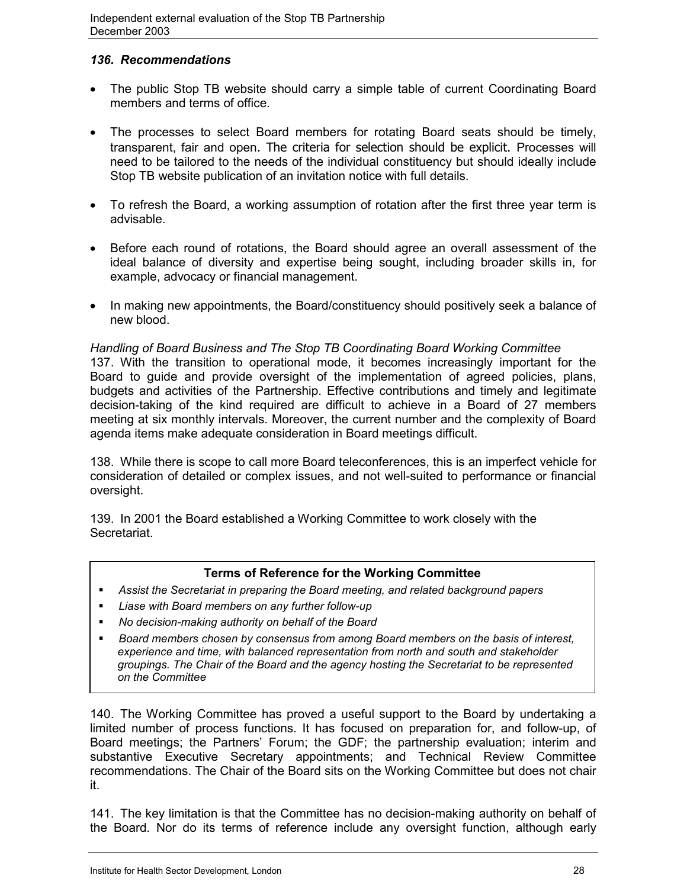## *136. Recommendations*

- The public Stop TB website should carry a simple table of current Coordinating Board members and terms of office.
- The processes to select Board members for rotating Board seats should be timely, transparent, fair and open. The criteria for selection should be explicit. Processes will need to be tailored to the needs of the individual constituency but should ideally include Stop TB website publication of an invitation notice with full details.
- To refresh the Board, a working assumption of rotation after the first three year term is advisable.
- Before each round of rotations, the Board should agree an overall assessment of the ideal balance of diversity and expertise being sought, including broader skills in, for example, advocacy or financial management.
- In making new appointments, the Board/constituency should positively seek a balance of new blood.

*Handling of Board Business and The Stop TB Coordinating Board Working Committee* 137. With the transition to operational mode, it becomes increasingly important for the Board to guide and provide oversight of the implementation of agreed policies, plans, budgets and activities of the Partnership. Effective contributions and timely and legitimate decision-taking of the kind required are difficult to achieve in a Board of 27 members meeting at six monthly intervals. Moreover, the current number and the complexity of Board agenda items make adequate consideration in Board meetings difficult.

138. While there is scope to call more Board teleconferences, this is an imperfect vehicle for consideration of detailed or complex issues, and not well-suited to performance or financial oversight.

139. In 2001 the Board established a Working Committee to work closely with the Secretariat.

## **Terms of Reference for the Working Committee**

- *Assist the Secretariat in preparing the Board meeting, and related background papers*
- *Liase with Board members on any further follow-up*
- *No decision-making authority on behalf of the Board*
- *Board members chosen by consensus from among Board members on the basis of interest, experience and time, with balanced representation from north and south and stakeholder groupings. The Chair of the Board and the agency hosting the Secretariat to be represented on the Committee*

140. The Working Committee has proved a useful support to the Board by undertaking a limited number of process functions. It has focused on preparation for, and follow-up, of Board meetings; the Partners' Forum; the GDF; the partnership evaluation; interim and substantive Executive Secretary appointments; and Technical Review Committee recommendations. The Chair of the Board sits on the Working Committee but does not chair it.

141. The key limitation is that the Committee has no decision-making authority on behalf of the Board. Nor do its terms of reference include any oversight function, although early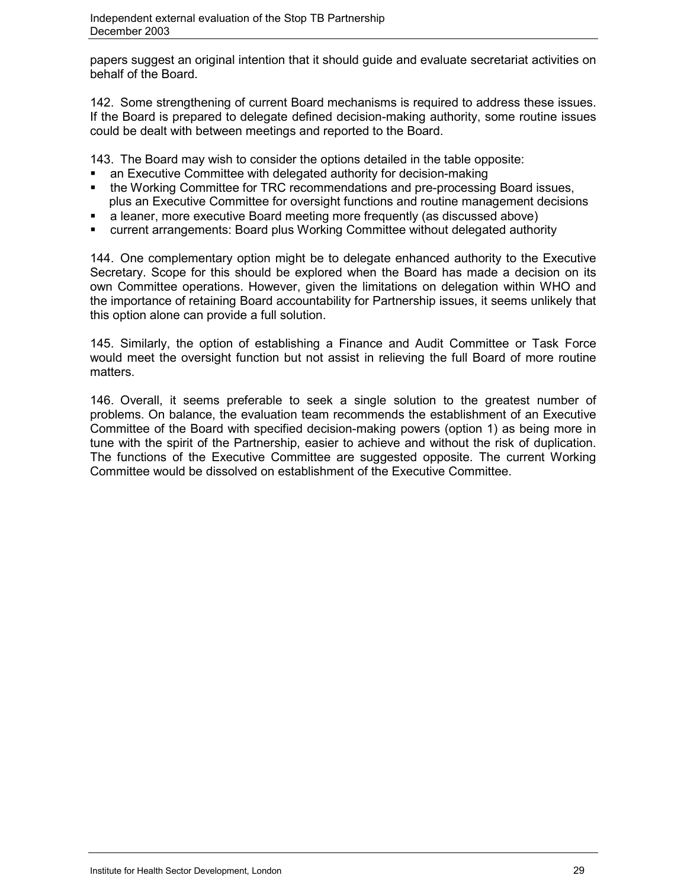papers suggest an original intention that it should guide and evaluate secretariat activities on behalf of the Board.

142. Some strengthening of current Board mechanisms is required to address these issues. If the Board is prepared to delegate defined decision-making authority, some routine issues could be dealt with between meetings and reported to the Board.

143. The Board may wish to consider the options detailed in the table opposite:

- an Executive Committee with delegated authority for decision-making
- the Working Committee for TRC recommendations and pre-processing Board issues, plus an Executive Committee for oversight functions and routine management decisions
- a leaner, more executive Board meeting more frequently (as discussed above)
- current arrangements: Board plus Working Committee without delegated authority

144. One complementary option might be to delegate enhanced authority to the Executive Secretary. Scope for this should be explored when the Board has made a decision on its own Committee operations. However, given the limitations on delegation within WHO and the importance of retaining Board accountability for Partnership issues, it seems unlikely that this option alone can provide a full solution.

145. Similarly, the option of establishing a Finance and Audit Committee or Task Force would meet the oversight function but not assist in relieving the full Board of more routine matters.

146. Overall, it seems preferable to seek a single solution to the greatest number of problems. On balance, the evaluation team recommends the establishment of an Executive Committee of the Board with specified decision-making powers (option 1) as being more in tune with the spirit of the Partnership, easier to achieve and without the risk of duplication. The functions of the Executive Committee are suggested opposite. The current Working Committee would be dissolved on establishment of the Executive Committee.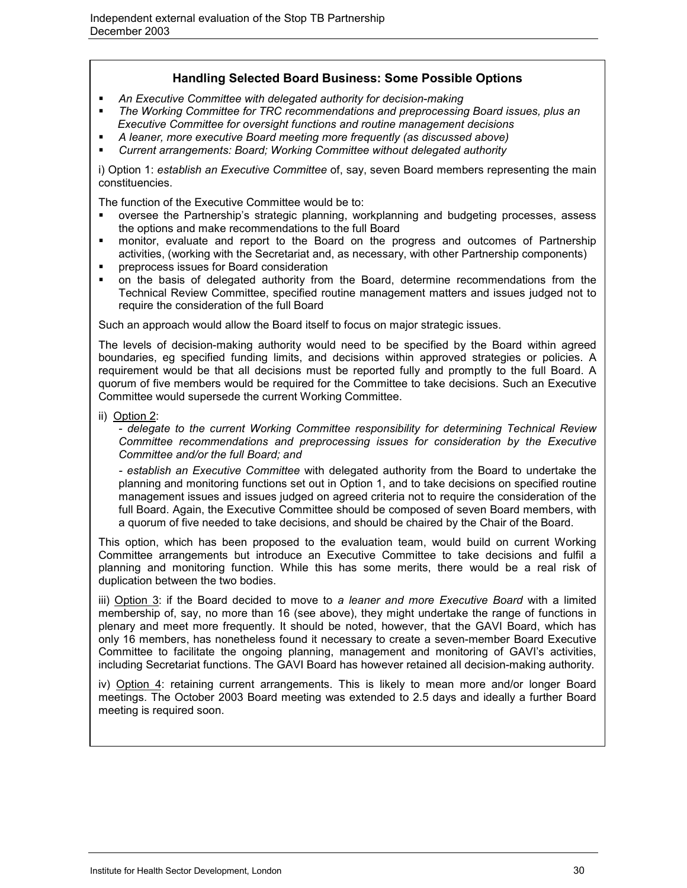# **Handling Selected Board Business: Some Possible Options**

- *An Executive Committee with delegated authority for decision-making*
- *The Working Committee for TRC recommendations and preprocessing Board issues, plus an Executive Committee for oversight functions and routine management decisions*
- *A leaner, more executive Board meeting more frequently (as discussed above)*
- *Current arrangements: Board; Working Committee without delegated authority*

i) Option 1: *establish an Executive Committee* of, say, seven Board members representing the main constituencies.

The function of the Executive Committee would be to:

- oversee the Partnership's strategic planning, workplanning and budgeting processes, assess the options and make recommendations to the full Board
- monitor, evaluate and report to the Board on the progress and outcomes of Partnership activities, (working with the Secretariat and, as necessary, with other Partnership components)
- preprocess issues for Board consideration
- on the basis of delegated authority from the Board, determine recommendations from the Technical Review Committee, specified routine management matters and issues judged not to require the consideration of the full Board

Such an approach would allow the Board itself to focus on major strategic issues.

The levels of decision-making authority would need to be specified by the Board within agreed boundaries, eg specified funding limits, and decisions within approved strategies or policies. A requirement would be that all decisions must be reported fully and promptly to the full Board. A quorum of five members would be required for the Committee to take decisions. Such an Executive Committee would supersede the current Working Committee.

ii) Option 2:

*- delegate to the current Working Committee responsibility for determining Technical Review Committee recommendations and preprocessing issues for consideration by the Executive Committee and/or the full Board; and*

*- establish an Executive Committee* with delegated authority from the Board to undertake the planning and monitoring functions set out in Option 1, and to take decisions on specified routine management issues and issues judged on agreed criteria not to require the consideration of the full Board. Again, the Executive Committee should be composed of seven Board members, with a quorum of five needed to take decisions, and should be chaired by the Chair of the Board.

This option, which has been proposed to the evaluation team, would build on current Working Committee arrangements but introduce an Executive Committee to take decisions and fulfil a planning and monitoring function. While this has some merits, there would be a real risk of duplication between the two bodies.

iii) Option 3: if the Board decided to move to *a leaner and more Executive Board* with a limited membership of, say, no more than 16 (see above), they might undertake the range of functions in plenary and meet more frequently. It should be noted, however, that the GAVI Board, which has only 16 members, has nonetheless found it necessary to create a seven-member Board Executive Committee to facilitate the ongoing planning, management and monitoring of GAVI's activities, including Secretariat functions. The GAVI Board has however retained all decision-making authority.

iv) Option 4: retaining current arrangements. This is likely to mean more and/or longer Board meetings. The October 2003 Board meeting was extended to 2.5 days and ideally a further Board meeting is required soon.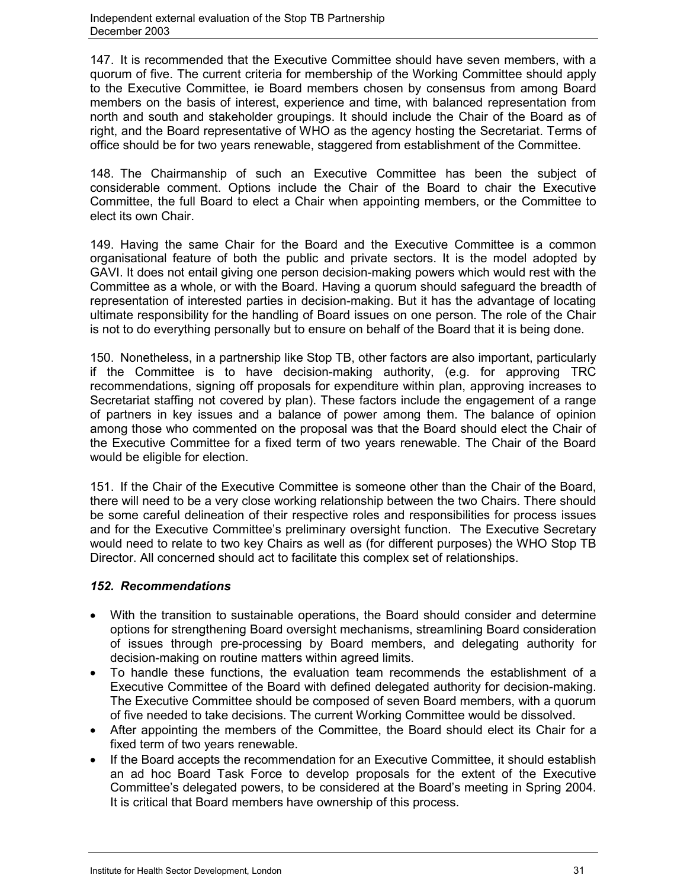147. It is recommended that the Executive Committee should have seven members, with a quorum of five. The current criteria for membership of the Working Committee should apply to the Executive Committee, ie Board members chosen by consensus from among Board members on the basis of interest, experience and time, with balanced representation from north and south and stakeholder groupings. It should include the Chair of the Board as of right, and the Board representative of WHO as the agency hosting the Secretariat. Terms of office should be for two years renewable, staggered from establishment of the Committee.

148. The Chairmanship of such an Executive Committee has been the subject of considerable comment. Options include the Chair of the Board to chair the Executive Committee, the full Board to elect a Chair when appointing members, or the Committee to elect its own Chair.

149. Having the same Chair for the Board and the Executive Committee is a common organisational feature of both the public and private sectors. It is the model adopted by GAVI. It does not entail giving one person decision-making powers which would rest with the Committee as a whole, or with the Board. Having a quorum should safeguard the breadth of representation of interested parties in decision-making. But it has the advantage of locating ultimate responsibility for the handling of Board issues on one person. The role of the Chair is not to do everything personally but to ensure on behalf of the Board that it is being done.

150. Nonetheless, in a partnership like Stop TB, other factors are also important, particularly if the Committee is to have decision-making authority, (e.g. for approving TRC recommendations, signing off proposals for expenditure within plan, approving increases to Secretariat staffing not covered by plan). These factors include the engagement of a range of partners in key issues and a balance of power among them. The balance of opinion among those who commented on the proposal was that the Board should elect the Chair of the Executive Committee for a fixed term of two years renewable. The Chair of the Board would be eligible for election.

151. If the Chair of the Executive Committee is someone other than the Chair of the Board, there will need to be a very close working relationship between the two Chairs. There should be some careful delineation of their respective roles and responsibilities for process issues and for the Executive Committee's preliminary oversight function. The Executive Secretary would need to relate to two key Chairs as well as (for different purposes) the WHO Stop TB Director. All concerned should act to facilitate this complex set of relationships.

# *152. Recommendations*

- With the transition to sustainable operations, the Board should consider and determine options for strengthening Board oversight mechanisms, streamlining Board consideration of issues through pre-processing by Board members, and delegating authority for decision-making on routine matters within agreed limits.
- To handle these functions, the evaluation team recommends the establishment of a Executive Committee of the Board with defined delegated authority for decision-making. The Executive Committee should be composed of seven Board members, with a quorum of five needed to take decisions. The current Working Committee would be dissolved.
- After appointing the members of the Committee, the Board should elect its Chair for a fixed term of two years renewable.
- If the Board accepts the recommendation for an Executive Committee, it should establish an ad hoc Board Task Force to develop proposals for the extent of the Executive Committee's delegated powers, to be considered at the Board's meeting in Spring 2004. It is critical that Board members have ownership of this process.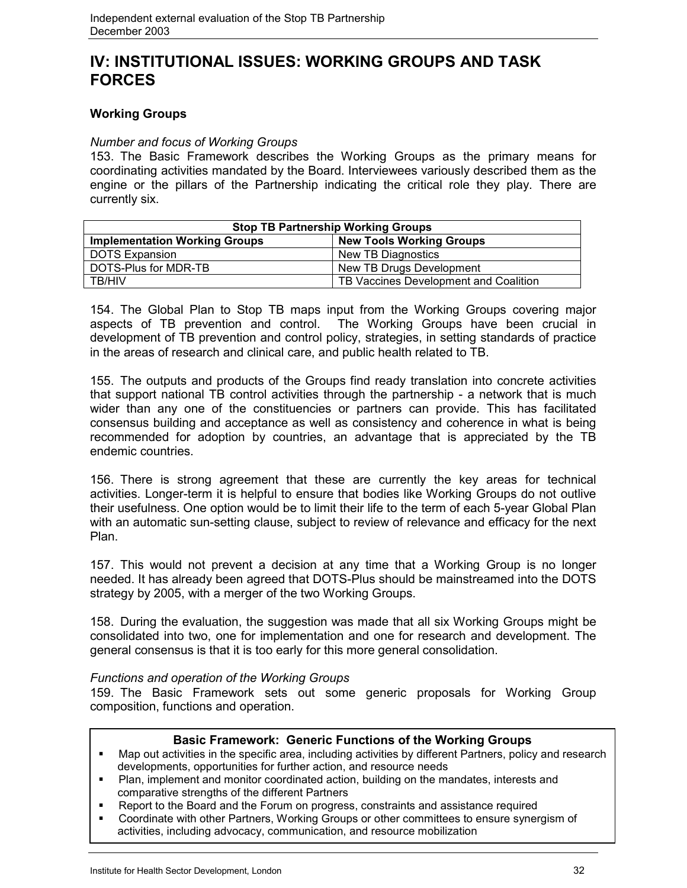# **IV: INSTITUTIONAL ISSUES: WORKING GROUPS AND TASK FORCES**

# **Working Groups**

### *Number and focus of Working Groups*

153. The Basic Framework describes the Working Groups as the primary means for coordinating activities mandated by the Board. Interviewees variously described them as the engine or the pillars of the Partnership indicating the critical role they play. There are currently six.

| <b>Stop TB Partnership Working Groups</b> |                                       |  |  |  |  |  |  |
|-------------------------------------------|---------------------------------------|--|--|--|--|--|--|
| <b>Implementation Working Groups</b>      | <b>New Tools Working Groups</b>       |  |  |  |  |  |  |
| <b>DOTS Expansion</b>                     | New TB Diagnostics                    |  |  |  |  |  |  |
| DOTS-Plus for MDR-TB                      | New TB Drugs Development              |  |  |  |  |  |  |
| TB/HIV                                    | TB Vaccines Development and Coalition |  |  |  |  |  |  |

154. The Global Plan to Stop TB maps input from the Working Groups covering major aspects of TB prevention and control. The Working Groups have been crucial in development of TB prevention and control policy, strategies, in setting standards of practice in the areas of research and clinical care, and public health related to TB.

155. The outputs and products of the Groups find ready translation into concrete activities that support national TB control activities through the partnership - a network that is much wider than any one of the constituencies or partners can provide. This has facilitated consensus building and acceptance as well as consistency and coherence in what is being recommended for adoption by countries, an advantage that is appreciated by the TB endemic countries.

156. There is strong agreement that these are currently the key areas for technical activities. Longer-term it is helpful to ensure that bodies like Working Groups do not outlive their usefulness. One option would be to limit their life to the term of each 5-year Global Plan with an automatic sun-setting clause, subject to review of relevance and efficacy for the next Plan.

157. This would not prevent a decision at any time that a Working Group is no longer needed. It has already been agreed that DOTS-Plus should be mainstreamed into the DOTS strategy by 2005, with a merger of the two Working Groups.

158. During the evaluation, the suggestion was made that all six Working Groups might be consolidated into two, one for implementation and one for research and development. The general consensus is that it is too early for this more general consolidation.

#### *Functions and operation of the Working Groups*

159. The Basic Framework sets out some generic proposals for Working Group composition, functions and operation.

#### **Basic Framework: Generic Functions of the Working Groups**

- Map out activities in the specific area, including activities by different Partners, policy and research developments, opportunities for further action, and resource needs
- Plan, implement and monitor coordinated action, building on the mandates, interests and comparative strengths of the different Partners
- Report to the Board and the Forum on progress, constraints and assistance required
- Coordinate with other Partners, Working Groups or other committees to ensure synergism of activities, including advocacy, communication, and resource mobilization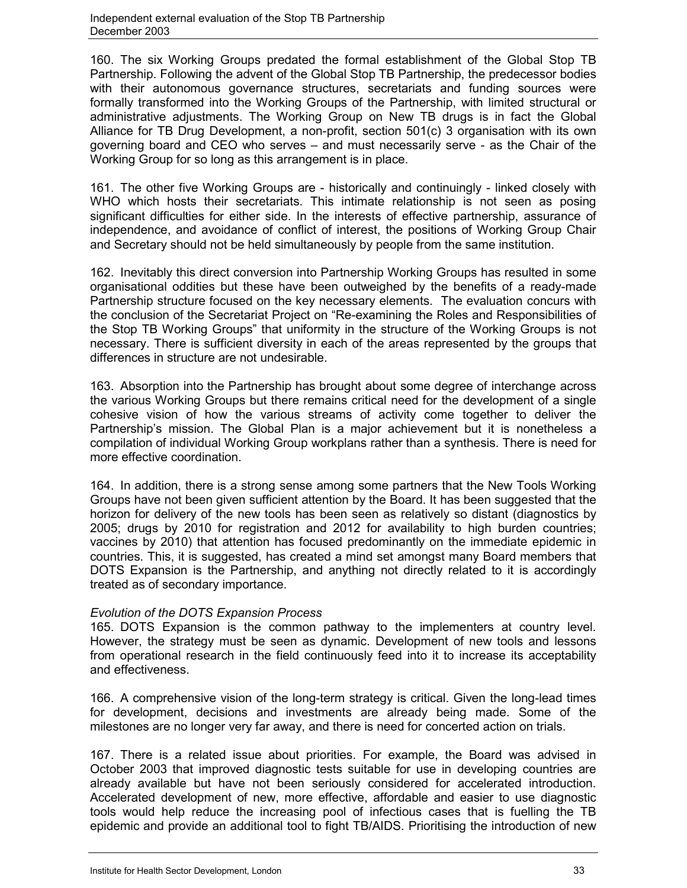160. The six Working Groups predated the formal establishment of the Global Stop TB Partnership. Following the advent of the Global Stop TB Partnership, the predecessor bodies with their autonomous governance structures, secretariats and funding sources were formally transformed into the Working Groups of the Partnership, with limited structural or administrative adjustments. The Working Group on New TB drugs is in fact the Global Alliance for TB Drug Development, a non-profit, section 501(c) 3 organisation with its own governing board and CEO who serves – and must necessarily serve - as the Chair of the Working Group for so long as this arrangement is in place.

161. The other five Working Groups are - historically and continuingly - linked closely with WHO which hosts their secretariats. This intimate relationship is not seen as posing significant difficulties for either side. In the interests of effective partnership, assurance of independence, and avoidance of conflict of interest, the positions of Working Group Chair and Secretary should not be held simultaneously by people from the same institution.

162. Inevitably this direct conversion into Partnership Working Groups has resulted in some organisational oddities but these have been outweighed by the benefits of a ready-made Partnership structure focused on the key necessary elements. The evaluation concurs with the conclusion of the Secretariat Project on "Re-examining the Roles and Responsibilities of the Stop TB Working Groups" that uniformity in the structure of the Working Groups is not necessary. There is sufficient diversity in each of the areas represented by the groups that differences in structure are not undesirable.

163. Absorption into the Partnership has brought about some degree of interchange across the various Working Groups but there remains critical need for the development of a single cohesive vision of how the various streams of activity come together to deliver the Partnership's mission. The Global Plan is a major achievement but it is nonetheless a compilation of individual Working Group workplans rather than a synthesis. There is need for more effective coordination.

164. In addition, there is a strong sense among some partners that the New Tools Working Groups have not been given sufficient attention by the Board. It has been suggested that the horizon for delivery of the new tools has been seen as relatively so distant (diagnostics by 2005; drugs by 2010 for registration and 2012 for availability to high burden countries; vaccines by 2010) that attention has focused predominantly on the immediate epidemic in countries. This, it is suggested, has created a mind set amongst many Board members that DOTS Expansion is the Partnership, and anything not directly related to it is accordingly treated as of secondary importance.

# *Evolution of the DOTS Expansion Process*

165. DOTS Expansion is the common pathway to the implementers at country level. However, the strategy must be seen as dynamic. Development of new tools and lessons from operational research in the field continuously feed into it to increase its acceptability and effectiveness.

166. A comprehensive vision of the long-term strategy is critical. Given the long-lead times for development, decisions and investments are already being made. Some of the milestones are no longer very far away, and there is need for concerted action on trials.

167. There is a related issue about priorities. For example, the Board was advised in October 2003 that improved diagnostic tests suitable for use in developing countries are already available but have not been seriously considered for accelerated introduction. Accelerated development of new, more effective, affordable and easier to use diagnostic tools would help reduce the increasing pool of infectious cases that is fuelling the TB epidemic and provide an additional tool to fight TB/AIDS. Prioritising the introduction of new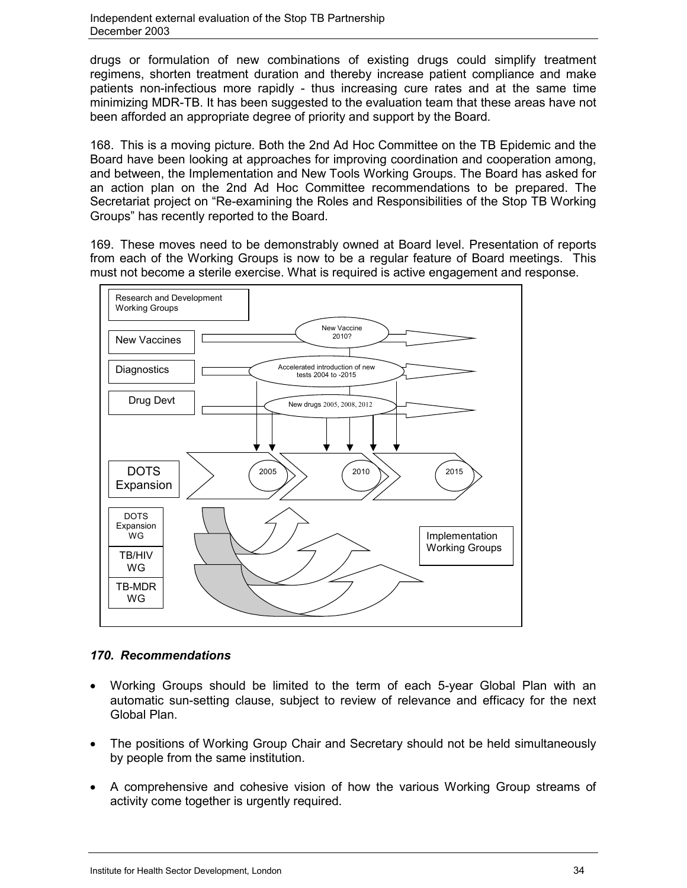drugs or formulation of new combinations of existing drugs could simplify treatment regimens, shorten treatment duration and thereby increase patient compliance and make patients non-infectious more rapidly - thus increasing cure rates and at the same time minimizing MDR-TB. It has been suggested to the evaluation team that these areas have not been afforded an appropriate degree of priority and support by the Board.

168. This is a moving picture. Both the 2nd Ad Hoc Committee on the TB Epidemic and the Board have been looking at approaches for improving coordination and cooperation among, and between, the Implementation and New Tools Working Groups. The Board has asked for an action plan on the 2nd Ad Hoc Committee recommendations to be prepared. The Secretariat project on "Re-examining the Roles and Responsibilities of the Stop TB Working Groups" has recently reported to the Board.

169. These moves need to be demonstrably owned at Board level. Presentation of reports from each of the Working Groups is now to be a regular feature of Board meetings. This must not become a sterile exercise. What is required is active engagement and response.



# *170. Recommendations*

- Working Groups should be limited to the term of each 5-year Global Plan with an automatic sun-setting clause, subject to review of relevance and efficacy for the next Global Plan.
- The positions of Working Group Chair and Secretary should not be held simultaneously by people from the same institution.
- A comprehensive and cohesive vision of how the various Working Group streams of activity come together is urgently required.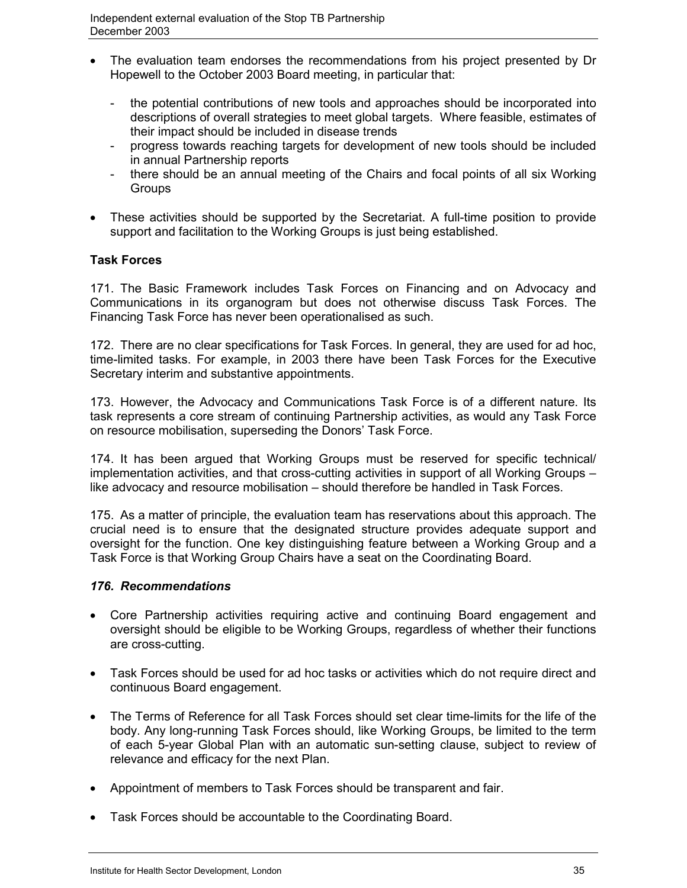- The evaluation team endorses the recommendations from his project presented by Dr Hopewell to the October 2003 Board meeting, in particular that:
	- the potential contributions of new tools and approaches should be incorporated into descriptions of overall strategies to meet global targets. Where feasible, estimates of their impact should be included in disease trends
	- progress towards reaching targets for development of new tools should be included in annual Partnership reports
	- there should be an annual meeting of the Chairs and focal points of all six Working **Groups**
- These activities should be supported by the Secretariat. A full-time position to provide support and facilitation to the Working Groups is just being established.

# **Task Forces**

171. The Basic Framework includes Task Forces on Financing and on Advocacy and Communications in its organogram but does not otherwise discuss Task Forces. The Financing Task Force has never been operationalised as such.

172. There are no clear specifications for Task Forces. In general, they are used for ad hoc, time-limited tasks. For example, in 2003 there have been Task Forces for the Executive Secretary interim and substantive appointments.

173. However, the Advocacy and Communications Task Force is of a different nature. Its task represents a core stream of continuing Partnership activities, as would any Task Force on resource mobilisation, superseding the Donors' Task Force.

174. It has been argued that Working Groups must be reserved for specific technical/ implementation activities, and that cross-cutting activities in support of all Working Groups – like advocacy and resource mobilisation – should therefore be handled in Task Forces.

175. As a matter of principle, the evaluation team has reservations about this approach. The crucial need is to ensure that the designated structure provides adequate support and oversight for the function. One key distinguishing feature between a Working Group and a Task Force is that Working Group Chairs have a seat on the Coordinating Board.

# *176. Recommendations*

- Core Partnership activities requiring active and continuing Board engagement and oversight should be eligible to be Working Groups, regardless of whether their functions are cross-cutting.
- Task Forces should be used for ad hoc tasks or activities which do not require direct and continuous Board engagement.
- The Terms of Reference for all Task Forces should set clear time-limits for the life of the body. Any long-running Task Forces should, like Working Groups, be limited to the term of each 5-year Global Plan with an automatic sun-setting clause, subject to review of relevance and efficacy for the next Plan.
- Appointment of members to Task Forces should be transparent and fair.
- Task Forces should be accountable to the Coordinating Board.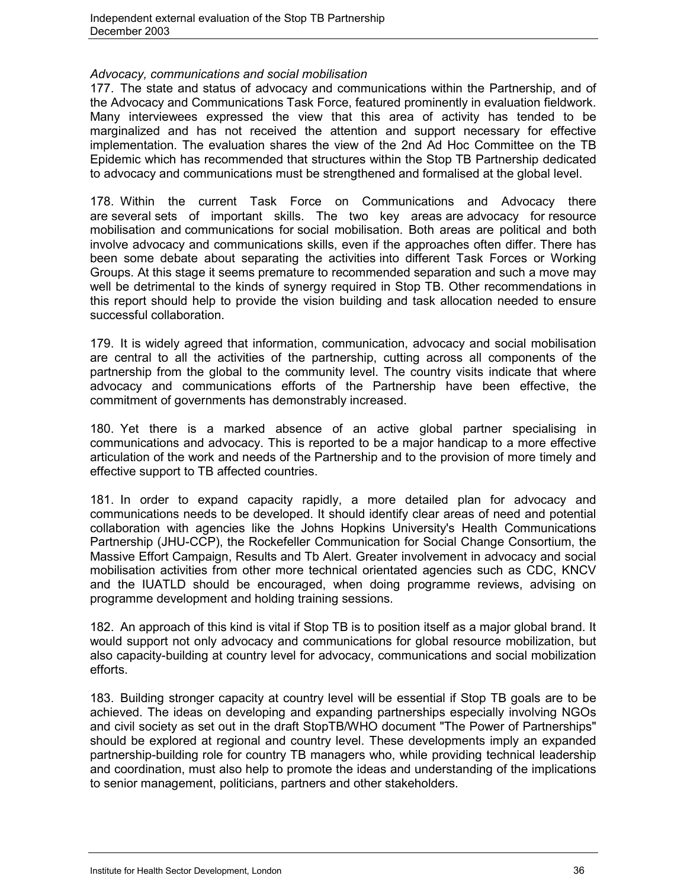#### *Advocacy, communications and social mobilisation*

177. The state and status of advocacy and communications within the Partnership, and of the Advocacy and Communications Task Force, featured prominently in evaluation fieldwork. Many interviewees expressed the view that this area of activity has tended to be marginalized and has not received the attention and support necessary for effective implementation. The evaluation shares the view of the 2nd Ad Hoc Committee on the TB Epidemic which has recommended that structures within the Stop TB Partnership dedicated to advocacy and communications must be strengthened and formalised at the global level.

178. Within the current Task Force on Communications and Advocacy there are several sets of important skills. The two key areas are advocacy for resource mobilisation and communications for social mobilisation. Both areas are political and both involve advocacy and communications skills, even if the approaches often differ. There has been some debate about separating the activities into different Task Forces or Working Groups. At this stage it seems premature to recommended separation and such a move may well be detrimental to the kinds of synergy required in Stop TB. Other recommendations in this report should help to provide the vision building and task allocation needed to ensure successful collaboration.

179. It is widely agreed that information, communication, advocacy and social mobilisation are central to all the activities of the partnership, cutting across all components of the partnership from the global to the community level. The country visits indicate that where advocacy and communications efforts of the Partnership have been effective, the commitment of governments has demonstrably increased.

180. Yet there is a marked absence of an active global partner specialising in communications and advocacy. This is reported to be a major handicap to a more effective articulation of the work and needs of the Partnership and to the provision of more timely and effective support to TB affected countries.

181. In order to expand capacity rapidly, a more detailed plan for advocacy and communications needs to be developed. It should identify clear areas of need and potential collaboration with agencies like the Johns Hopkins University's Health Communications Partnership (JHU-CCP), the Rockefeller Communication for Social Change Consortium, the Massive Effort Campaign, Results and Tb Alert. Greater involvement in advocacy and social mobilisation activities from other more technical orientated agencies such as CDC, KNCV and the IUATLD should be encouraged, when doing programme reviews, advising on programme development and holding training sessions.

182. An approach of this kind is vital if Stop TB is to position itself as a major global brand. It would support not only advocacy and communications for global resource mobilization, but also capacity-building at country level for advocacy, communications and social mobilization efforts.

183. Building stronger capacity at country level will be essential if Stop TB goals are to be achieved. The ideas on developing and expanding partnerships especially involving NGOs and civil society as set out in the draft StopTB/WHO document "The Power of Partnerships" should be explored at regional and country level. These developments imply an expanded partnership-building role for country TB managers who, while providing technical leadership and coordination, must also help to promote the ideas and understanding of the implications to senior management, politicians, partners and other stakeholders.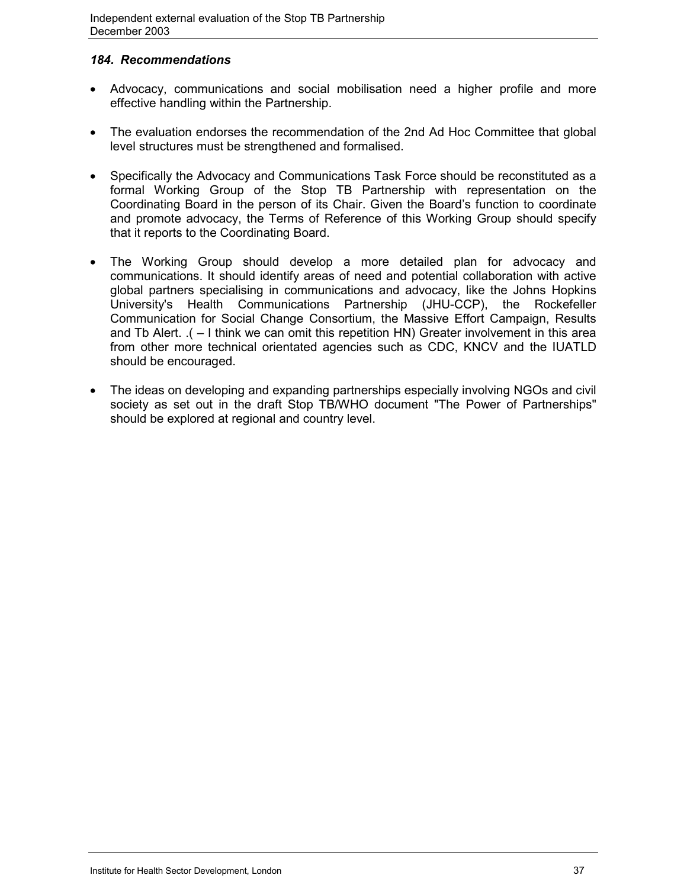# *184. Recommendations*

- Advocacy, communications and social mobilisation need a higher profile and more effective handling within the Partnership.
- The evaluation endorses the recommendation of the 2nd Ad Hoc Committee that global level structures must be strengthened and formalised.
- Specifically the Advocacy and Communications Task Force should be reconstituted as a formal Working Group of the Stop TB Partnership with representation on the Coordinating Board in the person of its Chair. Given the Board's function to coordinate and promote advocacy, the Terms of Reference of this Working Group should specify that it reports to the Coordinating Board.
- The Working Group should develop a more detailed plan for advocacy and communications. It should identify areas of need and potential collaboration with active global partners specialising in communications and advocacy, like the Johns Hopkins University's Health Communications Partnership (JHU-CCP), the Rockefeller Communication for Social Change Consortium, the Massive Effort Campaign, Results and Tb Alert. .( – I think we can omit this repetition HN) Greater involvement in this area from other more technical orientated agencies such as CDC, KNCV and the IUATLD should be encouraged.
- The ideas on developing and expanding partnerships especially involving NGOs and civil society as set out in the draft Stop TB/WHO document "The Power of Partnerships" should be explored at regional and country level.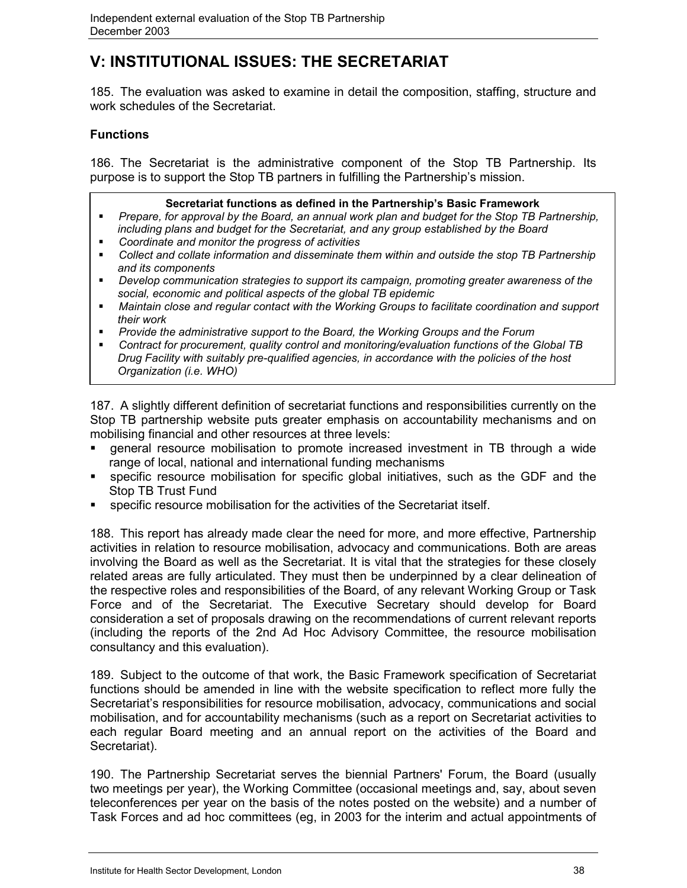# **V: INSTITUTIONAL ISSUES: THE SECRETARIAT**

185. The evaluation was asked to examine in detail the composition, staffing, structure and work schedules of the Secretariat.

# **Functions**

186. The Secretariat is the administrative component of the Stop TB Partnership. Its purpose is to support the Stop TB partners in fulfilling the Partnership's mission.

#### **Secretariat functions as defined in the Partnership's Basic Framework**

- *Prepare, for approval by the Board, an annual work plan and budget for the Stop TB Partnership, including plans and budget for the Secretariat, and any group established by the Board*
- *Coordinate and monitor the progress of activities*
- *Collect and collate information and disseminate them within and outside the stop TB Partnership and its components*
- *Develop communication strategies to support its campaign, promoting greater awareness of the social, economic and political aspects of the global TB epidemic*
- *Maintain close and regular contact with the Working Groups to facilitate coordination and support their work*
- *Provide the administrative support to the Board, the Working Groups and the Forum*
- *Contract for procurement, quality control and monitoring/evaluation functions of the Global TB Drug Facility with suitably pre-qualified agencies, in accordance with the policies of the host Organization (i.e. WHO)*

187. A slightly different definition of secretariat functions and responsibilities currently on the Stop TB partnership website puts greater emphasis on accountability mechanisms and on mobilising financial and other resources at three levels:

- general resource mobilisation to promote increased investment in TB through a wide range of local, national and international funding mechanisms
- specific resource mobilisation for specific global initiatives, such as the GDF and the Stop TB Trust Fund
- specific resource mobilisation for the activities of the Secretariat itself.

188. This report has already made clear the need for more, and more effective, Partnership activities in relation to resource mobilisation, advocacy and communications. Both are areas involving the Board as well as the Secretariat. It is vital that the strategies for these closely related areas are fully articulated. They must then be underpinned by a clear delineation of the respective roles and responsibilities of the Board, of any relevant Working Group or Task Force and of the Secretariat. The Executive Secretary should develop for Board consideration a set of proposals drawing on the recommendations of current relevant reports (including the reports of the 2nd Ad Hoc Advisory Committee, the resource mobilisation consultancy and this evaluation).

189. Subject to the outcome of that work, the Basic Framework specification of Secretariat functions should be amended in line with the website specification to reflect more fully the Secretariat's responsibilities for resource mobilisation, advocacy, communications and social mobilisation, and for accountability mechanisms (such as a report on Secretariat activities to each regular Board meeting and an annual report on the activities of the Board and Secretariat).

190. The Partnership Secretariat serves the biennial Partners' Forum, the Board (usually two meetings per year), the Working Committee (occasional meetings and, say, about seven teleconferences per year on the basis of the notes posted on the website) and a number of Task Forces and ad hoc committees (eg, in 2003 for the interim and actual appointments of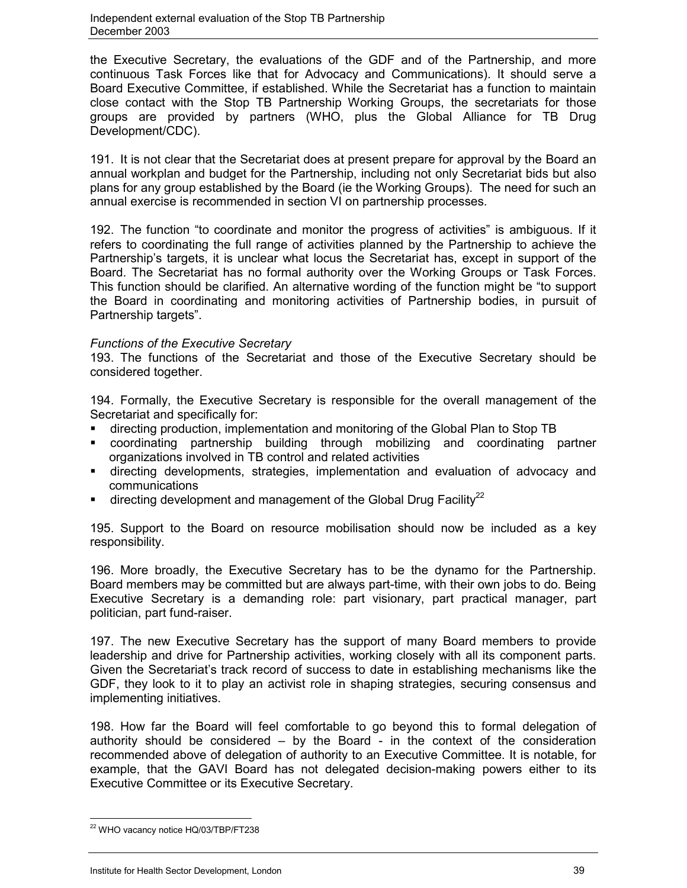the Executive Secretary, the evaluations of the GDF and of the Partnership, and more continuous Task Forces like that for Advocacy and Communications). It should serve a Board Executive Committee, if established. While the Secretariat has a function to maintain close contact with the Stop TB Partnership Working Groups, the secretariats for those groups are provided by partners (WHO, plus the Global Alliance for TB Drug Development/CDC).

191. It is not clear that the Secretariat does at present prepare for approval by the Board an annual workplan and budget for the Partnership, including not only Secretariat bids but also plans for any group established by the Board (ie the Working Groups). The need for such an annual exercise is recommended in section VI on partnership processes.

192. The function "to coordinate and monitor the progress of activities" is ambiguous. If it refers to coordinating the full range of activities planned by the Partnership to achieve the Partnership's targets, it is unclear what locus the Secretariat has, except in support of the Board. The Secretariat has no formal authority over the Working Groups or Task Forces. This function should be clarified. An alternative wording of the function might be "to support the Board in coordinating and monitoring activities of Partnership bodies, in pursuit of Partnership targets".

### *Functions of the Executive Secretary*

193. The functions of the Secretariat and those of the Executive Secretary should be considered together.

194. Formally, the Executive Secretary is responsible for the overall management of the Secretariat and specifically for:

- directing production, implementation and monitoring of the Global Plan to Stop TB
- coordinating partnership building through mobilizing and coordinating partner organizations involved in TB control and related activities
- directing developments, strategies, implementation and evaluation of advocacy and communications
- $\blacksquare$  directing development and management of the Global Drug Facility<sup>22</sup>

195. Support to the Board on resource mobilisation should now be included as a key responsibility.

196. More broadly, the Executive Secretary has to be the dynamo for the Partnership. Board members may be committed but are always part-time, with their own jobs to do. Being Executive Secretary is a demanding role: part visionary, part practical manager, part politician, part fund-raiser.

197. The new Executive Secretary has the support of many Board members to provide leadership and drive for Partnership activities, working closely with all its component parts. Given the Secretariat's track record of success to date in establishing mechanisms like the GDF, they look to it to play an activist role in shaping strategies, securing consensus and implementing initiatives.

198. How far the Board will feel comfortable to go beyond this to formal delegation of authority should be considered  $-$  by the Board  $-$  in the context of the consideration recommended above of delegation of authority to an Executive Committee. It is notable, for example, that the GAVI Board has not delegated decision-making powers either to its Executive Committee or its Executive Secretary.

 $\overline{a}$ <sup>22</sup> WHO vacancy notice HQ/03/TBP/FT238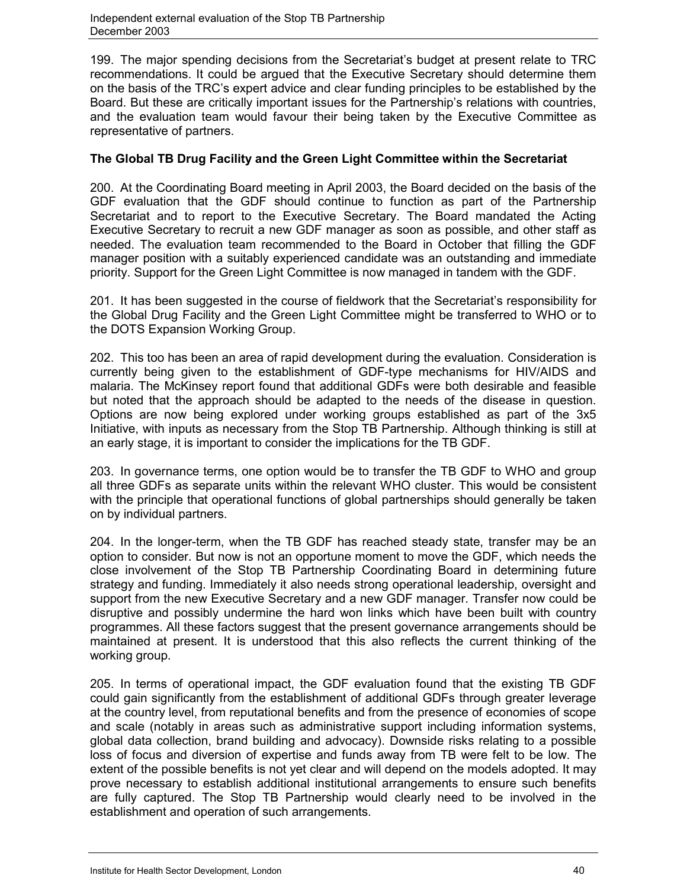199. The major spending decisions from the Secretariat's budget at present relate to TRC recommendations. It could be argued that the Executive Secretary should determine them on the basis of the TRC's expert advice and clear funding principles to be established by the Board. But these are critically important issues for the Partnership's relations with countries, and the evaluation team would favour their being taken by the Executive Committee as representative of partners.

# **The Global TB Drug Facility and the Green Light Committee within the Secretariat**

200. At the Coordinating Board meeting in April 2003, the Board decided on the basis of the GDF evaluation that the GDF should continue to function as part of the Partnership Secretariat and to report to the Executive Secretary. The Board mandated the Acting Executive Secretary to recruit a new GDF manager as soon as possible, and other staff as needed. The evaluation team recommended to the Board in October that filling the GDF manager position with a suitably experienced candidate was an outstanding and immediate priority. Support for the Green Light Committee is now managed in tandem with the GDF.

201. It has been suggested in the course of fieldwork that the Secretariat's responsibility for the Global Drug Facility and the Green Light Committee might be transferred to WHO or to the DOTS Expansion Working Group.

202. This too has been an area of rapid development during the evaluation. Consideration is currently being given to the establishment of GDF-type mechanisms for HIV/AIDS and malaria. The McKinsey report found that additional GDFs were both desirable and feasible but noted that the approach should be adapted to the needs of the disease in question. Options are now being explored under working groups established as part of the 3x5 Initiative, with inputs as necessary from the Stop TB Partnership. Although thinking is still at an early stage, it is important to consider the implications for the TB GDF.

203. In governance terms, one option would be to transfer the TB GDF to WHO and group all three GDFs as separate units within the relevant WHO cluster. This would be consistent with the principle that operational functions of global partnerships should generally be taken on by individual partners.

204. In the longer-term, when the TB GDF has reached steady state, transfer may be an option to consider. But now is not an opportune moment to move the GDF, which needs the close involvement of the Stop TB Partnership Coordinating Board in determining future strategy and funding. Immediately it also needs strong operational leadership, oversight and support from the new Executive Secretary and a new GDF manager. Transfer now could be disruptive and possibly undermine the hard won links which have been built with country programmes. All these factors suggest that the present governance arrangements should be maintained at present. It is understood that this also reflects the current thinking of the working group.

205. In terms of operational impact, the GDF evaluation found that the existing TB GDF could gain significantly from the establishment of additional GDFs through greater leverage at the country level, from reputational benefits and from the presence of economies of scope and scale (notably in areas such as administrative support including information systems, global data collection, brand building and advocacy). Downside risks relating to a possible loss of focus and diversion of expertise and funds away from TB were felt to be low. The extent of the possible benefits is not yet clear and will depend on the models adopted. It may prove necessary to establish additional institutional arrangements to ensure such benefits are fully captured. The Stop TB Partnership would clearly need to be involved in the establishment and operation of such arrangements.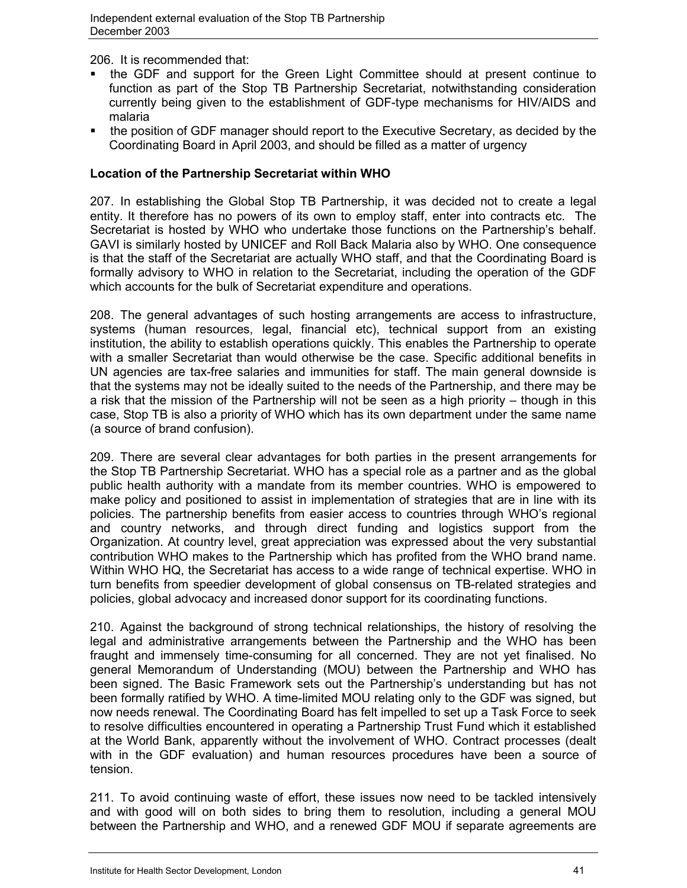206. It is recommended that:

- the GDF and support for the Green Light Committee should at present continue to function as part of the Stop TB Partnership Secretariat, notwithstanding consideration currently being given to the establishment of GDF-type mechanisms for HIV/AIDS and malaria
- the position of GDF manager should report to the Executive Secretary, as decided by the Coordinating Board in April 2003, and should be filled as a matter of urgency

# **Location of the Partnership Secretariat within WHO**

207. In establishing the Global Stop TB Partnership, it was decided not to create a legal entity. It therefore has no powers of its own to employ staff, enter into contracts etc. The Secretariat is hosted by WHO who undertake those functions on the Partnership's behalf. GAVI is similarly hosted by UNICEF and Roll Back Malaria also by WHO. One consequence is that the staff of the Secretariat are actually WHO staff, and that the Coordinating Board is formally advisory to WHO in relation to the Secretariat, including the operation of the GDF which accounts for the bulk of Secretariat expenditure and operations.

208. The general advantages of such hosting arrangements are access to infrastructure, systems (human resources, legal, financial etc), technical support from an existing institution, the ability to establish operations quickly. This enables the Partnership to operate with a smaller Secretariat than would otherwise be the case. Specific additional benefits in UN agencies are tax-free salaries and immunities for staff. The main general downside is that the systems may not be ideally suited to the needs of the Partnership, and there may be a risk that the mission of the Partnership will not be seen as a high priority – though in this case, Stop TB is also a priority of WHO which has its own department under the same name (a source of brand confusion).

209. There are several clear advantages for both parties in the present arrangements for the Stop TB Partnership Secretariat. WHO has a special role as a partner and as the global public health authority with a mandate from its member countries. WHO is empowered to make policy and positioned to assist in implementation of strategies that are in line with its policies. The partnership benefits from easier access to countries through WHO's regional and country networks, and through direct funding and logistics support from the Organization. At country level, great appreciation was expressed about the very substantial contribution WHO makes to the Partnership which has profited from the WHO brand name. Within WHO HQ, the Secretariat has access to a wide range of technical expertise. WHO in turn benefits from speedier development of global consensus on TB-related strategies and policies, global advocacy and increased donor support for its coordinating functions.

210. Against the background of strong technical relationships, the history of resolving the legal and administrative arrangements between the Partnership and the WHO has been fraught and immensely time-consuming for all concerned. They are not yet finalised. No general Memorandum of Understanding (MOU) between the Partnership and WHO has been signed. The Basic Framework sets out the Partnership's understanding but has not been formally ratified by WHO. A time-limited MOU relating only to the GDF was signed, but now needs renewal. The Coordinating Board has felt impelled to set up a Task Force to seek to resolve difficulties encountered in operating a Partnership Trust Fund which it established at the World Bank, apparently without the involvement of WHO. Contract processes (dealt with in the GDF evaluation) and human resources procedures have been a source of tension.

211. To avoid continuing waste of effort, these issues now need to be tackled intensively and with good will on both sides to bring them to resolution, including a general MOU between the Partnership and WHO, and a renewed GDF MOU if separate agreements are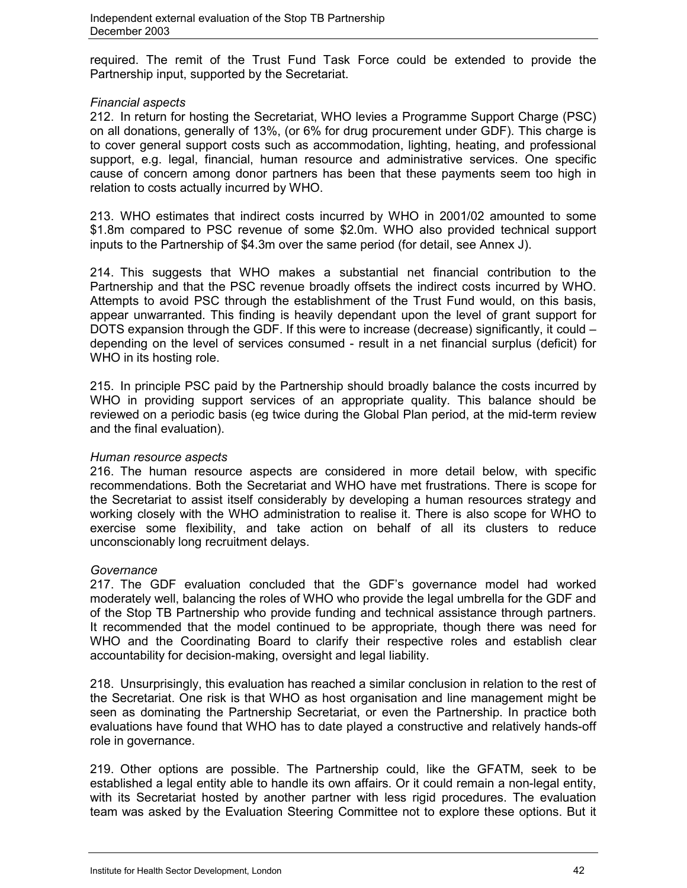required. The remit of the Trust Fund Task Force could be extended to provide the Partnership input, supported by the Secretariat.

## *Financial aspects*

212. In return for hosting the Secretariat, WHO levies a Programme Support Charge (PSC) on all donations, generally of 13%, (or 6% for drug procurement under GDF). This charge is to cover general support costs such as accommodation, lighting, heating, and professional support, e.g. legal, financial, human resource and administrative services. One specific cause of concern among donor partners has been that these payments seem too high in relation to costs actually incurred by WHO.

213. WHO estimates that indirect costs incurred by WHO in 2001/02 amounted to some \$1.8m compared to PSC revenue of some \$2.0m. WHO also provided technical support inputs to the Partnership of \$4.3m over the same period (for detail, see Annex J).

214. This suggests that WHO makes a substantial net financial contribution to the Partnership and that the PSC revenue broadly offsets the indirect costs incurred by WHO. Attempts to avoid PSC through the establishment of the Trust Fund would, on this basis, appear unwarranted. This finding is heavily dependant upon the level of grant support for DOTS expansion through the GDF. If this were to increase (decrease) significantly, it could – depending on the level of services consumed - result in a net financial surplus (deficit) for WHO in its hosting role.

215. In principle PSC paid by the Partnership should broadly balance the costs incurred by WHO in providing support services of an appropriate quality. This balance should be reviewed on a periodic basis (eg twice during the Global Plan period, at the mid-term review and the final evaluation).

# *Human resource aspects*

216. The human resource aspects are considered in more detail below, with specific recommendations. Both the Secretariat and WHO have met frustrations. There is scope for the Secretariat to assist itself considerably by developing a human resources strategy and working closely with the WHO administration to realise it. There is also scope for WHO to exercise some flexibility, and take action on behalf of all its clusters to reduce unconscionably long recruitment delays.

#### *Governance*

217. The GDF evaluation concluded that the GDF's governance model had worked moderately well, balancing the roles of WHO who provide the legal umbrella for the GDF and of the Stop TB Partnership who provide funding and technical assistance through partners. It recommended that the model continued to be appropriate, though there was need for WHO and the Coordinating Board to clarify their respective roles and establish clear accountability for decision-making, oversight and legal liability.

218. Unsurprisingly, this evaluation has reached a similar conclusion in relation to the rest of the Secretariat. One risk is that WHO as host organisation and line management might be seen as dominating the Partnership Secretariat, or even the Partnership. In practice both evaluations have found that WHO has to date played a constructive and relatively hands-off role in governance.

219. Other options are possible. The Partnership could, like the GFATM, seek to be established a legal entity able to handle its own affairs. Or it could remain a non-legal entity, with its Secretariat hosted by another partner with less rigid procedures. The evaluation team was asked by the Evaluation Steering Committee not to explore these options. But it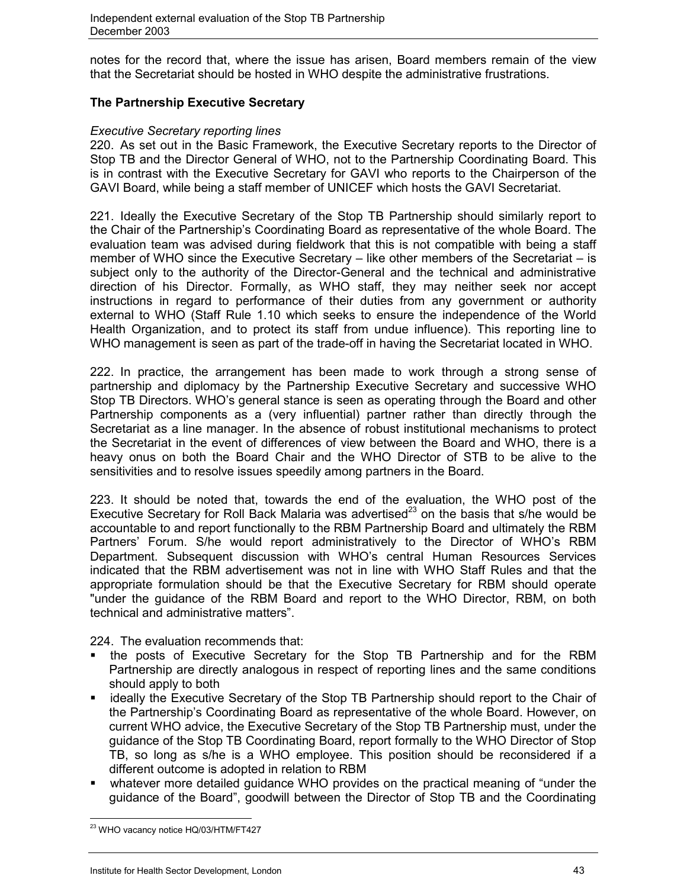notes for the record that, where the issue has arisen, Board members remain of the view that the Secretariat should be hosted in WHO despite the administrative frustrations.

# **The Partnership Executive Secretary**

#### *Executive Secretary reporting lines*

220. As set out in the Basic Framework, the Executive Secretary reports to the Director of Stop TB and the Director General of WHO, not to the Partnership Coordinating Board. This is in contrast with the Executive Secretary for GAVI who reports to the Chairperson of the GAVI Board, while being a staff member of UNICEF which hosts the GAVI Secretariat.

221. Ideally the Executive Secretary of the Stop TB Partnership should similarly report to the Chair of the Partnership's Coordinating Board as representative of the whole Board. The evaluation team was advised during fieldwork that this is not compatible with being a staff member of WHO since the Executive Secretary – like other members of the Secretariat – is subject only to the authority of the Director-General and the technical and administrative direction of his Director. Formally, as WHO staff, they may neither seek nor accept instructions in regard to performance of their duties from any government or authority external to WHO (Staff Rule 1.10 which seeks to ensure the independence of the World Health Organization, and to protect its staff from undue influence). This reporting line to WHO management is seen as part of the trade-off in having the Secretariat located in WHO.

222. In practice, the arrangement has been made to work through a strong sense of partnership and diplomacy by the Partnership Executive Secretary and successive WHO Stop TB Directors. WHO's general stance is seen as operating through the Board and other Partnership components as a (very influential) partner rather than directly through the Secretariat as a line manager. In the absence of robust institutional mechanisms to protect the Secretariat in the event of differences of view between the Board and WHO, there is a heavy onus on both the Board Chair and the WHO Director of STB to be alive to the sensitivities and to resolve issues speedily among partners in the Board.

223. It should be noted that, towards the end of the evaluation, the WHO post of the Executive Secretary for Roll Back Malaria was advertised<sup>23</sup> on the basis that s/he would be accountable to and report functionally to the RBM Partnership Board and ultimately the RBM Partners' Forum. S/he would report administratively to the Director of WHO's RBM Department. Subsequent discussion with WHO's central Human Resources Services indicated that the RBM advertisement was not in line with WHO Staff Rules and that the appropriate formulation should be that the Executive Secretary for RBM should operate "under the guidance of the RBM Board and report to the WHO Director, RBM, on both technical and administrative matters".

224. The evaluation recommends that:

- the posts of Executive Secretary for the Stop TB Partnership and for the RBM Partnership are directly analogous in respect of reporting lines and the same conditions should apply to both
- ideally the Executive Secretary of the Stop TB Partnership should report to the Chair of the Partnership's Coordinating Board as representative of the whole Board. However, on current WHO advice, the Executive Secretary of the Stop TB Partnership must, under the guidance of the Stop TB Coordinating Board, report formally to the WHO Director of Stop TB, so long as s/he is a WHO employee. This position should be reconsidered if a different outcome is adopted in relation to RBM
- whatever more detailed guidance WHO provides on the practical meaning of "under the guidance of the Board", goodwill between the Director of Stop TB and the Coordinating

 $\overline{a}$ <sup>23</sup> WHO vacancy notice HQ/03/HTM/FT427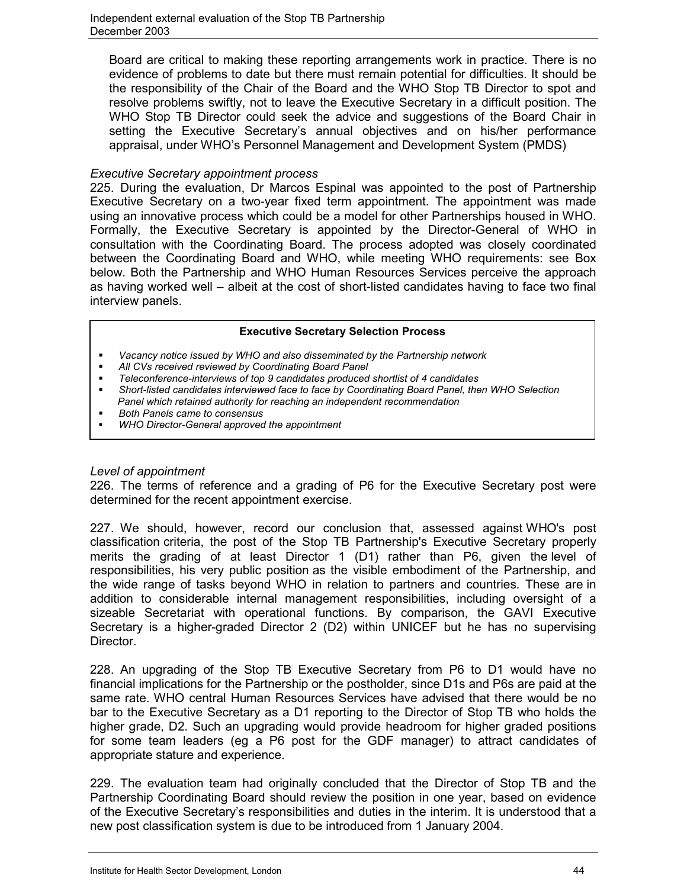Board are critical to making these reporting arrangements work in practice. There is no evidence of problems to date but there must remain potential for difficulties. It should be the responsibility of the Chair of the Board and the WHO Stop TB Director to spot and resolve problems swiftly, not to leave the Executive Secretary in a difficult position. The WHO Stop TB Director could seek the advice and suggestions of the Board Chair in setting the Executive Secretary's annual objectives and on his/her performance appraisal, under WHO's Personnel Management and Development System (PMDS)

## *Executive Secretary appointment process*

225. During the evaluation, Dr Marcos Espinal was appointed to the post of Partnership Executive Secretary on a two-year fixed term appointment. The appointment was made using an innovative process which could be a model for other Partnerships housed in WHO. Formally, the Executive Secretary is appointed by the Director-General of WHO in consultation with the Coordinating Board. The process adopted was closely coordinated between the Coordinating Board and WHO, while meeting WHO requirements: see Box below. Both the Partnership and WHO Human Resources Services perceive the approach as having worked well – albeit at the cost of short-listed candidates having to face two final interview panels.

#### **Executive Secretary Selection Process**

- *Vacancy notice issued by WHO and also disseminated by the Partnership network*
- *All CVs received reviewed by Coordinating Board Panel*
- *Teleconference-interviews of top 9 candidates produced shortlist of 4 candidates*
- *Short-listed candidates interviewed face to face by Coordinating Board Panel, then WHO Selection Panel which retained authority for reaching an independent recommendation*
- *Both Panels came to consensus*
- *WHO Director-General approved the appointment*

# *Level of appointment*

226. The terms of reference and a grading of P6 for the Executive Secretary post were determined for the recent appointment exercise.

227. We should, however, record our conclusion that, assessed against WHO's post classification criteria, the post of the Stop TB Partnership's Executive Secretary properly merits the grading of at least Director 1 (D1) rather than P6, given the level of responsibilities, his very public position as the visible embodiment of the Partnership, and the wide range of tasks beyond WHO in relation to partners and countries. These are in addition to considerable internal management responsibilities, including oversight of a sizeable Secretariat with operational functions. By comparison, the GAVI Executive Secretary is a higher-graded Director 2 (D2) within UNICEF but he has no supervising Director.

228. An upgrading of the Stop TB Executive Secretary from P6 to D1 would have no financial implications for the Partnership or the postholder, since D1s and P6s are paid at the same rate. WHO central Human Resources Services have advised that there would be no bar to the Executive Secretary as a D1 reporting to the Director of Stop TB who holds the higher grade, D2. Such an upgrading would provide headroom for higher graded positions for some team leaders (eg a P6 post for the GDF manager) to attract candidates of appropriate stature and experience.

229. The evaluation team had originally concluded that the Director of Stop TB and the Partnership Coordinating Board should review the position in one year, based on evidence of the Executive Secretary's responsibilities and duties in the interim. It is understood that a new post classification system is due to be introduced from 1 January 2004.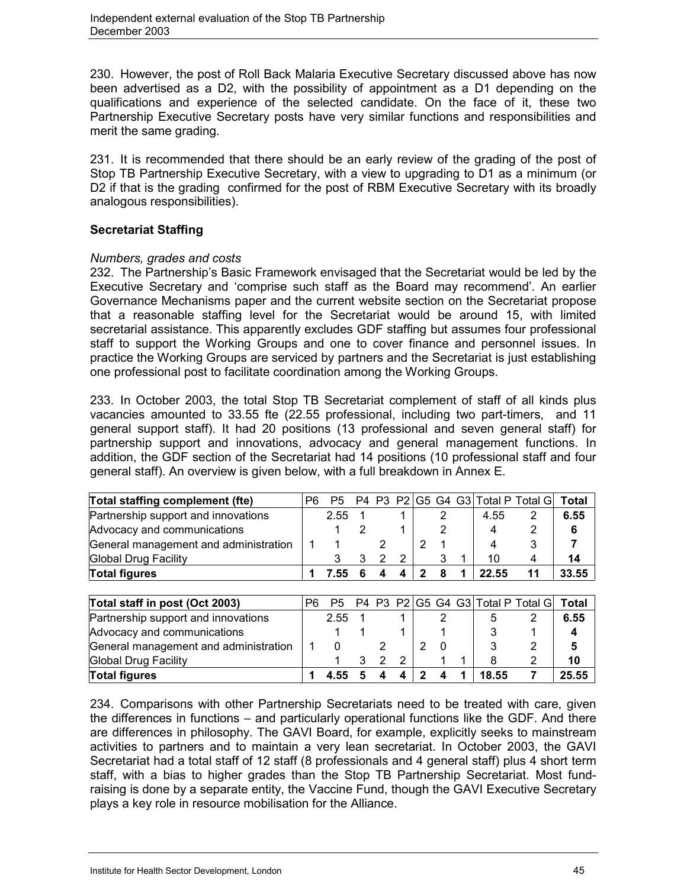230. However, the post of Roll Back Malaria Executive Secretary discussed above has now been advertised as a D2, with the possibility of appointment as a D1 depending on the qualifications and experience of the selected candidate. On the face of it, these two Partnership Executive Secretary posts have very similar functions and responsibilities and merit the same grading.

231. It is recommended that there should be an early review of the grading of the post of Stop TB Partnership Executive Secretary, with a view to upgrading to D1 as a minimum (or D<sub>2</sub> if that is the grading confirmed for the post of RBM Executive Secretary with its broadly analogous responsibilities).

# **Secretariat Staffing**

# *Numbers, grades and costs*

232. The Partnership's Basic Framework envisaged that the Secretariat would be led by the Executive Secretary and 'comprise such staff as the Board may recommend'. An earlier Governance Mechanisms paper and the current website section on the Secretariat propose that a reasonable staffing level for the Secretariat would be around 15, with limited secretarial assistance. This apparently excludes GDF staffing but assumes four professional staff to support the Working Groups and one to cover finance and personnel issues. In practice the Working Groups are serviced by partners and the Secretariat is just establishing one professional post to facilitate coordination among the Working Groups.

233. In October 2003, the total Stop TB Secretariat complement of staff of all kinds plus vacancies amounted to 33.55 fte (22.55 professional, including two part-timers, and 11 general support staff). It had 20 positions (13 professional and seven general staff) for partnership support and innovations, advocacy and general management functions. In addition, the GDF section of the Secretariat had 14 positions (10 professional staff and four general staff). An overview is given below, with a full breakdown in Annex E.

| Total staffing complement (fte)       | P6 | P5   |   |   |   |   |   |       | P4 P3 P2 G5 G4 G3 Total P Total G | Total |
|---------------------------------------|----|------|---|---|---|---|---|-------|-----------------------------------|-------|
| Partnership support and innovations   |    | 2.55 |   |   |   |   | 2 | 4.55  | 2                                 | 6.55  |
| Advocacy and communications           |    |      | 2 |   |   |   |   | 4     | 2                                 | 6     |
| General management and administration |    |      |   |   |   |   |   | 4     | 3                                 |       |
| <b>Global Drug Facility</b>           |    |      | 3 | 2 | 2 |   | 3 | 10    | 4                                 | 14    |
| <b>Total figures</b>                  |    | 7.55 | 6 |   | Δ | 2 | 8 | 22.55 | 11                                | 33.55 |
|                                       |    |      |   |   |   |   |   |       |                                   |       |
| Total staff in post (Oct 2003)        | P6 | P5   |   |   |   |   |   |       | P4 P3 P2 G5 G4 G3 Total P Total G | Total |
| Partnership support and innovations   |    | 2.55 |   |   |   |   |   | 5     |                                   | 6.55  |
| Advocacy and communications           |    |      |   |   |   |   |   |       |                                   |       |

| Advocacy and communications           |  |  |  |  |       |       |
|---------------------------------------|--|--|--|--|-------|-------|
| General management and administration |  |  |  |  |       |       |
| Global Drug Facility                  |  |  |  |  |       | 10    |
| <b>Total figures</b>                  |  |  |  |  | 18.55 | 25.55 |
|                                       |  |  |  |  |       |       |

234. Comparisons with other Partnership Secretariats need to be treated with care, given the differences in functions – and particularly operational functions like the GDF. And there are differences in philosophy. The GAVI Board, for example, explicitly seeks to mainstream activities to partners and to maintain a very lean secretariat. In October 2003, the GAVI Secretariat had a total staff of 12 staff (8 professionals and 4 general staff) plus 4 short term staff, with a bias to higher grades than the Stop TB Partnership Secretariat. Most fundraising is done by a separate entity, the Vaccine Fund, though the GAVI Executive Secretary plays a key role in resource mobilisation for the Alliance.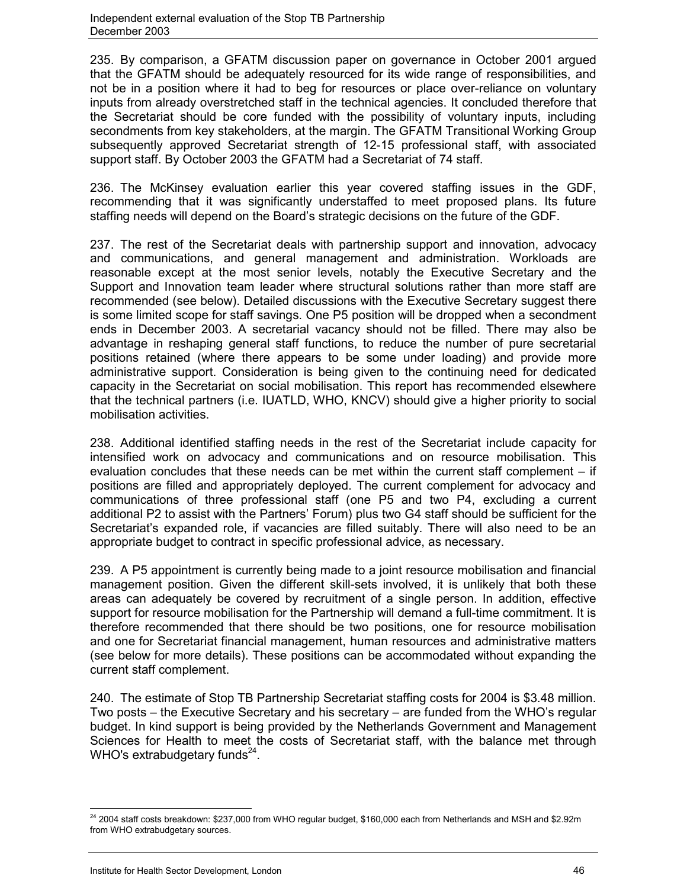235. By comparison, a GFATM discussion paper on governance in October 2001 argued that the GFATM should be adequately resourced for its wide range of responsibilities, and not be in a position where it had to beg for resources or place over-reliance on voluntary inputs from already overstretched staff in the technical agencies. It concluded therefore that the Secretariat should be core funded with the possibility of voluntary inputs, including secondments from key stakeholders, at the margin. The GFATM Transitional Working Group subsequently approved Secretariat strength of 12-15 professional staff, with associated support staff. By October 2003 the GFATM had a Secretariat of 74 staff.

236. The McKinsey evaluation earlier this year covered staffing issues in the GDF, recommending that it was significantly understaffed to meet proposed plans. Its future staffing needs will depend on the Board's strategic decisions on the future of the GDF.

237. The rest of the Secretariat deals with partnership support and innovation, advocacy and communications, and general management and administration. Workloads are reasonable except at the most senior levels, notably the Executive Secretary and the Support and Innovation team leader where structural solutions rather than more staff are recommended (see below). Detailed discussions with the Executive Secretary suggest there is some limited scope for staff savings. One P5 position will be dropped when a secondment ends in December 2003. A secretarial vacancy should not be filled. There may also be advantage in reshaping general staff functions, to reduce the number of pure secretarial positions retained (where there appears to be some under loading) and provide more administrative support. Consideration is being given to the continuing need for dedicated capacity in the Secretariat on social mobilisation. This report has recommended elsewhere that the technical partners (i.e. IUATLD, WHO, KNCV) should give a higher priority to social mobilisation activities.

238. Additional identified staffing needs in the rest of the Secretariat include capacity for intensified work on advocacy and communications and on resource mobilisation. This evaluation concludes that these needs can be met within the current staff complement – if positions are filled and appropriately deployed. The current complement for advocacy and communications of three professional staff (one P5 and two P4, excluding a current additional P2 to assist with the Partners' Forum) plus two G4 staff should be sufficient for the Secretariat's expanded role, if vacancies are filled suitably. There will also need to be an appropriate budget to contract in specific professional advice, as necessary.

239. A P5 appointment is currently being made to a joint resource mobilisation and financial management position. Given the different skill-sets involved, it is unlikely that both these areas can adequately be covered by recruitment of a single person. In addition, effective support for resource mobilisation for the Partnership will demand a full-time commitment. It is therefore recommended that there should be two positions, one for resource mobilisation and one for Secretariat financial management, human resources and administrative matters (see below for more details). These positions can be accommodated without expanding the current staff complement.

240. The estimate of Stop TB Partnership Secretariat staffing costs for 2004 is \$3.48 million. Two posts – the Executive Secretary and his secretary – are funded from the WHO's regular budget. In kind support is being provided by the Netherlands Government and Management Sciences for Health to meet the costs of Secretariat staff, with the balance met through WHO's extrabudgetary funds $24$ .

 $\overline{a}$  $^{24}$  2004 staff costs breakdown: \$237,000 from WHO regular budget, \$160,000 each from Netherlands and MSH and \$2.92m from WHO extrabudgetary sources.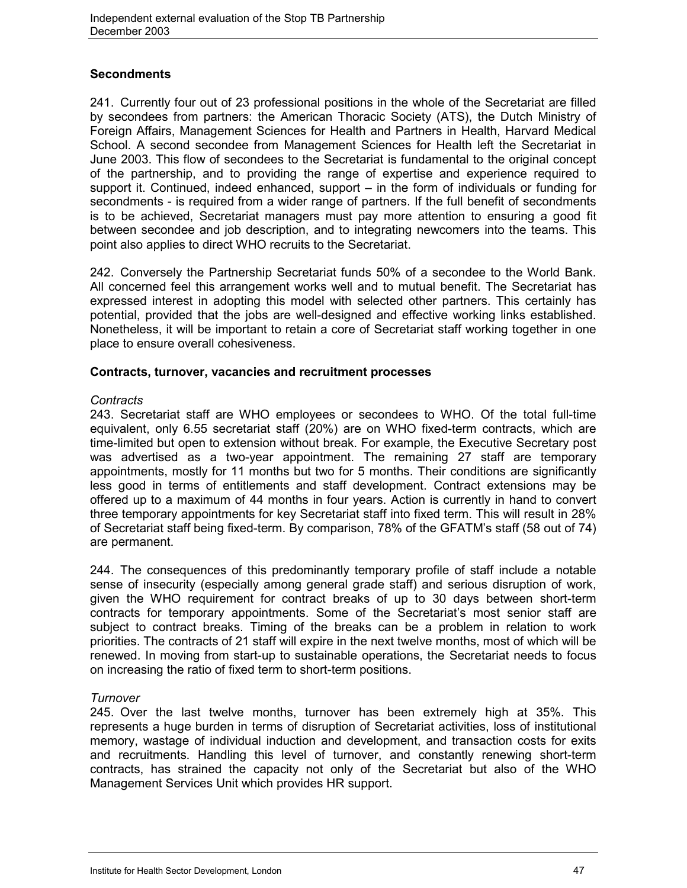# **Secondments**

241. Currently four out of 23 professional positions in the whole of the Secretariat are filled by secondees from partners: the American Thoracic Society (ATS), the Dutch Ministry of Foreign Affairs, Management Sciences for Health and Partners in Health, Harvard Medical School. A second secondee from Management Sciences for Health left the Secretariat in June 2003. This flow of secondees to the Secretariat is fundamental to the original concept of the partnership, and to providing the range of expertise and experience required to support it. Continued, indeed enhanced, support – in the form of individuals or funding for secondments - is required from a wider range of partners. If the full benefit of secondments is to be achieved, Secretariat managers must pay more attention to ensuring a good fit between secondee and job description, and to integrating newcomers into the teams. This point also applies to direct WHO recruits to the Secretariat.

242. Conversely the Partnership Secretariat funds 50% of a secondee to the World Bank. All concerned feel this arrangement works well and to mutual benefit. The Secretariat has expressed interest in adopting this model with selected other partners. This certainly has potential, provided that the jobs are well-designed and effective working links established. Nonetheless, it will be important to retain a core of Secretariat staff working together in one place to ensure overall cohesiveness.

### **Contracts, turnover, vacancies and recruitment processes**

### *Contracts*

243. Secretariat staff are WHO employees or secondees to WHO. Of the total full-time equivalent, only 6.55 secretariat staff (20%) are on WHO fixed-term contracts, which are time-limited but open to extension without break. For example, the Executive Secretary post was advertised as a two-year appointment. The remaining 27 staff are temporary appointments, mostly for 11 months but two for 5 months. Their conditions are significantly less good in terms of entitlements and staff development. Contract extensions may be offered up to a maximum of 44 months in four years. Action is currently in hand to convert three temporary appointments for key Secretariat staff into fixed term. This will result in 28% of Secretariat staff being fixed-term. By comparison, 78% of the GFATM's staff (58 out of 74) are permanent.

244. The consequences of this predominantly temporary profile of staff include a notable sense of insecurity (especially among general grade staff) and serious disruption of work, given the WHO requirement for contract breaks of up to 30 days between short-term contracts for temporary appointments. Some of the Secretariat's most senior staff are subject to contract breaks. Timing of the breaks can be a problem in relation to work priorities. The contracts of 21 staff will expire in the next twelve months, most of which will be renewed. In moving from start-up to sustainable operations, the Secretariat needs to focus on increasing the ratio of fixed term to short-term positions.

# *Turnover*

245. Over the last twelve months, turnover has been extremely high at 35%. This represents a huge burden in terms of disruption of Secretariat activities, loss of institutional memory, wastage of individual induction and development, and transaction costs for exits and recruitments. Handling this level of turnover, and constantly renewing short-term contracts, has strained the capacity not only of the Secretariat but also of the WHO Management Services Unit which provides HR support.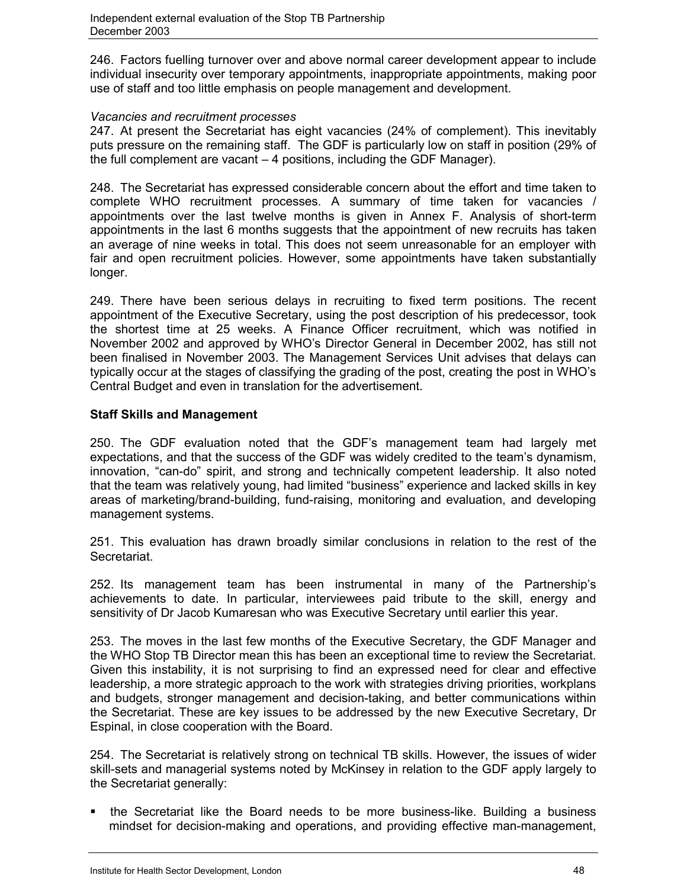246. Factors fuelling turnover over and above normal career development appear to include individual insecurity over temporary appointments, inappropriate appointments, making poor use of staff and too little emphasis on people management and development.

#### *Vacancies and recruitment processes*

247. At present the Secretariat has eight vacancies (24% of complement). This inevitably puts pressure on the remaining staff. The GDF is particularly low on staff in position (29% of the full complement are vacant – 4 positions, including the GDF Manager).

248. The Secretariat has expressed considerable concern about the effort and time taken to complete WHO recruitment processes. A summary of time taken for vacancies / appointments over the last twelve months is given in Annex F. Analysis of short-term appointments in the last 6 months suggests that the appointment of new recruits has taken an average of nine weeks in total. This does not seem unreasonable for an employer with fair and open recruitment policies. However, some appointments have taken substantially longer.

249. There have been serious delays in recruiting to fixed term positions. The recent appointment of the Executive Secretary, using the post description of his predecessor, took the shortest time at 25 weeks. A Finance Officer recruitment, which was notified in November 2002 and approved by WHO's Director General in December 2002, has still not been finalised in November 2003. The Management Services Unit advises that delays can typically occur at the stages of classifying the grading of the post, creating the post in WHO's Central Budget and even in translation for the advertisement.

# **Staff Skills and Management**

250. The GDF evaluation noted that the GDF's management team had largely met expectations, and that the success of the GDF was widely credited to the team's dynamism, innovation, "can-do" spirit, and strong and technically competent leadership. It also noted that the team was relatively young, had limited "business" experience and lacked skills in key areas of marketing/brand-building, fund-raising, monitoring and evaluation, and developing management systems.

251. This evaluation has drawn broadly similar conclusions in relation to the rest of the Secretariat.

252. Its management team has been instrumental in many of the Partnership's achievements to date. In particular, interviewees paid tribute to the skill, energy and sensitivity of Dr Jacob Kumaresan who was Executive Secretary until earlier this year.

253. The moves in the last few months of the Executive Secretary, the GDF Manager and the WHO Stop TB Director mean this has been an exceptional time to review the Secretariat. Given this instability, it is not surprising to find an expressed need for clear and effective leadership, a more strategic approach to the work with strategies driving priorities, workplans and budgets, stronger management and decision-taking, and better communications within the Secretariat. These are key issues to be addressed by the new Executive Secretary, Dr Espinal, in close cooperation with the Board.

254. The Secretariat is relatively strong on technical TB skills. However, the issues of wider skill-sets and managerial systems noted by McKinsey in relation to the GDF apply largely to the Secretariat generally:

 the Secretariat like the Board needs to be more business-like. Building a business mindset for decision-making and operations, and providing effective man-management,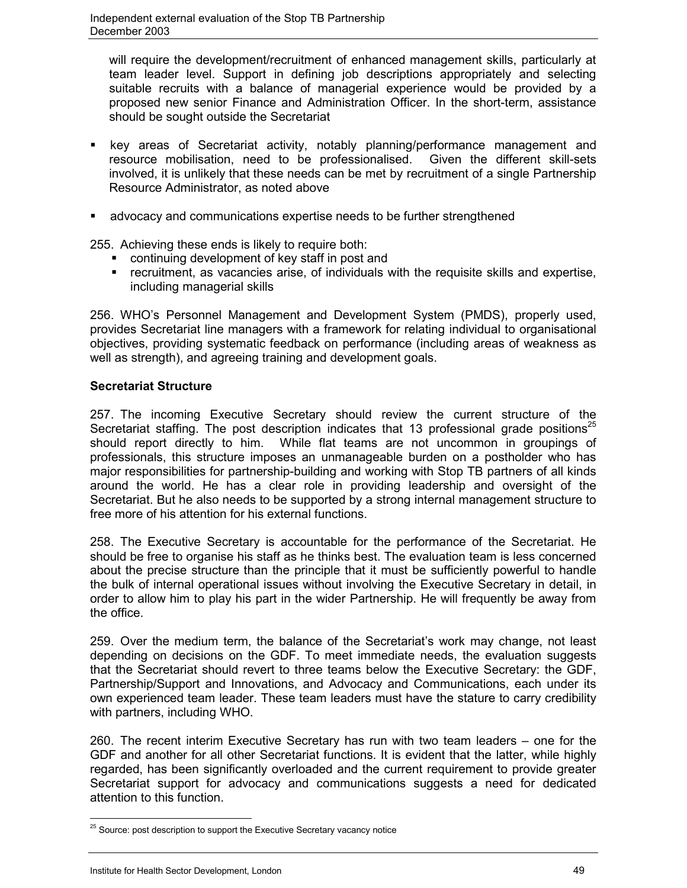will require the development/recruitment of enhanced management skills, particularly at team leader level. Support in defining job descriptions appropriately and selecting suitable recruits with a balance of managerial experience would be provided by a proposed new senior Finance and Administration Officer. In the short-term, assistance should be sought outside the Secretariat

- key areas of Secretariat activity, notably planning/performance management and resource mobilisation, need to be professionalised. Given the different skill-sets involved, it is unlikely that these needs can be met by recruitment of a single Partnership Resource Administrator, as noted above
- advocacy and communications expertise needs to be further strengthened

255. Achieving these ends is likely to require both:

- **•** continuing development of key staff in post and
- recruitment, as vacancies arise, of individuals with the requisite skills and expertise, including managerial skills

256. WHO's Personnel Management and Development System (PMDS), properly used, provides Secretariat line managers with a framework for relating individual to organisational objectives, providing systematic feedback on performance (including areas of weakness as well as strength), and agreeing training and development goals.

### **Secretariat Structure**

257. The incoming Executive Secretary should review the current structure of the Secretariat staffing. The post description indicates that 13 professional grade positions<sup>25</sup> should report directly to him. While flat teams are not uncommon in groupings of professionals, this structure imposes an unmanageable burden on a postholder who has major responsibilities for partnership-building and working with Stop TB partners of all kinds around the world. He has a clear role in providing leadership and oversight of the Secretariat. But he also needs to be supported by a strong internal management structure to free more of his attention for his external functions.

258. The Executive Secretary is accountable for the performance of the Secretariat. He should be free to organise his staff as he thinks best. The evaluation team is less concerned about the precise structure than the principle that it must be sufficiently powerful to handle the bulk of internal operational issues without involving the Executive Secretary in detail, in order to allow him to play his part in the wider Partnership. He will frequently be away from the office.

259. Over the medium term, the balance of the Secretariat's work may change, not least depending on decisions on the GDF. To meet immediate needs, the evaluation suggests that the Secretariat should revert to three teams below the Executive Secretary: the GDF, Partnership/Support and Innovations, and Advocacy and Communications, each under its own experienced team leader. These team leaders must have the stature to carry credibility with partners, including WHO.

260. The recent interim Executive Secretary has run with two team leaders – one for the GDF and another for all other Secretariat functions. It is evident that the latter, while highly regarded, has been significantly overloaded and the current requirement to provide greater Secretariat support for advocacy and communications suggests a need for dedicated attention to this function.

 $\overline{a}$ 

 $25$  Source: post description to support the Executive Secretary vacancy notice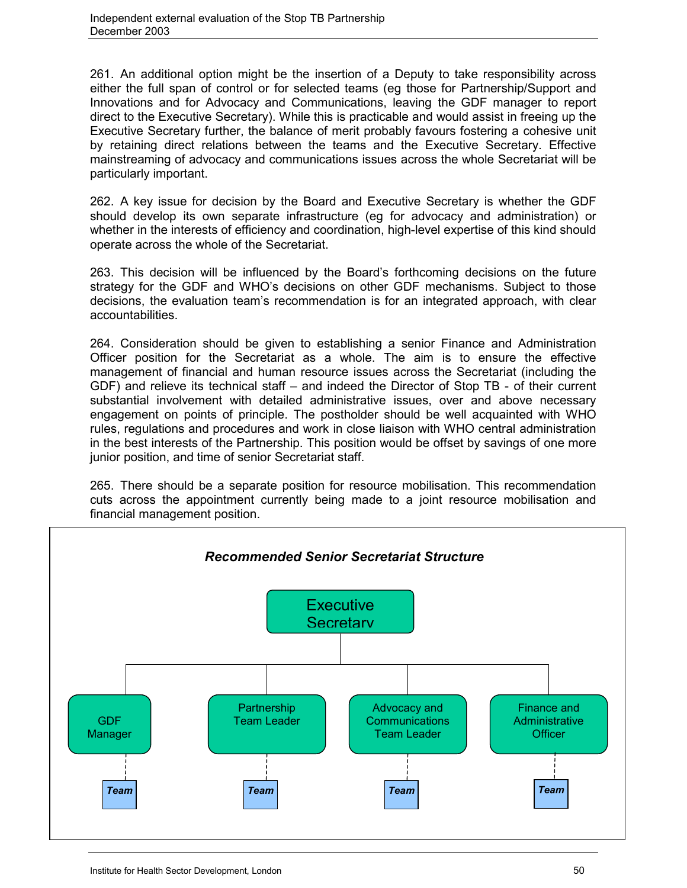261. An additional option might be the insertion of a Deputy to take responsibility across either the full span of control or for selected teams (eg those for Partnership/Support and Innovations and for Advocacy and Communications, leaving the GDF manager to report direct to the Executive Secretary). While this is practicable and would assist in freeing up the Executive Secretary further, the balance of merit probably favours fostering a cohesive unit by retaining direct relations between the teams and the Executive Secretary. Effective mainstreaming of advocacy and communications issues across the whole Secretariat will be particularly important.

262. A key issue for decision by the Board and Executive Secretary is whether the GDF should develop its own separate infrastructure (eg for advocacy and administration) or whether in the interests of efficiency and coordination, high-level expertise of this kind should operate across the whole of the Secretariat.

263. This decision will be influenced by the Board's forthcoming decisions on the future strategy for the GDF and WHO's decisions on other GDF mechanisms. Subject to those decisions, the evaluation team's recommendation is for an integrated approach, with clear accountabilities.

264. Consideration should be given to establishing a senior Finance and Administration Officer position for the Secretariat as a whole. The aim is to ensure the effective management of financial and human resource issues across the Secretariat (including the GDF) and relieve its technical staff – and indeed the Director of Stop TB - of their current substantial involvement with detailed administrative issues, over and above necessary engagement on points of principle. The postholder should be well acquainted with WHO rules, regulations and procedures and work in close liaison with WHO central administration in the best interests of the Partnership. This position would be offset by savings of one more junior position, and time of senior Secretariat staff.

265. There should be a separate position for resource mobilisation. This recommendation cuts across the appointment currently being made to a joint resource mobilisation and financial management position.

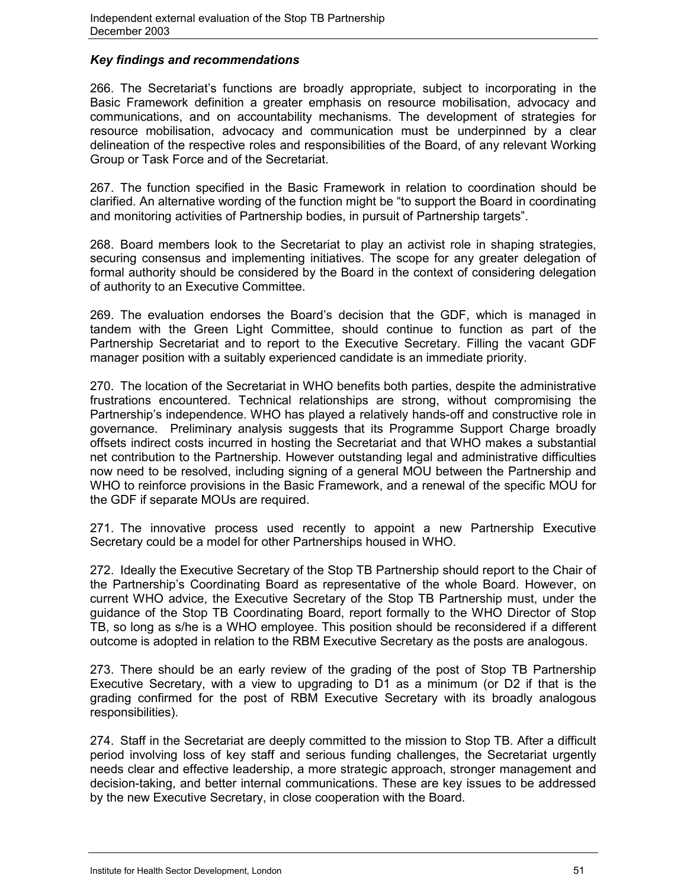# *Key findings and recommendations*

266. The Secretariat's functions are broadly appropriate, subject to incorporating in the Basic Framework definition a greater emphasis on resource mobilisation, advocacy and communications, and on accountability mechanisms. The development of strategies for resource mobilisation, advocacy and communication must be underpinned by a clear delineation of the respective roles and responsibilities of the Board, of any relevant Working Group or Task Force and of the Secretariat.

267. The function specified in the Basic Framework in relation to coordination should be clarified. An alternative wording of the function might be "to support the Board in coordinating and monitoring activities of Partnership bodies, in pursuit of Partnership targets".

268. Board members look to the Secretariat to play an activist role in shaping strategies, securing consensus and implementing initiatives. The scope for any greater delegation of formal authority should be considered by the Board in the context of considering delegation of authority to an Executive Committee.

269. The evaluation endorses the Board's decision that the GDF, which is managed in tandem with the Green Light Committee, should continue to function as part of the Partnership Secretariat and to report to the Executive Secretary. Filling the vacant GDF manager position with a suitably experienced candidate is an immediate priority.

270. The location of the Secretariat in WHO benefits both parties, despite the administrative frustrations encountered. Technical relationships are strong, without compromising the Partnership's independence. WHO has played a relatively hands-off and constructive role in governance. Preliminary analysis suggests that its Programme Support Charge broadly offsets indirect costs incurred in hosting the Secretariat and that WHO makes a substantial net contribution to the Partnership. However outstanding legal and administrative difficulties now need to be resolved, including signing of a general MOU between the Partnership and WHO to reinforce provisions in the Basic Framework, and a renewal of the specific MOU for the GDF if separate MOUs are required.

271. The innovative process used recently to appoint a new Partnership Executive Secretary could be a model for other Partnerships housed in WHO.

272. Ideally the Executive Secretary of the Stop TB Partnership should report to the Chair of the Partnership's Coordinating Board as representative of the whole Board. However, on current WHO advice, the Executive Secretary of the Stop TB Partnership must, under the guidance of the Stop TB Coordinating Board, report formally to the WHO Director of Stop TB, so long as s/he is a WHO employee. This position should be reconsidered if a different outcome is adopted in relation to the RBM Executive Secretary as the posts are analogous.

273. There should be an early review of the grading of the post of Stop TB Partnership Executive Secretary, with a view to upgrading to D1 as a minimum (or D2 if that is the grading confirmed for the post of RBM Executive Secretary with its broadly analogous responsibilities).

274. Staff in the Secretariat are deeply committed to the mission to Stop TB. After a difficult period involving loss of key staff and serious funding challenges, the Secretariat urgently needs clear and effective leadership, a more strategic approach, stronger management and decision-taking, and better internal communications. These are key issues to be addressed by the new Executive Secretary, in close cooperation with the Board.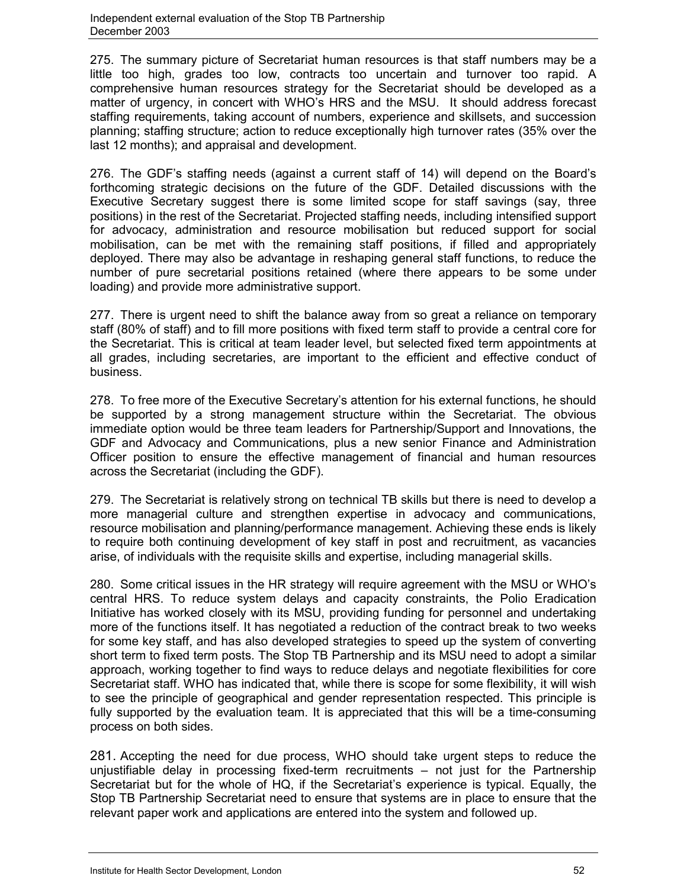275. The summary picture of Secretariat human resources is that staff numbers may be a little too high, grades too low, contracts too uncertain and turnover too rapid. A comprehensive human resources strategy for the Secretariat should be developed as a matter of urgency, in concert with WHO's HRS and the MSU. It should address forecast staffing requirements, taking account of numbers, experience and skillsets, and succession planning; staffing structure; action to reduce exceptionally high turnover rates (35% over the last 12 months); and appraisal and development.

276. The GDF's staffing needs (against a current staff of 14) will depend on the Board's forthcoming strategic decisions on the future of the GDF. Detailed discussions with the Executive Secretary suggest there is some limited scope for staff savings (say, three positions) in the rest of the Secretariat. Projected staffing needs, including intensified support for advocacy, administration and resource mobilisation but reduced support for social mobilisation, can be met with the remaining staff positions, if filled and appropriately deployed. There may also be advantage in reshaping general staff functions, to reduce the number of pure secretarial positions retained (where there appears to be some under loading) and provide more administrative support.

277. There is urgent need to shift the balance away from so great a reliance on temporary staff (80% of staff) and to fill more positions with fixed term staff to provide a central core for the Secretariat. This is critical at team leader level, but selected fixed term appointments at all grades, including secretaries, are important to the efficient and effective conduct of business.

278. To free more of the Executive Secretary's attention for his external functions, he should be supported by a strong management structure within the Secretariat. The obvious immediate option would be three team leaders for Partnership/Support and Innovations, the GDF and Advocacy and Communications, plus a new senior Finance and Administration Officer position to ensure the effective management of financial and human resources across the Secretariat (including the GDF).

279. The Secretariat is relatively strong on technical TB skills but there is need to develop a more managerial culture and strengthen expertise in advocacy and communications, resource mobilisation and planning/performance management. Achieving these ends is likely to require both continuing development of key staff in post and recruitment, as vacancies arise, of individuals with the requisite skills and expertise, including managerial skills.

280. Some critical issues in the HR strategy will require agreement with the MSU or WHO's central HRS. To reduce system delays and capacity constraints, the Polio Eradication Initiative has worked closely with its MSU, providing funding for personnel and undertaking more of the functions itself. It has negotiated a reduction of the contract break to two weeks for some key staff, and has also developed strategies to speed up the system of converting short term to fixed term posts. The Stop TB Partnership and its MSU need to adopt a similar approach, working together to find ways to reduce delays and negotiate flexibilities for core Secretariat staff. WHO has indicated that, while there is scope for some flexibility, it will wish to see the principle of geographical and gender representation respected. This principle is fully supported by the evaluation team. It is appreciated that this will be a time-consuming process on both sides.

281. Accepting the need for due process, WHO should take urgent steps to reduce the unjustifiable delay in processing fixed-term recruitments – not just for the Partnership Secretariat but for the whole of HQ, if the Secretariat's experience is typical. Equally, the Stop TB Partnership Secretariat need to ensure that systems are in place to ensure that the relevant paper work and applications are entered into the system and followed up.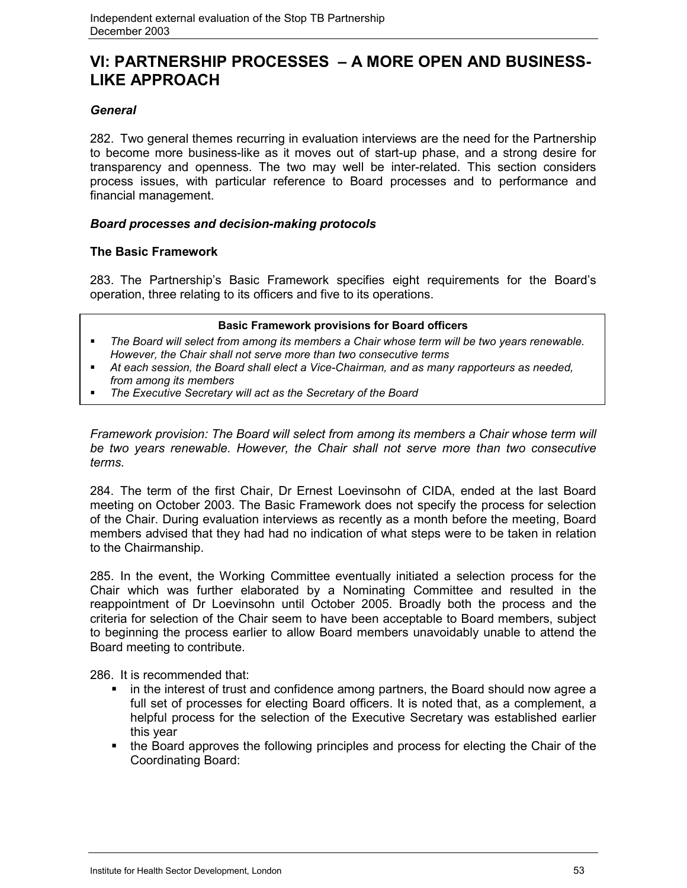# **VI: PARTNERSHIP PROCESSES – A MORE OPEN AND BUSINESS-LIKE APPROACH**

# *General*

282. Two general themes recurring in evaluation interviews are the need for the Partnership to become more business-like as it moves out of start-up phase, and a strong desire for transparency and openness. The two may well be inter-related. This section considers process issues, with particular reference to Board processes and to performance and financial management.

# *Board processes and decision-making protocols*

# **The Basic Framework**

283. The Partnership's Basic Framework specifies eight requirements for the Board's operation, three relating to its officers and five to its operations.

#### **Basic Framework provisions for Board officers**

- *The Board will select from among its members a Chair whose term will be two years renewable. However, the Chair shall not serve more than two consecutive terms*
- *At each session, the Board shall elect a Vice-Chairman, and as many rapporteurs as needed, from among its members*
- *The Executive Secretary will act as the Secretary of the Board*

*Framework provision: The Board will select from among its members a Chair whose term will be two years renewable. However, the Chair shall not serve more than two consecutive terms.*

284. The term of the first Chair, Dr Ernest Loevinsohn of CIDA, ended at the last Board meeting on October 2003. The Basic Framework does not specify the process for selection of the Chair. During evaluation interviews as recently as a month before the meeting, Board members advised that they had had no indication of what steps were to be taken in relation to the Chairmanship.

285. In the event, the Working Committee eventually initiated a selection process for the Chair which was further elaborated by a Nominating Committee and resulted in the reappointment of Dr Loevinsohn until October 2005. Broadly both the process and the criteria for selection of the Chair seem to have been acceptable to Board members, subject to beginning the process earlier to allow Board members unavoidably unable to attend the Board meeting to contribute.

286. It is recommended that:

- in the interest of trust and confidence among partners, the Board should now agree a full set of processes for electing Board officers. It is noted that, as a complement, a helpful process for the selection of the Executive Secretary was established earlier this year
- the Board approves the following principles and process for electing the Chair of the Coordinating Board: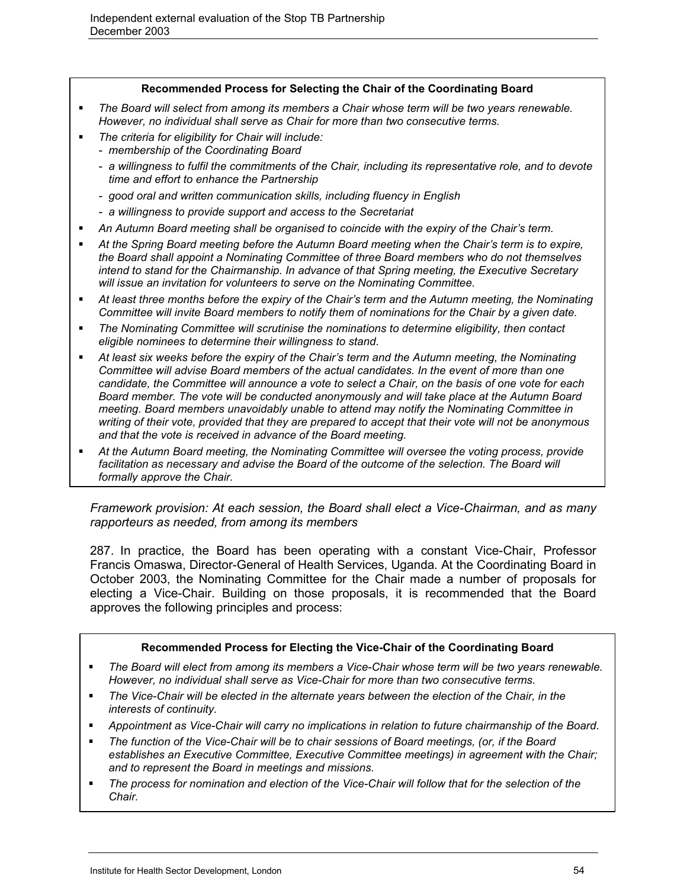#### **Recommended Process for Selecting the Chair of the Coordinating Board**

- *The Board will select from among its members a Chair whose term will be two years renewable. However, no individual shall serve as Chair for more than two consecutive terms.*
- *The criteria for eligibility for Chair will include:*
	- *membership of the Coordinating Board*
	- *a willingness to fulfil the commitments of the Chair, including its representative role, and to devote time and effort to enhance the Partnership*
	- *good oral and written communication skills, including fluency in English*
	- *a willingness to provide support and access to the Secretariat*
- *An Autumn Board meeting shall be organised to coincide with the expiry of the Chair's term.*
- *At the Spring Board meeting before the Autumn Board meeting when the Chair's term is to expire, the Board shall appoint a Nominating Committee of three Board members who do not themselves intend to stand for the Chairmanship. In advance of that Spring meeting, the Executive Secretary will issue an invitation for volunteers to serve on the Nominating Committee.*
- *At least three months before the expiry of the Chair's term and the Autumn meeting, the Nominating Committee will invite Board members to notify them of nominations for the Chair by a given date.*
- *The Nominating Committee will scrutinise the nominations to determine eligibility, then contact eligible nominees to determine their willingness to stand.*
- *At least six weeks before the expiry of the Chair's term and the Autumn meeting, the Nominating Committee will advise Board members of the actual candidates. In the event of more than one candidate, the Committee will announce a vote to select a Chair, on the basis of one vote for each Board member. The vote will be conducted anonymously and will take place at the Autumn Board meeting. Board members unavoidably unable to attend may notify the Nominating Committee in writing of their vote, provided that they are prepared to accept that their vote will not be anonymous and that the vote is received in advance of the Board meeting.*
- *At the Autumn Board meeting, the Nominating Committee will oversee the voting process, provide* facilitation as necessary and advise the Board of the outcome of the selection. The Board will *formally approve the Chair.*

*Framework provision: At each session, the Board shall elect a Vice-Chairman, and as many rapporteurs as needed, from among its members*

287. In practice, the Board has been operating with a constant Vice-Chair, Professor Francis Omaswa, Director-General of Health Services, Uganda. At the Coordinating Board in October 2003, the Nominating Committee for the Chair made a number of proposals for electing a Vice-Chair. Building on those proposals, it is recommended that the Board approves the following principles and process:

#### **Recommended Process for Electing the Vice-Chair of the Coordinating Board**

- *The Board will elect from among its members a Vice-Chair whose term will be two years renewable. However, no individual shall serve as Vice-Chair for more than two consecutive terms.*
- *The Vice-Chair will be elected in the alternate years between the election of the Chair, in the interests of continuity.*
- *Appointment as Vice-Chair will carry no implications in relation to future chairmanship of the Board.*
- *The function of the Vice-Chair will be to chair sessions of Board meetings, (or, if the Board establishes an Executive Committee, Executive Committee meetings) in agreement with the Chair; and to represent the Board in meetings and missions.*
- *The process for nomination and election of the Vice-Chair will follow that for the selection of the Chair.*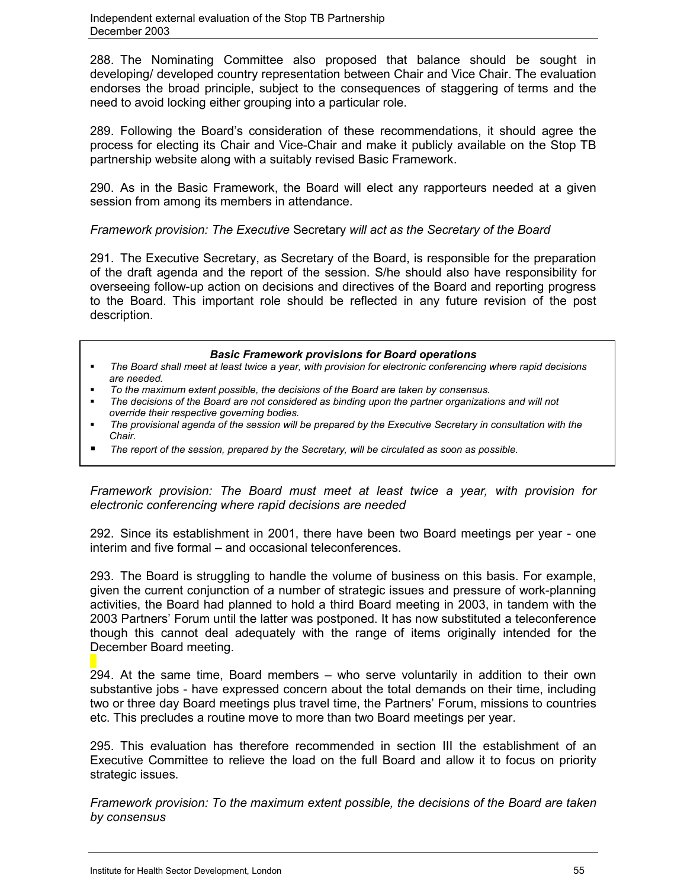288. The Nominating Committee also proposed that balance should be sought in developing/ developed country representation between Chair and Vice Chair. The evaluation endorses the broad principle, subject to the consequences of staggering of terms and the need to avoid locking either grouping into a particular role.

289. Following the Board's consideration of these recommendations, it should agree the process for electing its Chair and Vice-Chair and make it publicly available on the Stop TB partnership website along with a suitably revised Basic Framework.

290. As in the Basic Framework, the Board will elect any rapporteurs needed at a given session from among its members in attendance.

*Framework provision: The Executive* Secretary *will act as the Secretary of the Board*

291. The Executive Secretary, as Secretary of the Board, is responsible for the preparation of the draft agenda and the report of the session. S/he should also have responsibility for overseeing follow-up action on decisions and directives of the Board and reporting progress to the Board. This important role should be reflected in any future revision of the post description.

#### *Basic Framework provisions for Board operations*

- *The Board shall meet at least twice a year, with provision for electronic conferencing where rapid decisions are needed.*
- *To the maximum extent possible, the decisions of the Board are taken by consensus.*
- *The decisions of the Board are not considered as binding upon the partner organizations and will not override their respective governing bodies.*
- *The provisional agenda of the session will be prepared by the Executive Secretary in consultation with the Chair.*
- *The report of the session, prepared by the Secretary, will be circulated as soon as possible.*

*Framework provision: The Board must meet at least twice a year, with provision for electronic conferencing where rapid decisions are needed*

292. Since its establishment in 2001, there have been two Board meetings per year - one interim and five formal – and occasional teleconferences.

293. The Board is struggling to handle the volume of business on this basis. For example, given the current conjunction of a number of strategic issues and pressure of work-planning activities, the Board had planned to hold a third Board meeting in 2003, in tandem with the 2003 Partners' Forum until the latter was postponed. It has now substituted a teleconference though this cannot deal adequately with the range of items originally intended for the December Board meeting.

294. At the same time, Board members – who serve voluntarily in addition to their own substantive jobs - have expressed concern about the total demands on their time, including two or three day Board meetings plus travel time, the Partners' Forum, missions to countries etc. This precludes a routine move to more than two Board meetings per year.

295. This evaluation has therefore recommended in section III the establishment of an Executive Committee to relieve the load on the full Board and allow it to focus on priority strategic issues.

*Framework provision: To the maximum extent possible, the decisions of the Board are taken by consensus*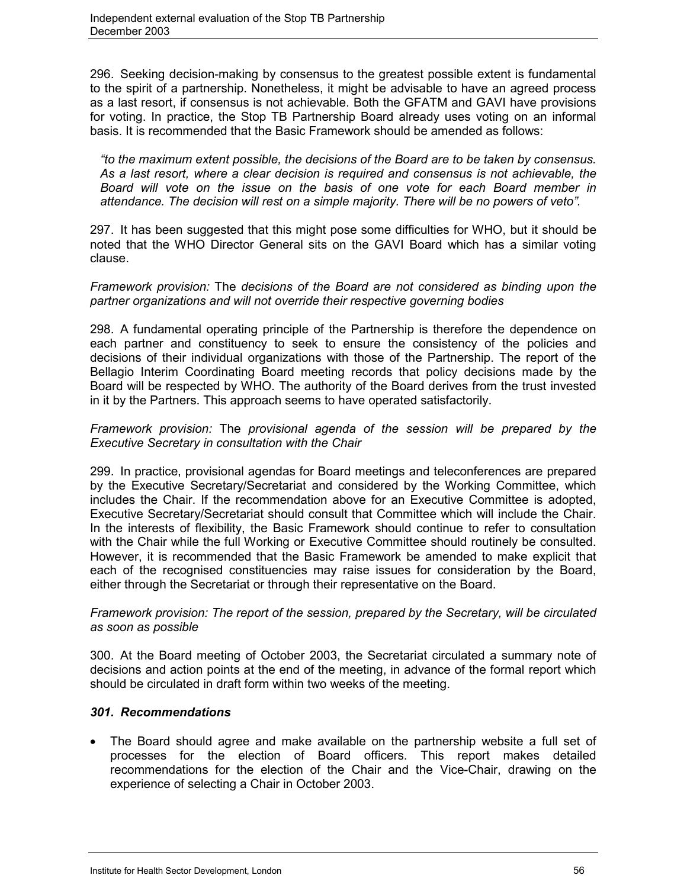296. Seeking decision-making by consensus to the greatest possible extent is fundamental to the spirit of a partnership. Nonetheless, it might be advisable to have an agreed process as a last resort, if consensus is not achievable. Both the GFATM and GAVI have provisions for voting. In practice, the Stop TB Partnership Board already uses voting on an informal basis. It is recommended that the Basic Framework should be amended as follows:

*"to the maximum extent possible, the decisions of the Board are to be taken by consensus. As a last resort, where a clear decision is required and consensus is not achievable, the Board will vote on the issue on the basis of one vote for each Board member in attendance. The decision will rest on a simple majority. There will be no powers of veto".*

297. It has been suggested that this might pose some difficulties for WHO, but it should be noted that the WHO Director General sits on the GAVI Board which has a similar voting clause.

*Framework provision:* The *decisions of the Board are not considered as binding upon the partner organizations and will not override their respective governing bodies*

298. A fundamental operating principle of the Partnership is therefore the dependence on each partner and constituency to seek to ensure the consistency of the policies and decisions of their individual organizations with those of the Partnership. The report of the Bellagio Interim Coordinating Board meeting records that policy decisions made by the Board will be respected by WHO. The authority of the Board derives from the trust invested in it by the Partners. This approach seems to have operated satisfactorily.

### *Framework provision:* The *provisional agenda of the session will be prepared by the Executive Secretary in consultation with the Chair*

299. In practice, provisional agendas for Board meetings and teleconferences are prepared by the Executive Secretary/Secretariat and considered by the Working Committee, which includes the Chair. If the recommendation above for an Executive Committee is adopted, Executive Secretary/Secretariat should consult that Committee which will include the Chair. In the interests of flexibility, the Basic Framework should continue to refer to consultation with the Chair while the full Working or Executive Committee should routinely be consulted. However, it is recommended that the Basic Framework be amended to make explicit that each of the recognised constituencies may raise issues for consideration by the Board, either through the Secretariat or through their representative on the Board.

*Framework provision: The report of the session, prepared by the Secretary, will be circulated as soon as possible*

300. At the Board meeting of October 2003, the Secretariat circulated a summary note of decisions and action points at the end of the meeting, in advance of the formal report which should be circulated in draft form within two weeks of the meeting.

# *301. Recommendations*

 The Board should agree and make available on the partnership website a full set of processes for the election of Board officers. This report makes detailed recommendations for the election of the Chair and the Vice-Chair, drawing on the experience of selecting a Chair in October 2003.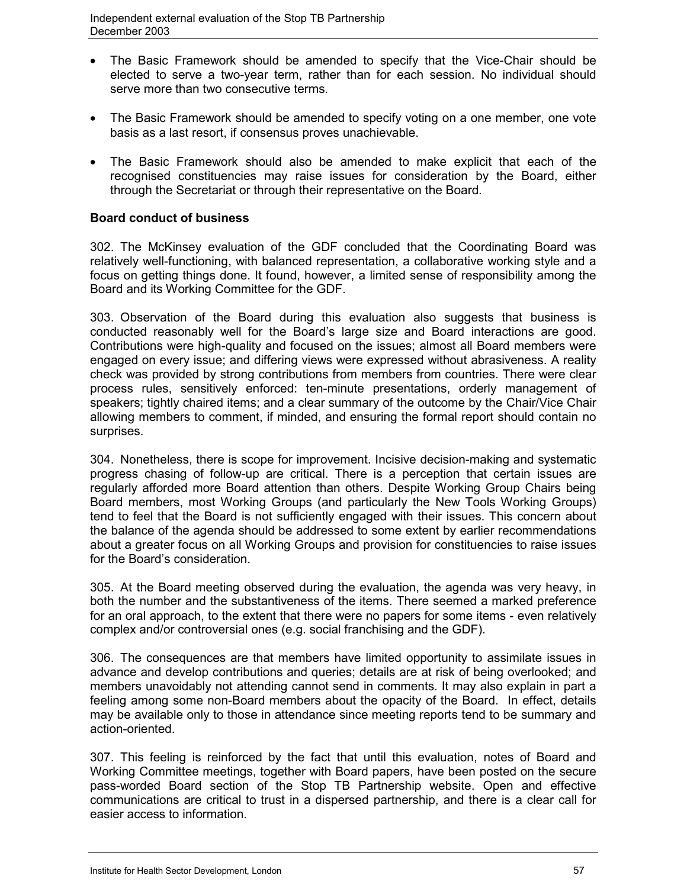- The Basic Framework should be amended to specify that the Vice-Chair should be elected to serve a two-year term, rather than for each session. No individual should serve more than two consecutive terms.
- The Basic Framework should be amended to specify voting on a one member, one vote basis as a last resort, if consensus proves unachievable.
- The Basic Framework should also be amended to make explicit that each of the recognised constituencies may raise issues for consideration by the Board, either through the Secretariat or through their representative on the Board.

## **Board conduct of business**

302. The McKinsey evaluation of the GDF concluded that the Coordinating Board was relatively well-functioning, with balanced representation, a collaborative working style and a focus on getting things done. It found, however, a limited sense of responsibility among the Board and its Working Committee for the GDF.

303. Observation of the Board during this evaluation also suggests that business is conducted reasonably well for the Board's large size and Board interactions are good. Contributions were high-quality and focused on the issues; almost all Board members were engaged on every issue; and differing views were expressed without abrasiveness. A reality check was provided by strong contributions from members from countries. There were clear process rules, sensitively enforced: ten-minute presentations, orderly management of speakers; tightly chaired items; and a clear summary of the outcome by the Chair/Vice Chair allowing members to comment, if minded, and ensuring the formal report should contain no surprises.

304. Nonetheless, there is scope for improvement. Incisive decision-making and systematic progress chasing of follow-up are critical. There is a perception that certain issues are regularly afforded more Board attention than others. Despite Working Group Chairs being Board members, most Working Groups (and particularly the New Tools Working Groups) tend to feel that the Board is not sufficiently engaged with their issues. This concern about the balance of the agenda should be addressed to some extent by earlier recommendations about a greater focus on all Working Groups and provision for constituencies to raise issues for the Board's consideration.

305. At the Board meeting observed during the evaluation, the agenda was very heavy, in both the number and the substantiveness of the items. There seemed a marked preference for an oral approach, to the extent that there were no papers for some items - even relatively complex and/or controversial ones (e.g. social franchising and the GDF).

306. The consequences are that members have limited opportunity to assimilate issues in advance and develop contributions and queries; details are at risk of being overlooked; and members unavoidably not attending cannot send in comments. It may also explain in part a feeling among some non-Board members about the opacity of the Board. In effect, details may be available only to those in attendance since meeting reports tend to be summary and action-oriented.

307. This feeling is reinforced by the fact that until this evaluation, notes of Board and Working Committee meetings, together with Board papers, have been posted on the secure pass-worded Board section of the Stop TB Partnership website. Open and effective communications are critical to trust in a dispersed partnership, and there is a clear call for easier access to information.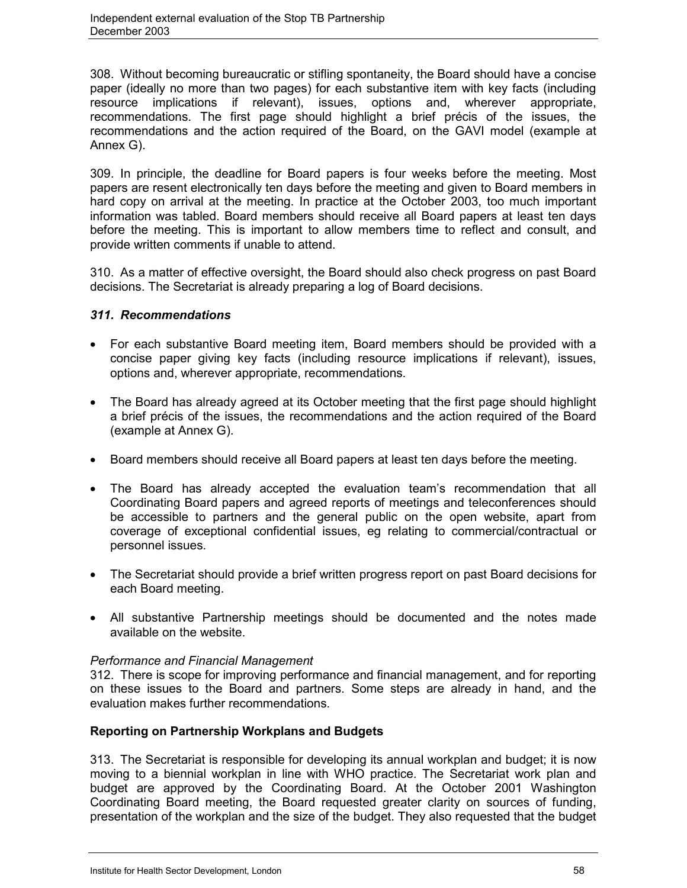308. Without becoming bureaucratic or stifling spontaneity, the Board should have a concise paper (ideally no more than two pages) for each substantive item with key facts (including resource implications if relevant), issues, options and, wherever appropriate, recommendations. The first page should highlight a brief précis of the issues, the recommendations and the action required of the Board, on the GAVI model (example at Annex G).

309. In principle, the deadline for Board papers is four weeks before the meeting. Most papers are resent electronically ten days before the meeting and given to Board members in hard copy on arrival at the meeting. In practice at the October 2003, too much important information was tabled. Board members should receive all Board papers at least ten days before the meeting. This is important to allow members time to reflect and consult, and provide written comments if unable to attend.

310. As a matter of effective oversight, the Board should also check progress on past Board decisions. The Secretariat is already preparing a log of Board decisions.

# *311. Recommendations*

- For each substantive Board meeting item, Board members should be provided with a concise paper giving key facts (including resource implications if relevant), issues, options and, wherever appropriate, recommendations.
- The Board has already agreed at its October meeting that the first page should highlight a brief précis of the issues, the recommendations and the action required of the Board (example at Annex G).
- Board members should receive all Board papers at least ten days before the meeting.
- The Board has already accepted the evaluation team's recommendation that all Coordinating Board papers and agreed reports of meetings and teleconferences should be accessible to partners and the general public on the open website, apart from coverage of exceptional confidential issues, eg relating to commercial/contractual or personnel issues.
- The Secretariat should provide a brief written progress report on past Board decisions for each Board meeting.
- All substantive Partnership meetings should be documented and the notes made available on the website.

# *Performance and Financial Management*

312. There is scope for improving performance and financial management, and for reporting on these issues to the Board and partners. Some steps are already in hand, and the evaluation makes further recommendations.

# **Reporting on Partnership Workplans and Budgets**

313. The Secretariat is responsible for developing its annual workplan and budget; it is now moving to a biennial workplan in line with WHO practice. The Secretariat work plan and budget are approved by the Coordinating Board. At the October 2001 Washington Coordinating Board meeting, the Board requested greater clarity on sources of funding, presentation of the workplan and the size of the budget. They also requested that the budget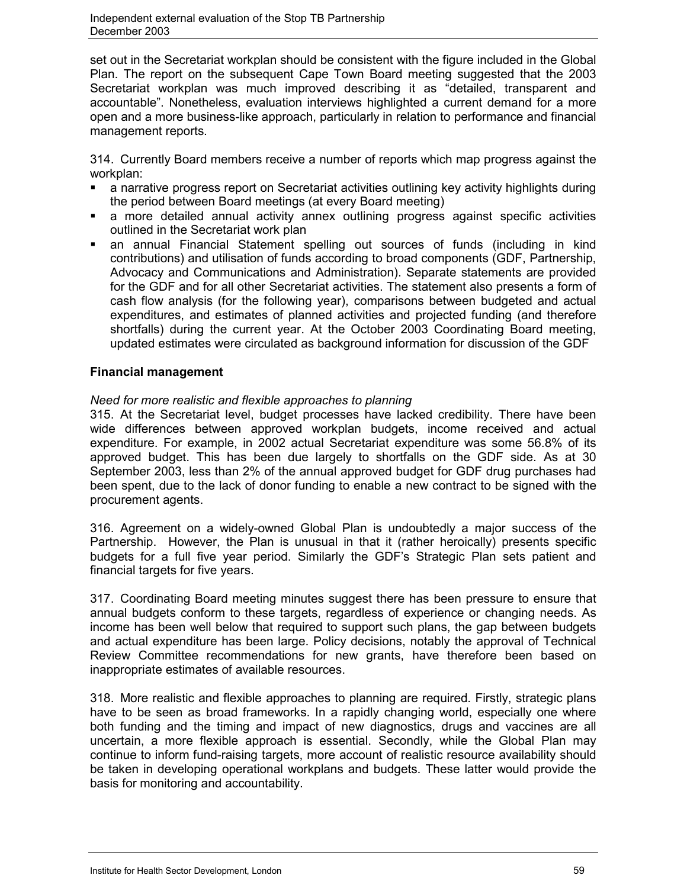set out in the Secretariat workplan should be consistent with the figure included in the Global Plan. The report on the subsequent Cape Town Board meeting suggested that the 2003 Secretariat workplan was much improved describing it as "detailed, transparent and accountable". Nonetheless, evaluation interviews highlighted a current demand for a more open and a more business-like approach, particularly in relation to performance and financial management reports.

314. Currently Board members receive a number of reports which map progress against the workplan:

- a narrative progress report on Secretariat activities outlining key activity highlights during the period between Board meetings (at every Board meeting)
- a more detailed annual activity annex outlining progress against specific activities outlined in the Secretariat work plan
- an annual Financial Statement spelling out sources of funds (including in kind contributions) and utilisation of funds according to broad components (GDF, Partnership, Advocacy and Communications and Administration). Separate statements are provided for the GDF and for all other Secretariat activities. The statement also presents a form of cash flow analysis (for the following year), comparisons between budgeted and actual expenditures, and estimates of planned activities and projected funding (and therefore shortfalls) during the current year. At the October 2003 Coordinating Board meeting, updated estimates were circulated as background information for discussion of the GDF

# **Financial management**

# *Need for more realistic and flexible approaches to planning*

315. At the Secretariat level, budget processes have lacked credibility. There have been wide differences between approved workplan budgets, income received and actual expenditure. For example, in 2002 actual Secretariat expenditure was some 56.8% of its approved budget. This has been due largely to shortfalls on the GDF side. As at 30 September 2003, less than 2% of the annual approved budget for GDF drug purchases had been spent, due to the lack of donor funding to enable a new contract to be signed with the procurement agents.

316. Agreement on a widely-owned Global Plan is undoubtedly a major success of the Partnership. However, the Plan is unusual in that it (rather heroically) presents specific budgets for a full five year period. Similarly the GDF's Strategic Plan sets patient and financial targets for five years.

317. Coordinating Board meeting minutes suggest there has been pressure to ensure that annual budgets conform to these targets, regardless of experience or changing needs. As income has been well below that required to support such plans, the gap between budgets and actual expenditure has been large. Policy decisions, notably the approval of Technical Review Committee recommendations for new grants, have therefore been based on inappropriate estimates of available resources.

318. More realistic and flexible approaches to planning are required. Firstly, strategic plans have to be seen as broad frameworks. In a rapidly changing world, especially one where both funding and the timing and impact of new diagnostics, drugs and vaccines are all uncertain, a more flexible approach is essential. Secondly, while the Global Plan may continue to inform fund-raising targets, more account of realistic resource availability should be taken in developing operational workplans and budgets. These latter would provide the basis for monitoring and accountability.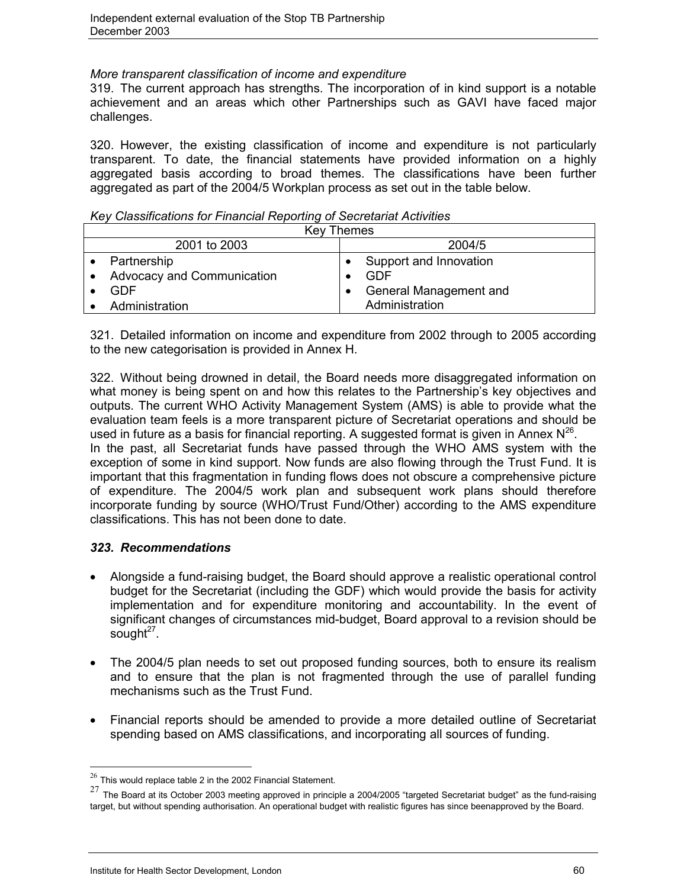### *More transparent classification of income and expenditure*

319. The current approach has strengths. The incorporation of in kind support is a notable achievement and an areas which other Partnerships such as GAVI have faced major challenges.

320. However, the existing classification of income and expenditure is not particularly transparent. To date, the financial statements have provided information on a highly aggregated basis according to broad themes. The classifications have been further aggregated as part of the 2004/5 Workplan process as set out in the table below.

| <b>Key Themes</b>          |           |                        |  |  |  |  |  |  |  |
|----------------------------|-----------|------------------------|--|--|--|--|--|--|--|
| 2001 to 2003               |           | 2004/5                 |  |  |  |  |  |  |  |
| Partnership                |           | Support and Innovation |  |  |  |  |  |  |  |
| Advocacy and Communication |           | GDF                    |  |  |  |  |  |  |  |
| GDE                        | $\bullet$ | General Management and |  |  |  |  |  |  |  |
| Administration             |           | Administration         |  |  |  |  |  |  |  |

*Key Classifications for Financial Reporting of Secretariat Activities*

321. Detailed information on income and expenditure from 2002 through to 2005 according to the new categorisation is provided in Annex H.

322. Without being drowned in detail, the Board needs more disaggregated information on what money is being spent on and how this relates to the Partnership's key objectives and outputs. The current WHO Activity Management System (AMS) is able to provide what the evaluation team feels is a more transparent picture of Secretariat operations and should be used in future as a basis for financial reporting. A suggested format is given in Annex  $N^{26}$ . In the past, all Secretariat funds have passed through the WHO AMS system with the exception of some in kind support. Now funds are also flowing through the Trust Fund. It is important that this fragmentation in funding flows does not obscure a comprehensive picture of expenditure. The 2004/5 work plan and subsequent work plans should therefore incorporate funding by source (WHO/Trust Fund/Other) according to the AMS expenditure classifications. This has not been done to date.

# *323. Recommendations*

 $\overline{a}$ 

- Alongside a fund-raising budget, the Board should approve a realistic operational control budget for the Secretariat (including the GDF) which would provide the basis for activity implementation and for expenditure monitoring and accountability. In the event of significant changes of circumstances mid-budget, Board approval to a revision should be sought $27$ .
- The 2004/5 plan needs to set out proposed funding sources, both to ensure its realism and to ensure that the plan is not fragmented through the use of parallel funding mechanisms such as the Trust Fund.
- Financial reports should be amended to provide a more detailed outline of Secretariat spending based on AMS classifications, and incorporating all sources of funding.

 $26$  This would replace table 2 in the 2002 Financial Statement.

 $27$  The Board at its October 2003 meeting approved in principle a 2004/2005 "targeted Secretariat budget" as the fund-raising target, but without spending authorisation. An operational budget with realistic figures has since beenapproved by the Board.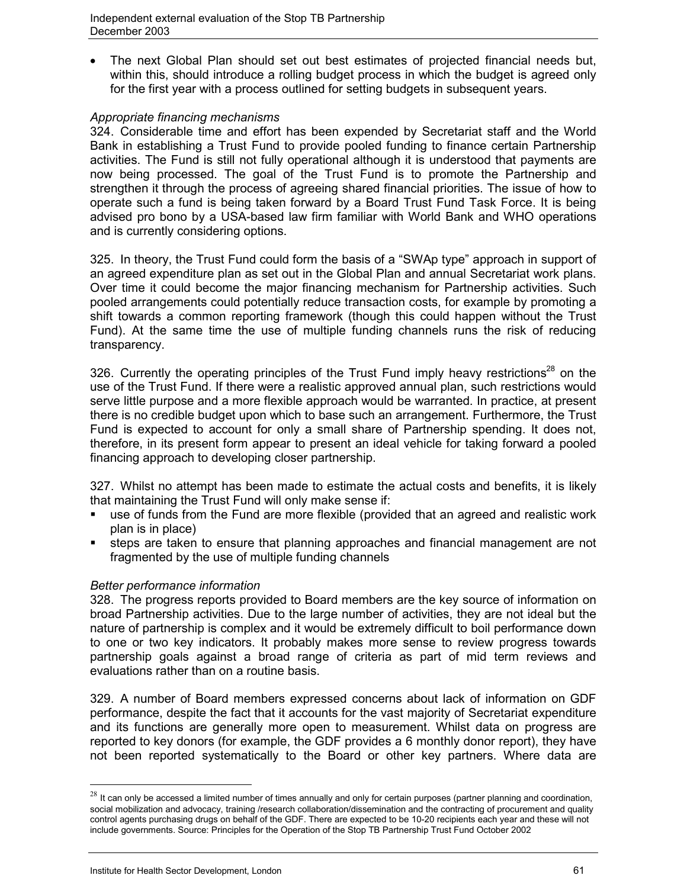The next Global Plan should set out best estimates of projected financial needs but, within this, should introduce a rolling budget process in which the budget is agreed only for the first year with a process outlined for setting budgets in subsequent years.

## *Appropriate financing mechanisms*

324. Considerable time and effort has been expended by Secretariat staff and the World Bank in establishing a Trust Fund to provide pooled funding to finance certain Partnership activities. The Fund is still not fully operational although it is understood that payments are now being processed. The goal of the Trust Fund is to promote the Partnership and strengthen it through the process of agreeing shared financial priorities. The issue of how to operate such a fund is being taken forward by a Board Trust Fund Task Force. It is being advised pro bono by a USA-based law firm familiar with World Bank and WHO operations and is currently considering options.

325. In theory, the Trust Fund could form the basis of a "SWAp type" approach in support of an agreed expenditure plan as set out in the Global Plan and annual Secretariat work plans. Over time it could become the major financing mechanism for Partnership activities. Such pooled arrangements could potentially reduce transaction costs, for example by promoting a shift towards a common reporting framework (though this could happen without the Trust Fund). At the same time the use of multiple funding channels runs the risk of reducing transparency.

326. Currently the operating principles of the Trust Fund imply heavy restrictions<sup>28</sup> on the use of the Trust Fund. If there were a realistic approved annual plan, such restrictions would serve little purpose and a more flexible approach would be warranted. In practice, at present there is no credible budget upon which to base such an arrangement. Furthermore, the Trust Fund is expected to account for only a small share of Partnership spending. It does not, therefore, in its present form appear to present an ideal vehicle for taking forward a pooled financing approach to developing closer partnership.

327. Whilst no attempt has been made to estimate the actual costs and benefits, it is likely that maintaining the Trust Fund will only make sense if:

- use of funds from the Fund are more flexible (provided that an agreed and realistic work plan is in place)
- steps are taken to ensure that planning approaches and financial management are not fragmented by the use of multiple funding channels

# *Better performance information*

328. The progress reports provided to Board members are the key source of information on broad Partnership activities. Due to the large number of activities, they are not ideal but the nature of partnership is complex and it would be extremely difficult to boil performance down to one or two key indicators. It probably makes more sense to review progress towards partnership goals against a broad range of criteria as part of mid term reviews and evaluations rather than on a routine basis.

329. A number of Board members expressed concerns about lack of information on GDF performance, despite the fact that it accounts for the vast majority of Secretariat expenditure and its functions are generally more open to measurement. Whilst data on progress are reported to key donors (for example, the GDF provides a 6 monthly donor report), they have not been reported systematically to the Board or other key partners. Where data are

 $\overline{a}$ 

 $^{28}$  It can only be accessed a limited number of times annually and only for certain purposes (partner planning and coordination, social mobilization and advocacy, training /research collaboration/dissemination and the contracting of procurement and quality control agents purchasing drugs on behalf of the GDF. There are expected to be 10-20 recipients each year and these will not include governments. Source: Principles for the Operation of the Stop TB Partnership Trust Fund October 2002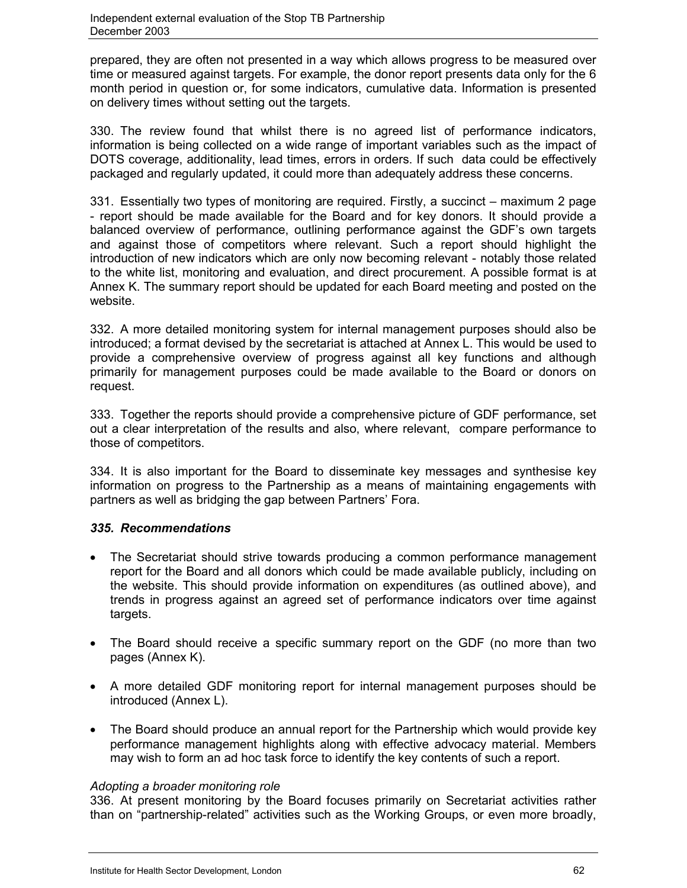prepared, they are often not presented in a way which allows progress to be measured over time or measured against targets. For example, the donor report presents data only for the 6 month period in question or, for some indicators, cumulative data. Information is presented on delivery times without setting out the targets.

330. The review found that whilst there is no agreed list of performance indicators, information is being collected on a wide range of important variables such as the impact of DOTS coverage, additionality, lead times, errors in orders. If such data could be effectively packaged and regularly updated, it could more than adequately address these concerns.

331. Essentially two types of monitoring are required. Firstly, a succinct – maximum 2 page - report should be made available for the Board and for key donors. It should provide a balanced overview of performance, outlining performance against the GDF's own targets and against those of competitors where relevant. Such a report should highlight the introduction of new indicators which are only now becoming relevant - notably those related to the white list, monitoring and evaluation, and direct procurement. A possible format is at Annex K. The summary report should be updated for each Board meeting and posted on the website.

332. A more detailed monitoring system for internal management purposes should also be introduced; a format devised by the secretariat is attached at Annex L. This would be used to provide a comprehensive overview of progress against all key functions and although primarily for management purposes could be made available to the Board or donors on request.

333. Together the reports should provide a comprehensive picture of GDF performance, set out a clear interpretation of the results and also, where relevant, compare performance to those of competitors.

334. It is also important for the Board to disseminate key messages and synthesise key information on progress to the Partnership as a means of maintaining engagements with partners as well as bridging the gap between Partners' Fora.

# *335. Recommendations*

- The Secretariat should strive towards producing a common performance management report for the Board and all donors which could be made available publicly, including on the website. This should provide information on expenditures (as outlined above), and trends in progress against an agreed set of performance indicators over time against targets.
- The Board should receive a specific summary report on the GDF (no more than two pages (Annex K).
- A more detailed GDF monitoring report for internal management purposes should be introduced (Annex L).
- The Board should produce an annual report for the Partnership which would provide key performance management highlights along with effective advocacy material. Members may wish to form an ad hoc task force to identify the key contents of such a report.

# *Adopting a broader monitoring role*

336. At present monitoring by the Board focuses primarily on Secretariat activities rather than on "partnership-related" activities such as the Working Groups, or even more broadly,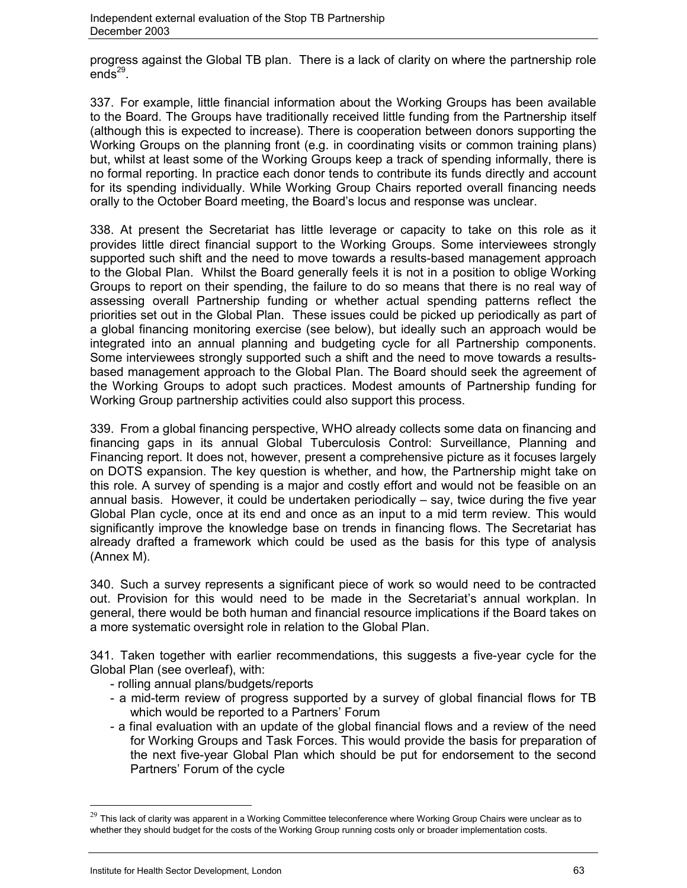progress against the Global TB plan. There is a lack of clarity on where the partnership role  $ends<sup>29</sup>$ .

337. For example, little financial information about the Working Groups has been available to the Board. The Groups have traditionally received little funding from the Partnership itself (although this is expected to increase). There is cooperation between donors supporting the Working Groups on the planning front (e.g. in coordinating visits or common training plans) but, whilst at least some of the Working Groups keep a track of spending informally, there is no formal reporting. In practice each donor tends to contribute its funds directly and account for its spending individually. While Working Group Chairs reported overall financing needs orally to the October Board meeting, the Board's locus and response was unclear.

338. At present the Secretariat has little leverage or capacity to take on this role as it provides little direct financial support to the Working Groups. Some interviewees strongly supported such shift and the need to move towards a results-based management approach to the Global Plan. Whilst the Board generally feels it is not in a position to oblige Working Groups to report on their spending, the failure to do so means that there is no real way of assessing overall Partnership funding or whether actual spending patterns reflect the priorities set out in the Global Plan. These issues could be picked up periodically as part of a global financing monitoring exercise (see below), but ideally such an approach would be integrated into an annual planning and budgeting cycle for all Partnership components. Some interviewees strongly supported such a shift and the need to move towards a resultsbased management approach to the Global Plan. The Board should seek the agreement of the Working Groups to adopt such practices. Modest amounts of Partnership funding for Working Group partnership activities could also support this process.

339. From a global financing perspective, WHO already collects some data on financing and financing gaps in its annual Global Tuberculosis Control: Surveillance, Planning and Financing report. It does not, however, present a comprehensive picture as it focuses largely on DOTS expansion. The key question is whether, and how, the Partnership might take on this role. A survey of spending is a major and costly effort and would not be feasible on an annual basis. However, it could be undertaken periodically  $-$  say, twice during the five year Global Plan cycle, once at its end and once as an input to a mid term review. This would significantly improve the knowledge base on trends in financing flows. The Secretariat has already drafted a framework which could be used as the basis for this type of analysis (Annex M).

340. Such a survey represents a significant piece of work so would need to be contracted out. Provision for this would need to be made in the Secretariat's annual workplan. In general, there would be both human and financial resource implications if the Board takes on a more systematic oversight role in relation to the Global Plan.

341. Taken together with earlier recommendations, this suggests a five-year cycle for the Global Plan (see overleaf), with:

- rolling annual plans/budgets/reports
- a mid-term review of progress supported by a survey of global financial flows for TB which would be reported to a Partners' Forum
- a final evaluation with an update of the global financial flows and a review of the need for Working Groups and Task Forces. This would provide the basis for preparation of the next five-year Global Plan which should be put for endorsement to the second Partners' Forum of the cycle

 $\overline{a}$ 

 $29$  This lack of clarity was apparent in a Working Committee teleconference where Working Group Chairs were unclear as to whether they should budget for the costs of the Working Group running costs only or broader implementation costs.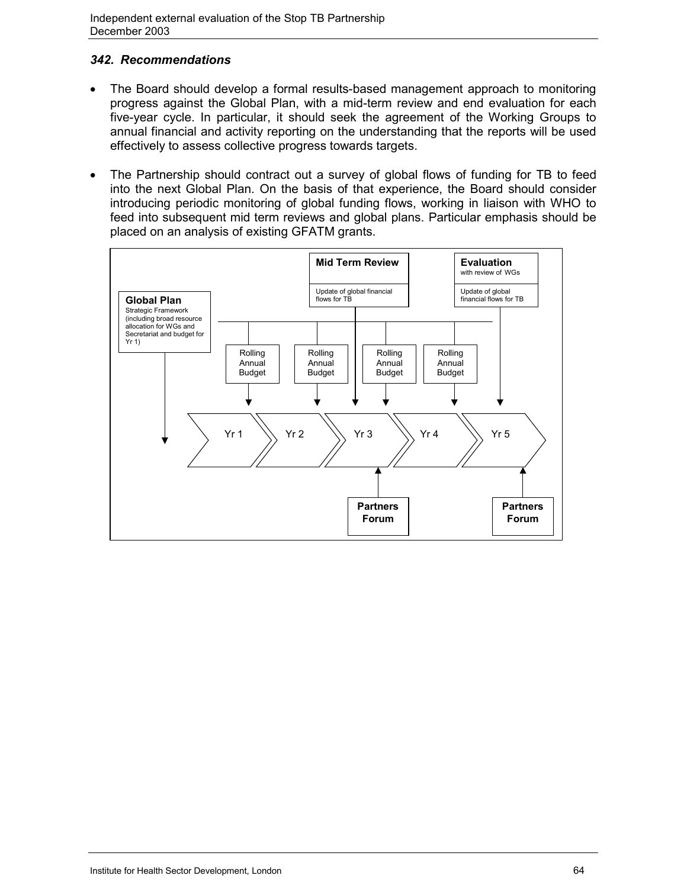# *342. Recommendations*

- The Board should develop a formal results-based management approach to monitoring progress against the Global Plan, with a mid-term review and end evaluation for each five-year cycle. In particular, it should seek the agreement of the Working Groups to annual financial and activity reporting on the understanding that the reports will be used effectively to assess collective progress towards targets.
- The Partnership should contract out a survey of global flows of funding for TB to feed into the next Global Plan. On the basis of that experience, the Board should consider introducing periodic monitoring of global funding flows, working in liaison with WHO to feed into subsequent mid term reviews and global plans. Particular emphasis should be placed on an analysis of existing GFATM grants.